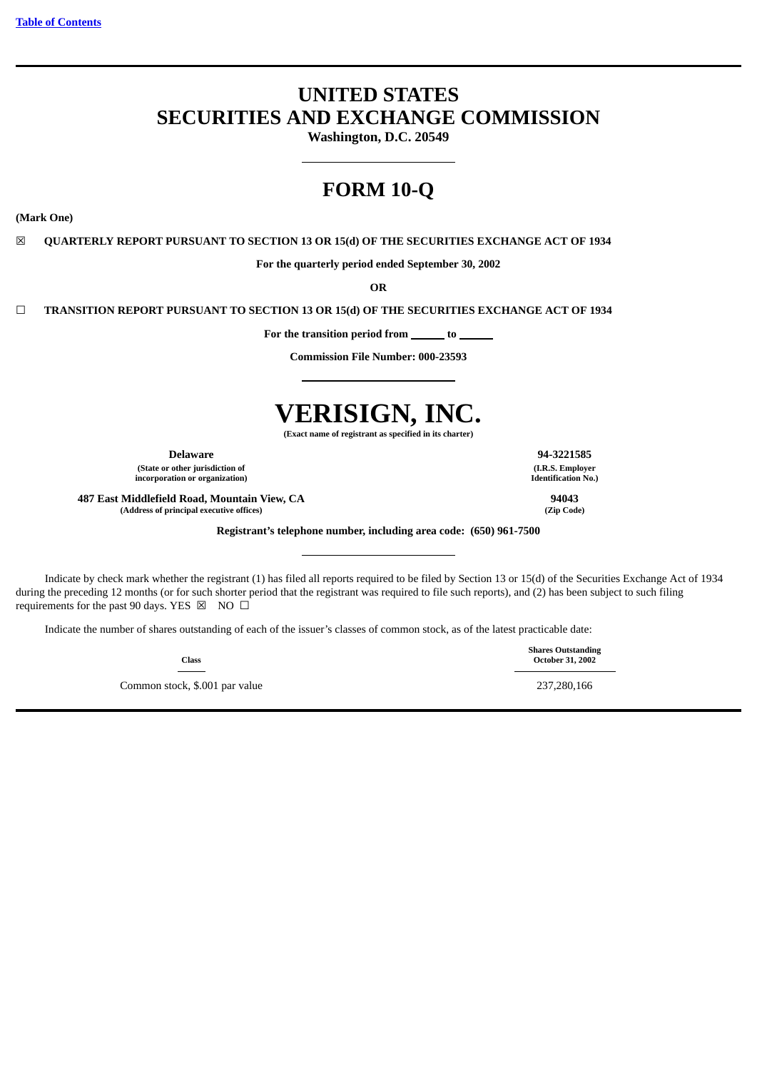# **UNITED STATES SECURITIES AND EXCHANGE COMMISSION**

**Washington, D.C. 20549**

# **FORM 10-Q**

**(Mark One)**

☒ **QUARTERLY REPORT PURSUANT TO SECTION 13 OR 15(d) OF THE SECURITIES EXCHANGE ACT OF 1934**

**For the quarterly period ended September 30, 2002**

**OR**

☐ **TRANSITION REPORT PURSUANT TO SECTION 13 OR 15(d) OF THE SECURITIES EXCHANGE ACT OF 1934**

For the transition period from \_\_\_\_\_\_\_ to \_

**Commission File Number: 000-23593**

# **VERISIGN, INC.**

**(Exact name of registrant as specified in its charter)**

**Delaware 94-3221585**

**(State or other jurisdiction of incorporation or organization)**

**487 East Middlefield Road, Mountain View, CA 94043 (Address of principal executive offices) (Zip Code)**

**Registrant's telephone number, including area code: (650) 961-7500**

Indicate by check mark whether the registrant (1) has filed all reports required to be filed by Section 13 or 15(d) of the Securities Exchange Act of 1934 during the preceding 12 months (or for such shorter period that the registrant was required to file such reports), and (2) has been subject to such filing requirements for the past 90 days. YES  $\boxtimes$  NO  $\Box$ 

Indicate the number of shares outstanding of each of the issuer's classes of common stock, as of the latest practicable date:

**Class**

Common stock, \$.001 par value 237,280,166

**(I.R.S. Employer Identification No.)**

**Shares Outstanding October 31, 2002**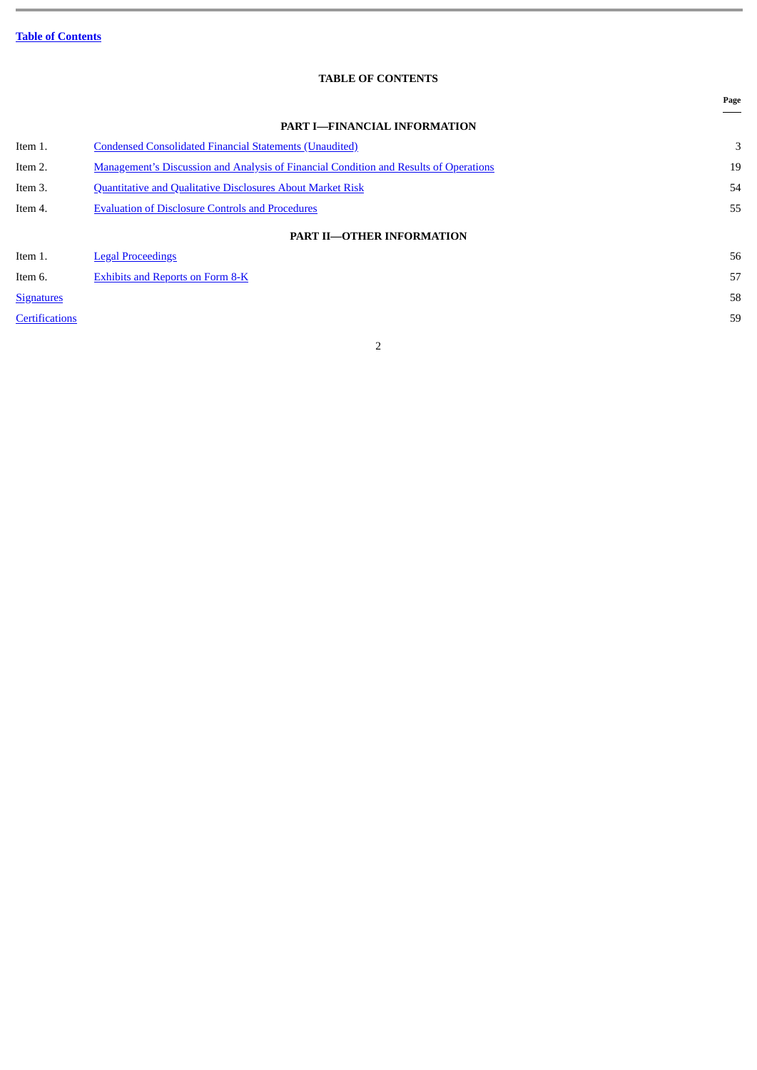# **TABLE OF CONTENTS**

<span id="page-1-0"></span>

|                       |                                                                                              | Page |
|-----------------------|----------------------------------------------------------------------------------------------|------|
|                       | <b>PART I-FINANCIAL INFORMATION</b>                                                          |      |
| Item 1.               | <b>Condensed Consolidated Financial Statements (Unaudited)</b>                               | 3    |
| Item 2.               | <b>Management's Discussion and Analysis of Financial Condition and Results of Operations</b> | 19   |
| Item 3.               | Quantitative and Qualitative Disclosures About Market Risk                                   | 54   |
| Item 4.               | <b>Evaluation of Disclosure Controls and Procedures</b>                                      | 55   |
|                       | <b>PART II-OTHER INFORMATION</b>                                                             |      |
| Item 1.               | <b>Legal Proceedings</b>                                                                     | 56   |
| Item 6.               | <b>Exhibits and Reports on Form 8-K</b>                                                      | 57   |
| <b>Signatures</b>     |                                                                                              | 58   |
| <b>Certifications</b> |                                                                                              | 59   |
|                       |                                                                                              |      |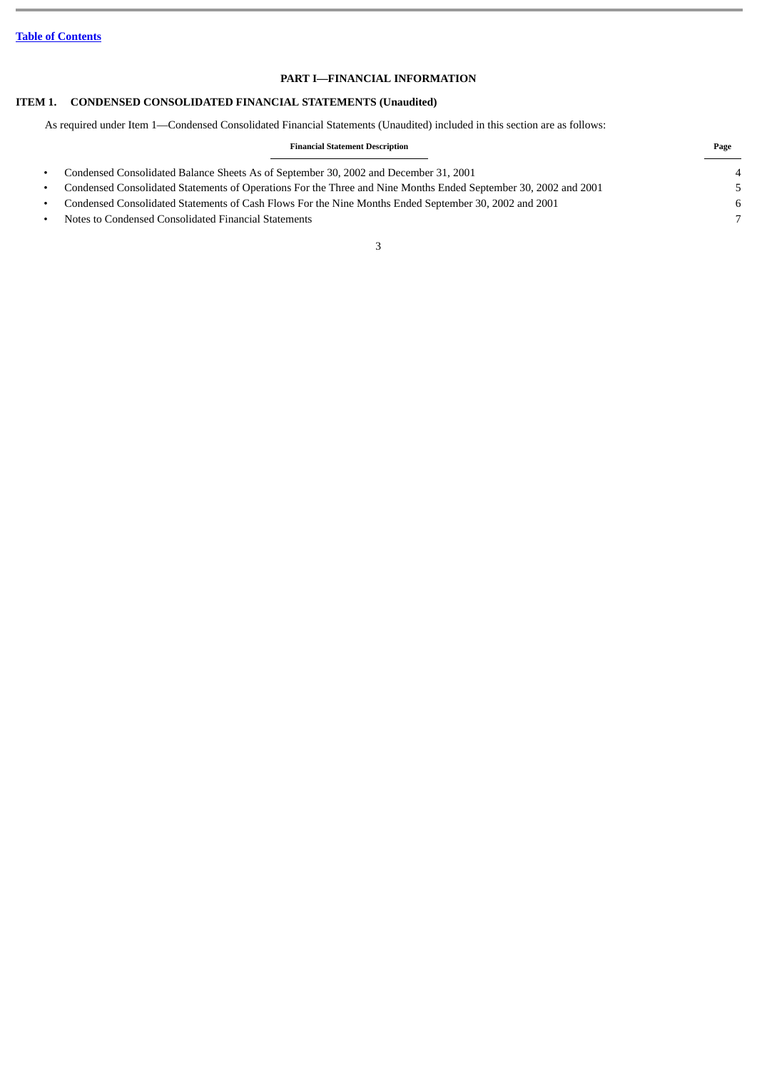# **PART I—FINANCIAL INFORMATION**

# **ITEM 1. CONDENSED CONSOLIDATED FINANCIAL STATEMENTS (Unaudited)**

<span id="page-2-0"></span>As required under Item 1—Condensed Consolidated Financial Statements (Unaudited) included in this section are as follows:

| <b>Financial Statement Description</b> |  |
|----------------------------------------|--|
|                                        |  |

• Condensed Consolidated Balance Sheets As of September 30, 2002 and December 31, 2001 4 • Condensed Consolidated Statements of Operations For the Three and Nine Months Ended September 30, 2002 and 2001 5 • Condensed Consolidated Statements of Cash Flows For the Nine Months Ended September 30, 2002 and 2001 6 • Notes to Condensed Consolidated Financial Statements 7

**Page**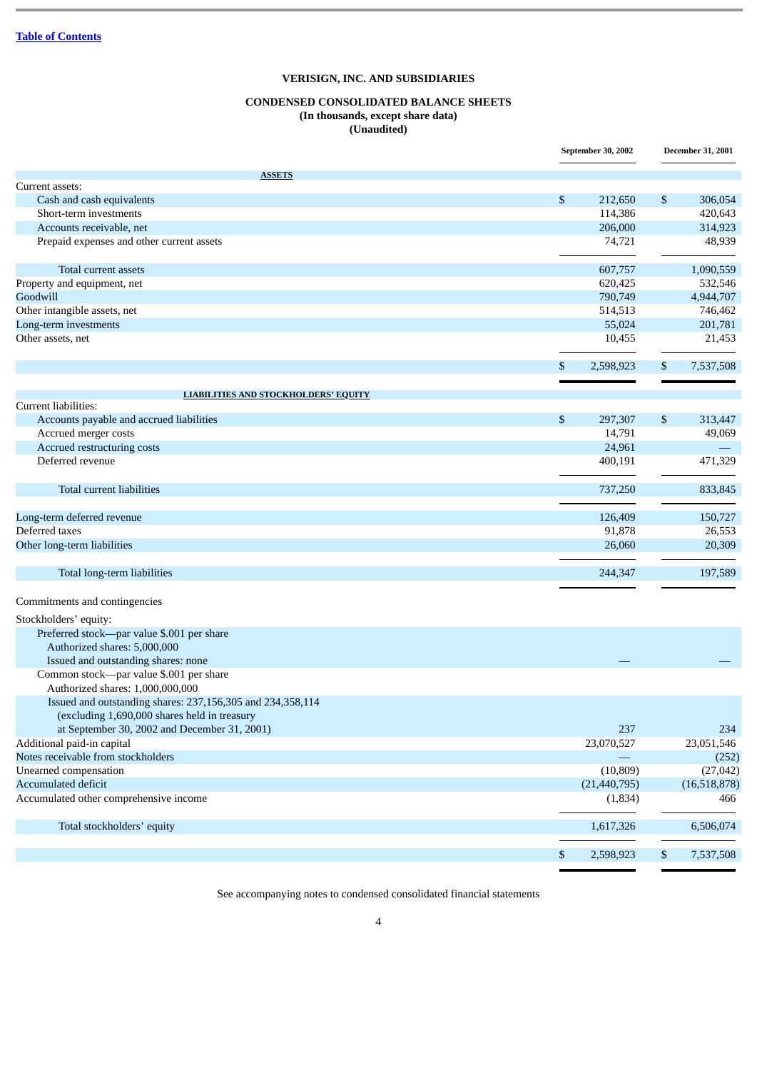# **CONDENSED CONSOLIDATED BALANCE SHEETS (In thousands, except share data) (Unaudited)**

|                                                            | September 30, 2002 | <b>December 31, 2001</b> |
|------------------------------------------------------------|--------------------|--------------------------|
| <b>ASSETS</b>                                              |                    |                          |
| Current assets:                                            |                    |                          |
| Cash and cash equivalents                                  | \$<br>212,650      | \$<br>306,054            |
| Short-term investments                                     | 114,386            | 420,643                  |
| Accounts receivable, net                                   | 206,000            | 314,923                  |
| Prepaid expenses and other current assets                  | 74,721             | 48,939                   |
| Total current assets                                       | 607,757            | 1,090,559                |
| Property and equipment, net                                | 620,425            | 532,546                  |
| Goodwill                                                   | 790,749            | 4,944,707                |
| Other intangible assets, net                               | 514,513            | 746,462                  |
| Long-term investments                                      | 55,024             | 201,781                  |
| Other assets, net                                          | 10,455             | 21,453                   |
|                                                            | \$<br>2,598,923    | \$<br>7,537,508          |
|                                                            |                    |                          |
| <b>LIABILITIES AND STOCKHOLDERS' EQUITY</b>                |                    |                          |
| Current liabilities:                                       |                    |                          |
| Accounts payable and accrued liabilities                   | \$<br>297,307      | \$<br>313,447            |
| Accrued merger costs                                       | 14,791             | 49,069                   |
| Accrued restructuring costs                                | 24,961             |                          |
| Deferred revenue                                           | 400,191            | 471,329                  |
| Total current liabilities                                  | 737,250            | 833,845                  |
| Long-term deferred revenue                                 | 126,409            | 150,727                  |
| Deferred taxes                                             | 91,878             | 26,553                   |
| Other long-term liabilities                                | 26,060             | 20,309                   |
| Total long-term liabilities                                | 244,347            | 197,589                  |
| Commitments and contingencies                              |                    |                          |
| Stockholders' equity:                                      |                    |                          |
| Preferred stock-par value \$.001 per share                 |                    |                          |
| Authorized shares: 5,000,000                               |                    |                          |
| Issued and outstanding shares: none                        |                    |                          |
| Common stock-par value \$.001 per share                    |                    |                          |
| Authorized shares: 1,000,000,000                           |                    |                          |
| Issued and outstanding shares: 237,156,305 and 234,358,114 |                    |                          |
| (excluding 1,690,000 shares held in treasury               |                    |                          |
| at September 30, 2002 and December 31, 2001)               | 237                | 234                      |
| Additional paid-in capital                                 | 23,070,527         | 23,051,546               |
| Notes receivable from stockholders                         |                    | (252)                    |
| Unearned compensation                                      | (10, 809)          | (27, 042)                |
| Accumulated deficit                                        |                    |                          |
| Accumulated other comprehensive income                     | (21, 440, 795)     | (16,518,878)             |
|                                                            | (1,834)            | 466                      |
| Total stockholders' equity                                 | 1,617,326          | 6,506,074                |
|                                                            | \$<br>2,598,923    | \$<br>7,537,508          |

See accompanying notes to condensed consolidated financial statements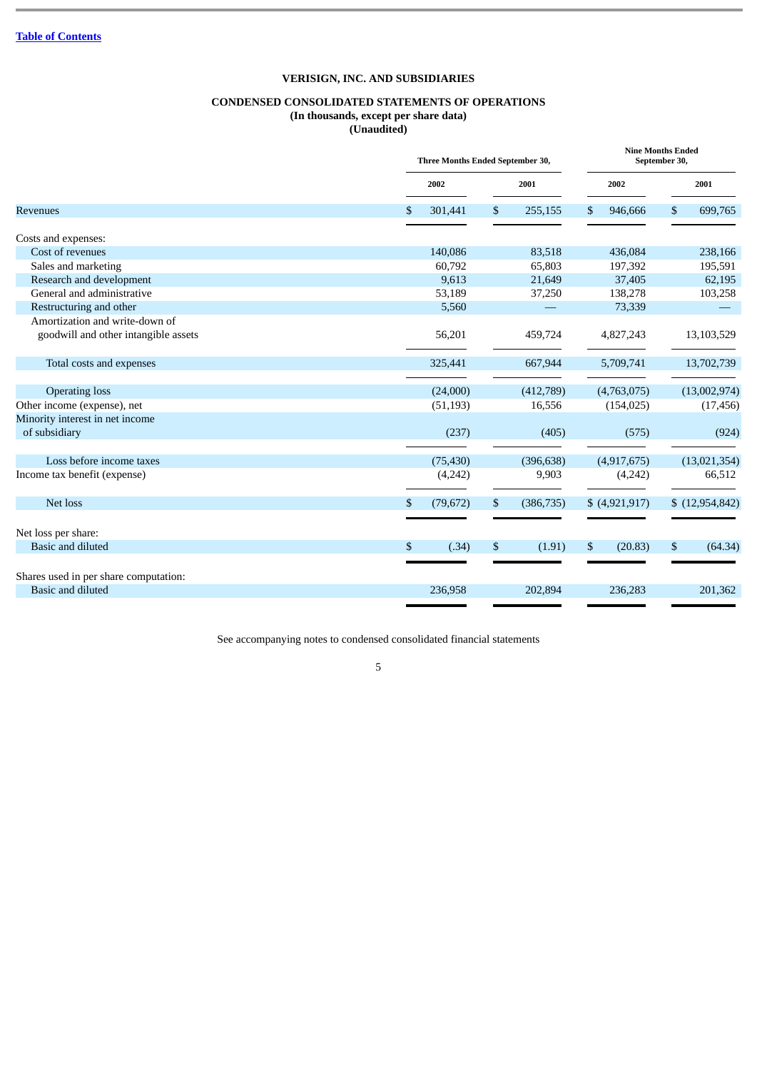# **CONDENSED CONSOLIDATED STATEMENTS OF OPERATIONS (In thousands, except per share data)**

**(Unaudited)**

|                                       | Three Months Ended September 30, |    |            |      |                | September 30, | <b>Nine Months Ended</b> |  |  |
|---------------------------------------|----------------------------------|----|------------|------|----------------|---------------|--------------------------|--|--|
|                                       | 2002                             |    | 2001       | 2002 |                |               | 2001                     |  |  |
| <b>Revenues</b>                       | \$<br>301,441                    | \$ | 255,155    | \$   | 946,666        | \$            | 699,765                  |  |  |
| Costs and expenses:                   |                                  |    |            |      |                |               |                          |  |  |
| Cost of revenues                      | 140,086                          |    | 83,518     |      | 436,084        |               | 238,166                  |  |  |
| Sales and marketing                   | 60,792                           |    | 65,803     |      | 197,392        |               | 195,591                  |  |  |
| Research and development              | 9,613                            |    | 21,649     |      | 37,405         |               | 62,195                   |  |  |
| General and administrative            | 53,189                           |    | 37,250     |      | 138,278        |               | 103,258                  |  |  |
| Restructuring and other               | 5,560                            |    |            |      | 73,339         |               |                          |  |  |
| Amortization and write-down of        |                                  |    |            |      |                |               |                          |  |  |
| goodwill and other intangible assets  | 56,201                           |    | 459,724    |      | 4,827,243      |               | 13,103,529               |  |  |
| Total costs and expenses              | 325,441                          |    | 667,944    |      | 5,709,741      |               | 13,702,739               |  |  |
|                                       |                                  |    |            |      |                |               |                          |  |  |
| <b>Operating loss</b>                 | (24,000)                         |    | (412,789)  |      | (4,763,075)    |               | (13,002,974)             |  |  |
| Other income (expense), net           | (51, 193)                        |    | 16,556     |      | (154, 025)     |               | (17, 456)                |  |  |
| Minority interest in net income       |                                  |    |            |      |                |               |                          |  |  |
| of subsidiary                         | (237)                            |    | (405)      |      | (575)          |               | (924)                    |  |  |
| Loss before income taxes              | (75, 430)                        |    | (396, 638) |      | (4,917,675)    |               | (13,021,354)             |  |  |
| Income tax benefit (expense)          | (4,242)                          |    | 9,903      |      | (4,242)        |               | 66,512                   |  |  |
| Net loss                              | \$<br>(79, 672)                  | \$ | (386, 735) |      | \$ (4,921,917) |               | \$(12,954,842)           |  |  |
|                                       |                                  |    |            |      |                |               |                          |  |  |
| Net loss per share:                   |                                  |    |            |      |                |               |                          |  |  |
| Basic and diluted                     | \$<br>(.34)                      | \$ | (1.91)     | \$   | (20.83)        | \$            | (64.34)                  |  |  |
|                                       |                                  |    |            |      |                |               |                          |  |  |
| Shares used in per share computation: |                                  |    |            |      |                |               |                          |  |  |
| <b>Basic and diluted</b>              | 236,958                          |    | 202,894    |      | 236,283        |               | 201,362                  |  |  |

See accompanying notes to condensed consolidated financial statements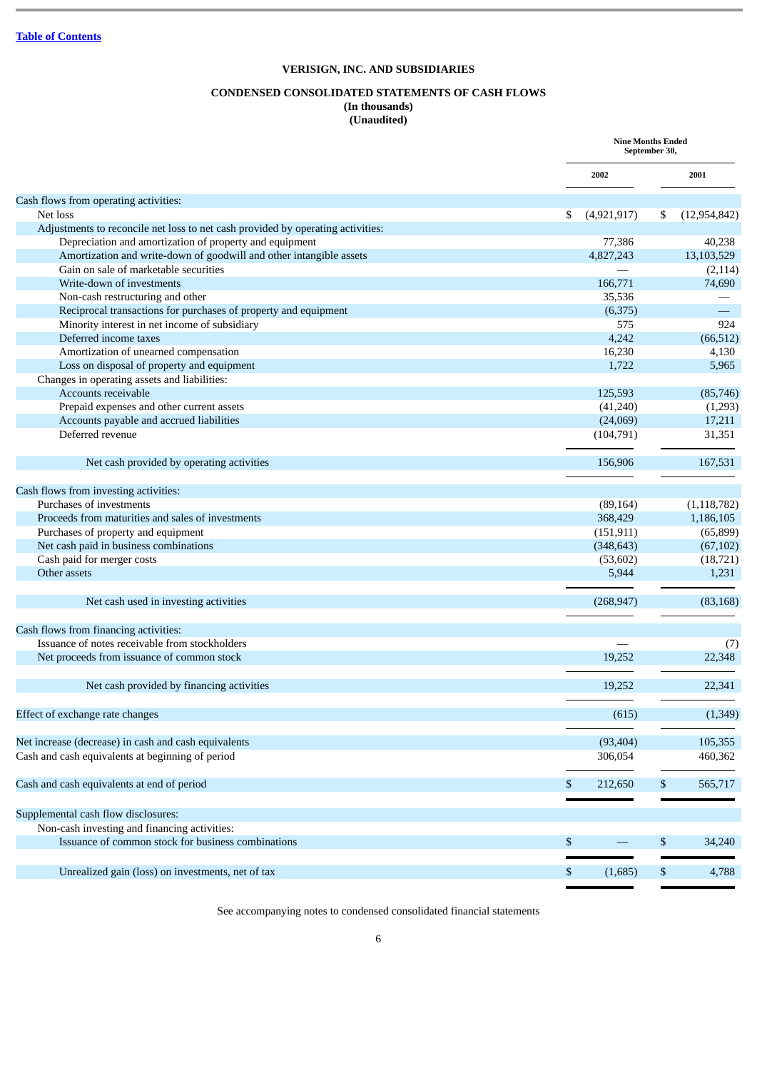# **CONDENSED CONSOLIDATED STATEMENTS OF CASH FLOWS**

# **(In thousands)**

**(Unaudited)**

|                                                                                 | <b>Nine Months Ended</b> | September 30, |                |
|---------------------------------------------------------------------------------|--------------------------|---------------|----------------|
|                                                                                 | 2002                     |               | 2001           |
| Cash flows from operating activities:                                           |                          |               |                |
| Net loss                                                                        | \$<br>(4,921,917)        | \$            | (12, 954, 842) |
| Adjustments to reconcile net loss to net cash provided by operating activities: |                          |               |                |
| Depreciation and amortization of property and equipment                         | 77,386                   |               | 40,238         |
| Amortization and write-down of goodwill and other intangible assets             | 4,827,243                |               | 13,103,529     |
| Gain on sale of marketable securities                                           |                          |               | (2, 114)       |
| Write-down of investments                                                       | 166,771                  |               | 74,690         |
| Non-cash restructuring and other                                                | 35,536                   |               |                |
| Reciprocal transactions for purchases of property and equipment                 | (6, 375)                 |               |                |
| Minority interest in net income of subsidiary                                   | 575                      |               | 924            |
| Deferred income taxes                                                           | 4,242                    |               | (66, 512)      |
| Amortization of unearned compensation                                           | 16,230                   |               | 4,130          |
| Loss on disposal of property and equipment                                      | 1,722                    |               | 5,965          |
| Changes in operating assets and liabilities:                                    |                          |               |                |
| Accounts receivable                                                             | 125,593                  |               | (85, 746)      |
| Prepaid expenses and other current assets                                       | (41,240)                 |               | (1,293)        |
| Accounts payable and accrued liabilities                                        | (24,069)                 |               | 17,211         |
| Deferred revenue                                                                | (104, 791)               |               | 31,351         |
| Net cash provided by operating activities                                       | 156,906                  |               | 167,531        |
| Cash flows from investing activities:                                           |                          |               |                |
| Purchases of investments                                                        | (89, 164)                |               | (1, 118, 782)  |
| Proceeds from maturities and sales of investments                               | 368,429                  |               | 1,186,105      |
| Purchases of property and equipment                                             | (151, 911)               |               | (65, 899)      |
| Net cash paid in business combinations                                          | (348, 643)               |               | (67, 102)      |
| Cash paid for merger costs                                                      | (53,602)                 |               | (18, 721)      |
| Other assets                                                                    | 5,944                    |               | 1,231          |
| Net cash used in investing activities                                           | (268, 947)               |               | (83, 168)      |
| Cash flows from financing activities:                                           |                          |               |                |
| Issuance of notes receivable from stockholders                                  |                          |               |                |
|                                                                                 | 19,252                   |               | (7)<br>22,348  |
| Net proceeds from issuance of common stock                                      |                          |               |                |
| Net cash provided by financing activities                                       | 19,252                   |               | 22,341         |
| Effect of exchange rate changes                                                 | (615)                    |               | (1, 349)       |
| Net increase (decrease) in cash and cash equivalents                            | (93, 404)                |               | 105,355        |
| Cash and cash equivalents at beginning of period                                | 306,054                  |               | 460,362        |
|                                                                                 |                          |               |                |
| Cash and cash equivalents at end of period                                      | \$<br>212,650            | \$            | 565,717        |
| Supplemental cash flow disclosures:                                             |                          |               |                |
| Non-cash investing and financing activities:                                    |                          |               |                |
| Issuance of common stock for business combinations                              | \$                       | \$            | 34,240         |
|                                                                                 |                          |               |                |
| Unrealized gain (loss) on investments, net of tax                               | \$<br>(1,685)            | \$            | 4,788          |

See accompanying notes to condensed consolidated financial statements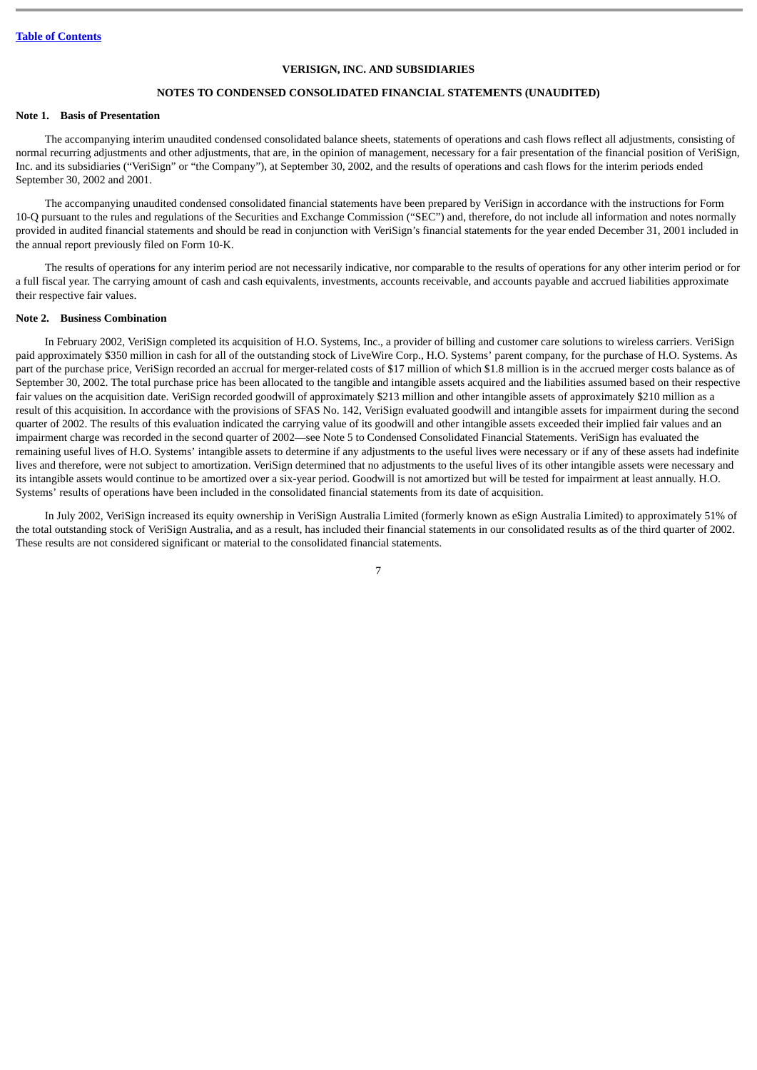# **NOTES TO CONDENSED CONSOLIDATED FINANCIAL STATEMENTS (UNAUDITED)**

#### **Note 1. Basis of Presentation**

The accompanying interim unaudited condensed consolidated balance sheets, statements of operations and cash flows reflect all adjustments, consisting of normal recurring adjustments and other adjustments, that are, in the opinion of management, necessary for a fair presentation of the financial position of VeriSign, Inc. and its subsidiaries ("VeriSign" or "the Company"), at September 30, 2002, and the results of operations and cash flows for the interim periods ended September 30, 2002 and 2001.

The accompanying unaudited condensed consolidated financial statements have been prepared by VeriSign in accordance with the instructions for Form 10-Q pursuant to the rules and regulations of the Securities and Exchange Commission ("SEC") and, therefore, do not include all information and notes normally provided in audited financial statements and should be read in conjunction with VeriSign's financial statements for the year ended December 31, 2001 included in the annual report previously filed on Form 10-K.

The results of operations for any interim period are not necessarily indicative, nor comparable to the results of operations for any other interim period or for a full fiscal year. The carrying amount of cash and cash equivalents, investments, accounts receivable, and accounts payable and accrued liabilities approximate their respective fair values.

#### **Note 2. Business Combination**

In February 2002, VeriSign completed its acquisition of H.O. Systems, Inc., a provider of billing and customer care solutions to wireless carriers. VeriSign paid approximately \$350 million in cash for all of the outstanding stock of LiveWire Corp., H.O. Systems' parent company, for the purchase of H.O. Systems. As part of the purchase price, VeriSign recorded an accrual for merger-related costs of \$17 million of which \$1.8 million is in the accrued merger costs balance as of September 30, 2002. The total purchase price has been allocated to the tangible and intangible assets acquired and the liabilities assumed based on their respective fair values on the acquisition date. VeriSign recorded goodwill of approximately \$213 million and other intangible assets of approximately \$210 million as a result of this acquisition. In accordance with the provisions of SFAS No. 142, VeriSign evaluated goodwill and intangible assets for impairment during the second quarter of 2002. The results of this evaluation indicated the carrying value of its goodwill and other intangible assets exceeded their implied fair values and an impairment charge was recorded in the second quarter of 2002—see Note 5 to Condensed Consolidated Financial Statements. VeriSign has evaluated the remaining useful lives of H.O. Systems' intangible assets to determine if any adjustments to the useful lives were necessary or if any of these assets had indefinite lives and therefore, were not subject to amortization. VeriSign determined that no adjustments to the useful lives of its other intangible assets were necessary and its intangible assets would continue to be amortized over a six-year period. Goodwill is not amortized but will be tested for impairment at least annually. H.O. Systems' results of operations have been included in the consolidated financial statements from its date of acquisition.

In July 2002, VeriSign increased its equity ownership in VeriSign Australia Limited (formerly known as eSign Australia Limited) to approximately 51% of the total outstanding stock of VeriSign Australia, and as a result, has included their financial statements in our consolidated results as of the third quarter of 2002. These results are not considered significant or material to the consolidated financial statements.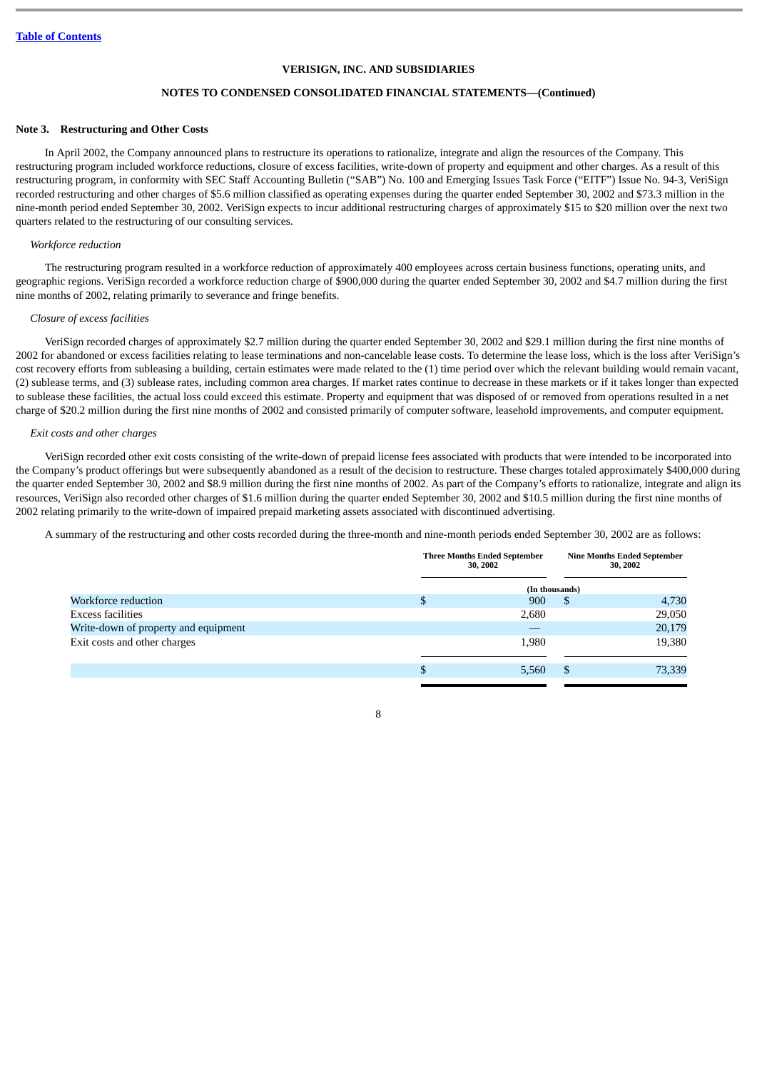# **NOTES TO CONDENSED CONSOLIDATED FINANCIAL STATEMENTS—(Continued)**

#### **Note 3. Restructuring and Other Costs**

In April 2002, the Company announced plans to restructure its operations to rationalize, integrate and align the resources of the Company. This restructuring program included workforce reductions, closure of excess facilities, write-down of property and equipment and other charges. As a result of this restructuring program, in conformity with SEC Staff Accounting Bulletin ("SAB") No. 100 and Emerging Issues Task Force ("EITF") Issue No. 94-3, VeriSign recorded restructuring and other charges of \$5.6 million classified as operating expenses during the quarter ended September 30, 2002 and \$73.3 million in the nine-month period ended September 30, 2002. VeriSign expects to incur additional restructuring charges of approximately \$15 to \$20 million over the next two quarters related to the restructuring of our consulting services.

#### *Workforce reduction*

The restructuring program resulted in a workforce reduction of approximately 400 employees across certain business functions, operating units, and geographic regions. VeriSign recorded a workforce reduction charge of \$900,000 during the quarter ended September 30, 2002 and \$4.7 million during the first nine months of 2002, relating primarily to severance and fringe benefits.

#### *Closure of excess facilities*

VeriSign recorded charges of approximately \$2.7 million during the quarter ended September 30, 2002 and \$29.1 million during the first nine months of 2002 for abandoned or excess facilities relating to lease terminations and non-cancelable lease costs. To determine the lease loss, which is the loss after VeriSign's cost recovery efforts from subleasing a building, certain estimates were made related to the (1) time period over which the relevant building would remain vacant, (2) sublease terms, and (3) sublease rates, including common area charges. If market rates continue to decrease in these markets or if it takes longer than expected to sublease these facilities, the actual loss could exceed this estimate. Property and equipment that was disposed of or removed from operations resulted in a net charge of \$20.2 million during the first nine months of 2002 and consisted primarily of computer software, leasehold improvements, and computer equipment.

#### *Exit costs and other charges*

VeriSign recorded other exit costs consisting of the write-down of prepaid license fees associated with products that were intended to be incorporated into the Company's product offerings but were subsequently abandoned as a result of the decision to restructure. These charges totaled approximately \$400,000 during the quarter ended September 30, 2002 and \$8.9 million during the first nine months of 2002. As part of the Company's efforts to rationalize, integrate and align its resources, VeriSign also recorded other charges of \$1.6 million during the quarter ended September 30, 2002 and \$10.5 million during the first nine months of 2002 relating primarily to the write-down of impaired prepaid marketing assets associated with discontinued advertising.

A summary of the restructuring and other costs recorded during the three-month and nine-month periods ended September 30, 2002 are as follows:

|                                      | <b>Three Months Ended September</b><br>30, 2002 |                |    | <b>Nine Months Ended September</b><br>30, 2002 |
|--------------------------------------|-------------------------------------------------|----------------|----|------------------------------------------------|
|                                      |                                                 | (In thousands) |    |                                                |
| Workforce reduction                  | \$                                              | 900            | S  | 4,730                                          |
| Excess facilities                    |                                                 | 2,680          |    | 29,050                                         |
| Write-down of property and equipment |                                                 |                |    | 20,179                                         |
| Exit costs and other charges         |                                                 | 1,980          |    | 19,380                                         |
|                                      |                                                 | 5,560          | \$ | 73,339                                         |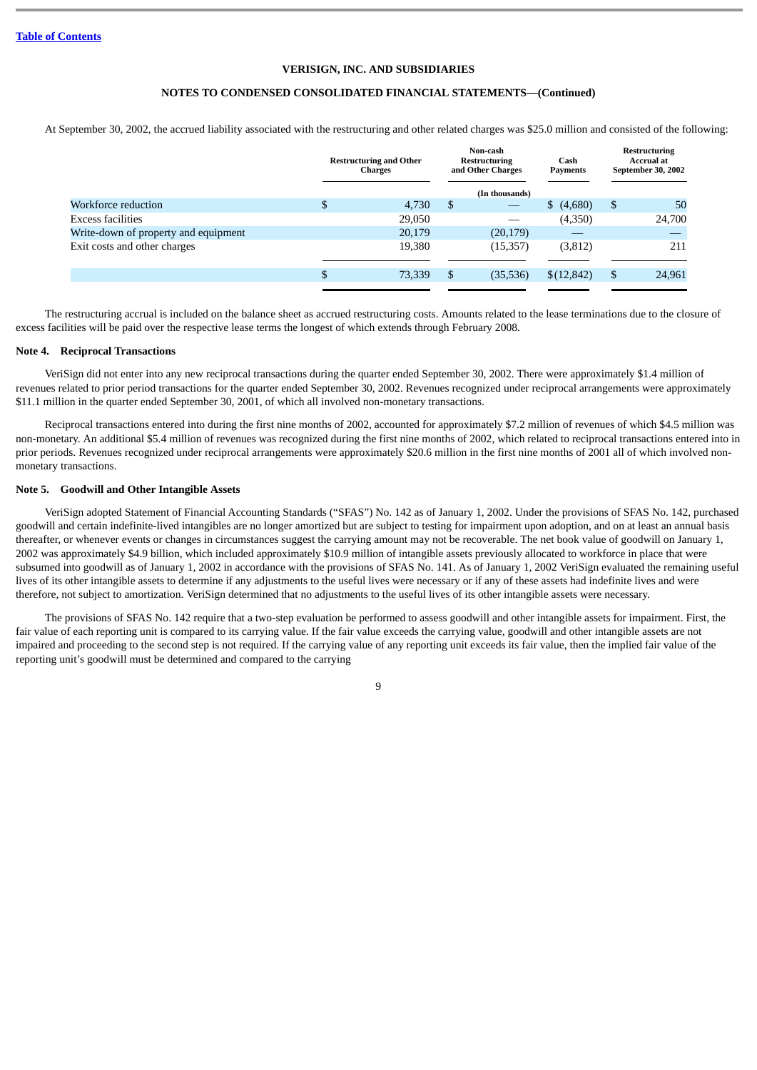# **NOTES TO CONDENSED CONSOLIDATED FINANCIAL STATEMENTS—(Continued)**

At September 30, 2002, the accrued liability associated with the restructuring and other related charges was \$25.0 million and consisted of the following:

|                                      | <b>Restructuring and Other</b><br><b>Charges</b> |    | Non-cash<br>Cash<br><b>Restructuring</b><br>and Other Charges<br>Payments |            | Restructuring<br><b>Accrual at</b><br>September 30, 2002 |
|--------------------------------------|--------------------------------------------------|----|---------------------------------------------------------------------------|------------|----------------------------------------------------------|
|                                      |                                                  |    | (In thousands)                                                            |            |                                                          |
| Workforce reduction                  | \$<br>4,730                                      | \$ |                                                                           | \$(4,680)  | \$<br>50                                                 |
| Excess facilities                    | 29,050                                           |    |                                                                           | (4,350)    | 24,700                                                   |
| Write-down of property and equipment | 20,179                                           |    | (20, 179)                                                                 |            |                                                          |
| Exit costs and other charges         | 19,380                                           |    | (15, 357)                                                                 | (3,812)    | 211                                                      |
|                                      | \$<br>73,339                                     | \$ | (35,536)                                                                  | \$(12,842) | \$<br>24,961                                             |
|                                      |                                                  |    |                                                                           |            |                                                          |

The restructuring accrual is included on the balance sheet as accrued restructuring costs. Amounts related to the lease terminations due to the closure of excess facilities will be paid over the respective lease terms the longest of which extends through February 2008.

#### **Note 4. Reciprocal Transactions**

VeriSign did not enter into any new reciprocal transactions during the quarter ended September 30, 2002. There were approximately \$1.4 million of revenues related to prior period transactions for the quarter ended September 30, 2002. Revenues recognized under reciprocal arrangements were approximately \$11.1 million in the quarter ended September 30, 2001, of which all involved non-monetary transactions.

Reciprocal transactions entered into during the first nine months of 2002, accounted for approximately \$7.2 million of revenues of which \$4.5 million was non-monetary. An additional \$5.4 million of revenues was recognized during the first nine months of 2002, which related to reciprocal transactions entered into in prior periods. Revenues recognized under reciprocal arrangements were approximately \$20.6 million in the first nine months of 2001 all of which involved nonmonetary transactions.

#### **Note 5. Goodwill and Other Intangible Assets**

VeriSign adopted Statement of Financial Accounting Standards ("SFAS") No. 142 as of January 1, 2002. Under the provisions of SFAS No. 142, purchased goodwill and certain indefinite-lived intangibles are no longer amortized but are subject to testing for impairment upon adoption, and on at least an annual basis thereafter, or whenever events or changes in circumstances suggest the carrying amount may not be recoverable. The net book value of goodwill on January 1, 2002 was approximately \$4.9 billion, which included approximately \$10.9 million of intangible assets previously allocated to workforce in place that were subsumed into goodwill as of January 1, 2002 in accordance with the provisions of SFAS No. 141. As of January 1, 2002 VeriSign evaluated the remaining useful lives of its other intangible assets to determine if any adjustments to the useful lives were necessary or if any of these assets had indefinite lives and were therefore, not subject to amortization. VeriSign determined that no adjustments to the useful lives of its other intangible assets were necessary.

The provisions of SFAS No. 142 require that a two-step evaluation be performed to assess goodwill and other intangible assets for impairment. First, the fair value of each reporting unit is compared to its carrying value. If the fair value exceeds the carrying value, goodwill and other intangible assets are not impaired and proceeding to the second step is not required. If the carrying value of any reporting unit exceeds its fair value, then the implied fair value of the reporting unit's goodwill must be determined and compared to the carrying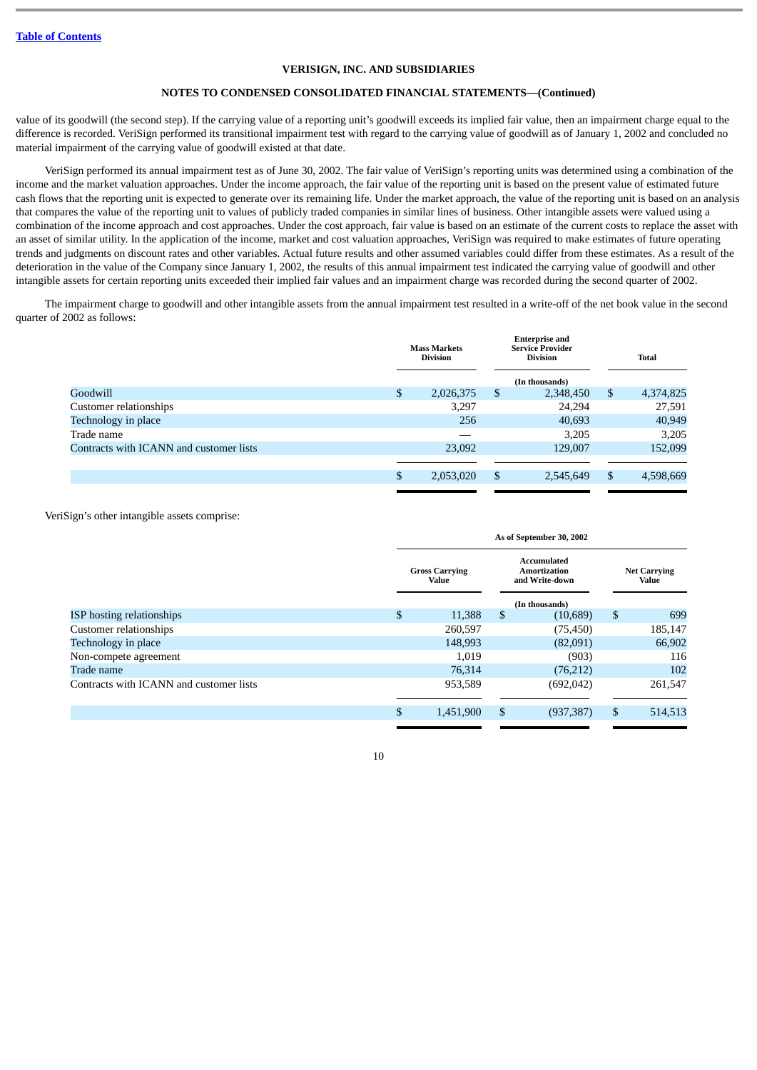# **NOTES TO CONDENSED CONSOLIDATED FINANCIAL STATEMENTS—(Continued)**

value of its goodwill (the second step). If the carrying value of a reporting unit's goodwill exceeds its implied fair value, then an impairment charge equal to the difference is recorded. VeriSign performed its transitional impairment test with regard to the carrying value of goodwill as of January 1, 2002 and concluded no material impairment of the carrying value of goodwill existed at that date.

VeriSign performed its annual impairment test as of June 30, 2002. The fair value of VeriSign's reporting units was determined using a combination of the income and the market valuation approaches. Under the income approach, the fair value of the reporting unit is based on the present value of estimated future cash flows that the reporting unit is expected to generate over its remaining life. Under the market approach, the value of the reporting unit is based on an analysis that compares the value of the reporting unit to values of publicly traded companies in similar lines of business. Other intangible assets were valued using a combination of the income approach and cost approaches. Under the cost approach, fair value is based on an estimate of the current costs to replace the asset with an asset of similar utility. In the application of the income, market and cost valuation approaches, VeriSign was required to make estimates of future operating trends and judgments on discount rates and other variables. Actual future results and other assumed variables could differ from these estimates. As a result of the deterioration in the value of the Company since January 1, 2002, the results of this annual impairment test indicated the carrying value of goodwill and other intangible assets for certain reporting units exceeded their implied fair values and an impairment charge was recorded during the second quarter of 2002.

The impairment charge to goodwill and other intangible assets from the annual impairment test resulted in a write-off of the net book value in the second quarter of 2002 as follows:

|                                         | <b>Mass Markets</b><br><b>Division</b> |    | <b>Enterprise and</b><br><b>Service Provider</b><br><b>Division</b> |    | <b>Total</b> |
|-----------------------------------------|----------------------------------------|----|---------------------------------------------------------------------|----|--------------|
|                                         |                                        |    | (In thousands)                                                      |    |              |
| Goodwill                                | \$<br>2,026,375                        | \$ | 2,348,450                                                           | \$ | 4,374,825    |
| Customer relationships                  | 3,297                                  |    | 24,294                                                              |    | 27,591       |
| Technology in place                     | 256                                    |    | 40,693                                                              |    | 40,949       |
| Trade name                              |                                        |    | 3,205                                                               |    | 3,205        |
| Contracts with ICANN and customer lists | 23,092                                 |    | 129,007                                                             |    | 152,099      |
|                                         |                                        |    |                                                                     |    |              |
|                                         | \$<br>2,053,020                        | \$ | 2,545,649                                                           | S  | 4,598,669    |
|                                         |                                        |    |                                                                     |    |              |

VeriSign's other intangible assets comprise:

|                                         | As of September 30, 2002       |    |                                               |    |                              |  |  |
|-----------------------------------------|--------------------------------|----|-----------------------------------------------|----|------------------------------|--|--|
|                                         | <b>Gross Carrying</b><br>Value |    | Accumulated<br>Amortization<br>and Write-down |    | <b>Net Carrying</b><br>Value |  |  |
|                                         |                                |    | (In thousands)                                |    |                              |  |  |
| <b>ISP</b> hosting relationships        | \$<br>11,388                   | \$ | (10, 689)                                     | \$ | 699                          |  |  |
| Customer relationships                  | 260,597                        |    | (75, 450)                                     |    | 185,147                      |  |  |
| Technology in place                     | 148,993                        |    | (82,091)                                      |    | 66,902                       |  |  |
| Non-compete agreement                   | 1,019                          |    | (903)                                         |    | 116                          |  |  |
| Trade name                              | 76,314                         |    | (76,212)                                      |    | 102                          |  |  |
| Contracts with ICANN and customer lists | 953,589                        |    | (692, 042)                                    |    | 261,547                      |  |  |
|                                         |                                |    |                                               |    |                              |  |  |
|                                         | \$<br>1,451,900                | \$ | (937, 387)                                    | \$ | 514,513                      |  |  |
|                                         |                                |    |                                               |    |                              |  |  |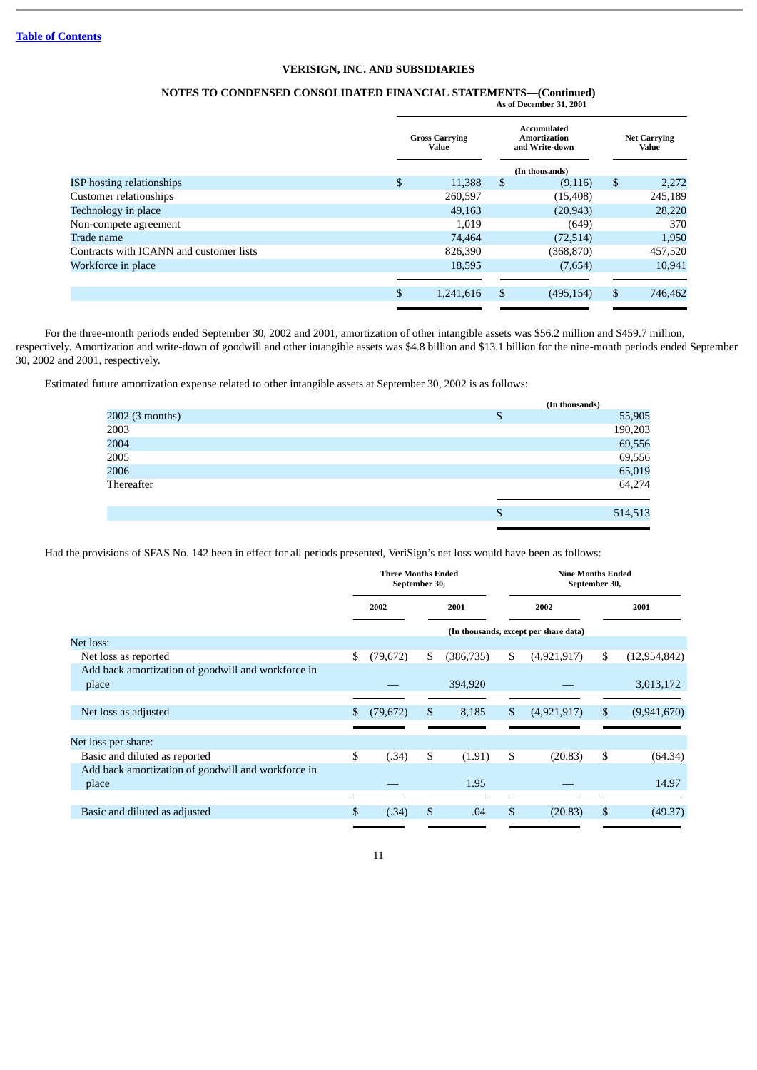#### **NOTES TO CONDENSED CONSOLIDATED FINANCIAL STATEMENTS—(Continued) As of December 31, 2001**

|                                         | <b>Gross Carrying</b><br>Value |    | Accumulated<br><b>Amortization</b><br>and Write-down |    | <b>Net Carrying</b><br>Value |
|-----------------------------------------|--------------------------------|----|------------------------------------------------------|----|------------------------------|
|                                         |                                |    | (In thousands)                                       |    |                              |
| <b>ISP</b> hosting relationships        | \$<br>11,388                   | \$ | (9,116)                                              | \$ | 2,272                        |
| Customer relationships                  | 260,597                        |    | (15, 408)                                            |    | 245,189                      |
| Technology in place                     | 49,163                         |    | (20, 943)                                            |    | 28,220                       |
| Non-compete agreement                   | 1,019                          |    | (649)                                                |    | 370                          |
| Trade name                              | 74,464                         |    | (72,514)                                             |    | 1,950                        |
| Contracts with ICANN and customer lists | 826,390                        |    | (368, 870)                                           |    | 457,520                      |
| Workforce in place                      | 18,595                         |    | (7,654)                                              |    | 10,941                       |
|                                         |                                |    |                                                      |    |                              |
|                                         | \$<br>1,241,616                | \$ | (495, 154)                                           | \$ | 746,462                      |
|                                         |                                |    |                                                      |    |                              |

For the three-month periods ended September 30, 2002 and 2001, amortization of other intangible assets was \$56.2 million and \$459.7 million, respectively. Amortization and write-down of goodwill and other intangible assets was \$4.8 billion and \$13.1 billion for the nine-month periods ended September 30, 2002 and 2001, respectively.

Estimated future amortization expense related to other intangible assets at September 30, 2002 is as follows:

|                 | (In thousands) |
|-----------------|----------------|
| 2002 (3 months) | \$<br>55,905   |
| 2003            | 190,203        |
| 2004            | 69,556         |
| 2005            | 69,556         |
| 2006            | 65,019         |
| Thereafter      | 64,274         |
|                 | \$<br>514,513  |

Had the provisions of SFAS No. 142 been in effect for all periods presented, VeriSign's net loss would have been as follows:

|                                                    | <b>Three Months Ended</b><br>September 30, |              |    | <b>Nine Months Ended</b><br>September 30, |      |                                       |      |                |
|----------------------------------------------------|--------------------------------------------|--------------|----|-------------------------------------------|------|---------------------------------------|------|----------------|
|                                                    |                                            | 2002<br>2001 |    |                                           | 2002 |                                       | 2001 |                |
|                                                    |                                            |              |    |                                           |      | (In thousands, except per share data) |      |                |
| Net loss:                                          |                                            |              |    |                                           |      |                                       |      |                |
| Net loss as reported                               | \$                                         | (79, 672)    | \$ | (386, 735)                                | \$   | (4,921,917)                           | \$   | (12, 954, 842) |
| Add back amortization of goodwill and workforce in |                                            |              |    |                                           |      |                                       |      |                |
| place                                              |                                            |              |    | 394,920                                   |      |                                       |      | 3,013,172      |
|                                                    |                                            |              |    |                                           |      |                                       |      |                |
| Net loss as adjusted                               | S                                          | (79, 672)    | \$ | 8,185                                     | \$   | (4,921,917)                           | \$   | (9,941,670)    |
|                                                    |                                            |              |    |                                           |      |                                       |      |                |
| Net loss per share:                                |                                            |              |    |                                           |      |                                       |      |                |
| Basic and diluted as reported                      | \$                                         | (.34)        | \$ | (1.91)                                    | \$   | (20.83)                               | \$   | (64.34)        |
| Add back amortization of goodwill and workforce in |                                            |              |    |                                           |      |                                       |      |                |
| place                                              |                                            |              |    | 1.95                                      |      |                                       |      | 14.97          |
|                                                    |                                            |              |    |                                           |      |                                       |      |                |
| Basic and diluted as adjusted                      | \$                                         | (.34)        | \$ | .04                                       | \$   | (20.83)                               | \$   | (49.37)        |
|                                                    |                                            |              |    |                                           |      |                                       |      |                |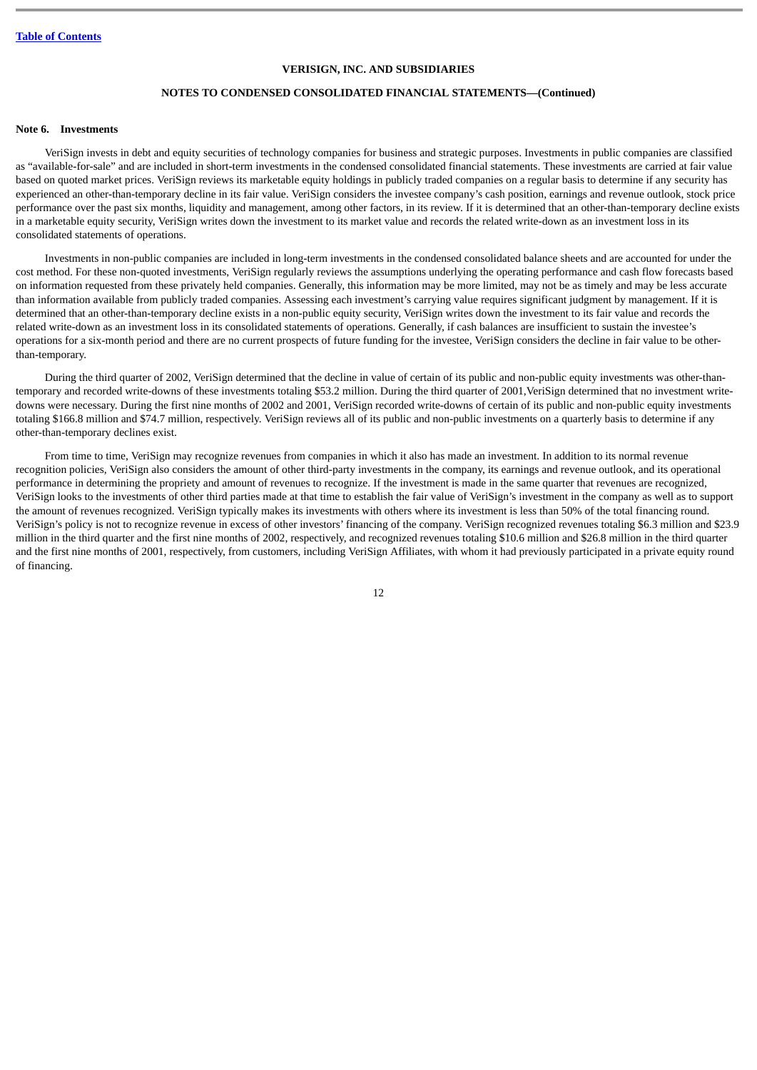# **NOTES TO CONDENSED CONSOLIDATED FINANCIAL STATEMENTS—(Continued)**

#### **Note 6. Investments**

VeriSign invests in debt and equity securities of technology companies for business and strategic purposes. Investments in public companies are classified as "available-for-sale" and are included in short-term investments in the condensed consolidated financial statements. These investments are carried at fair value based on quoted market prices. VeriSign reviews its marketable equity holdings in publicly traded companies on a regular basis to determine if any security has experienced an other-than-temporary decline in its fair value. VeriSign considers the investee company's cash position, earnings and revenue outlook, stock price performance over the past six months, liquidity and management, among other factors, in its review. If it is determined that an other-than-temporary decline exists in a marketable equity security, VeriSign writes down the investment to its market value and records the related write-down as an investment loss in its consolidated statements of operations.

Investments in non-public companies are included in long-term investments in the condensed consolidated balance sheets and are accounted for under the cost method. For these non-quoted investments, VeriSign regularly reviews the assumptions underlying the operating performance and cash flow forecasts based on information requested from these privately held companies. Generally, this information may be more limited, may not be as timely and may be less accurate than information available from publicly traded companies. Assessing each investment's carrying value requires significant judgment by management. If it is determined that an other-than-temporary decline exists in a non-public equity security, VeriSign writes down the investment to its fair value and records the related write-down as an investment loss in its consolidated statements of operations. Generally, if cash balances are insufficient to sustain the investee's operations for a six-month period and there are no current prospects of future funding for the investee, VeriSign considers the decline in fair value to be otherthan-temporary.

During the third quarter of 2002, VeriSign determined that the decline in value of certain of its public and non-public equity investments was other-thantemporary and recorded write-downs of these investments totaling \$53.2 million. During the third quarter of 2001,VeriSign determined that no investment writedowns were necessary. During the first nine months of 2002 and 2001, VeriSign recorded write-downs of certain of its public and non-public equity investments totaling \$166.8 million and \$74.7 million, respectively. VeriSign reviews all of its public and non-public investments on a quarterly basis to determine if any other-than-temporary declines exist.

From time to time, VeriSign may recognize revenues from companies in which it also has made an investment. In addition to its normal revenue recognition policies, VeriSign also considers the amount of other third-party investments in the company, its earnings and revenue outlook, and its operational performance in determining the propriety and amount of revenues to recognize. If the investment is made in the same quarter that revenues are recognized, VeriSign looks to the investments of other third parties made at that time to establish the fair value of VeriSign's investment in the company as well as to support the amount of revenues recognized. VeriSign typically makes its investments with others where its investment is less than 50% of the total financing round. VeriSign's policy is not to recognize revenue in excess of other investors' financing of the company. VeriSign recognized revenues totaling \$6.3 million and \$23.9 million in the third quarter and the first nine months of 2002, respectively, and recognized revenues totaling \$10.6 million and \$26.8 million in the third quarter and the first nine months of 2001, respectively, from customers, including VeriSign Affiliates, with whom it had previously participated in a private equity round of financing.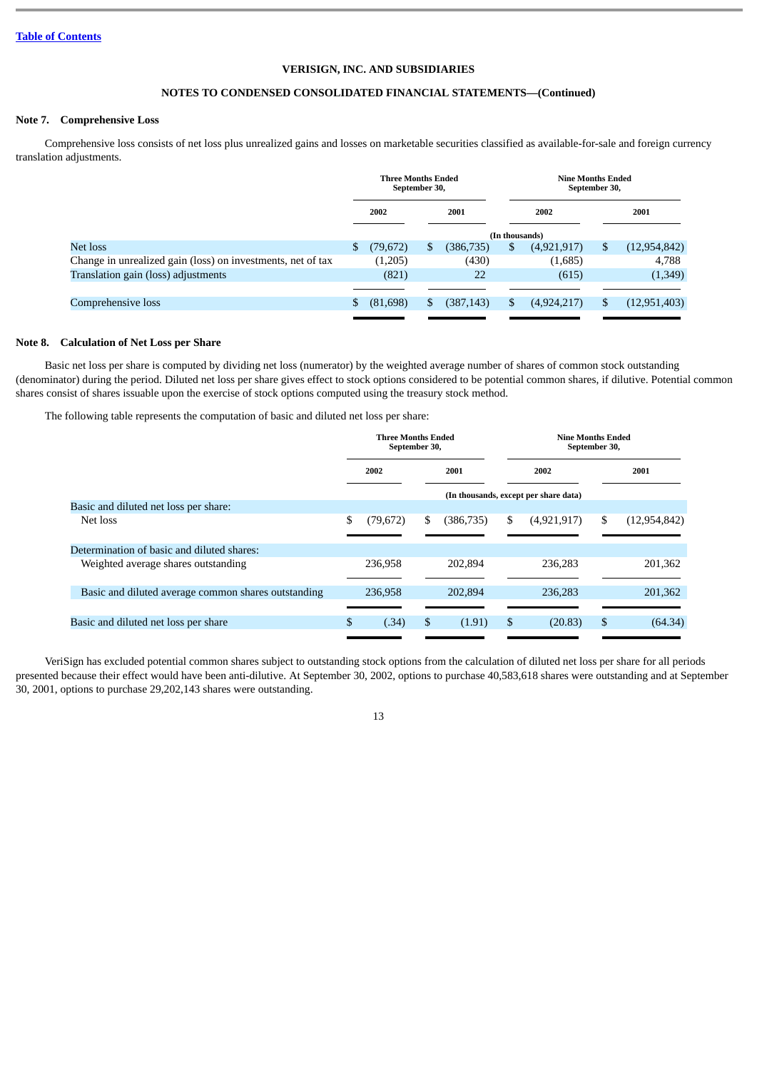## **NOTES TO CONDENSED CONSOLIDATED FINANCIAL STATEMENTS—(Continued)**

## **Note 7. Comprehensive Loss**

Comprehensive loss consists of net loss plus unrealized gains and losses on marketable securities classified as available-for-sale and foreign currency translation adjustments.

|                                                             | <b>Three Months Ended</b><br>September 30, |           |      |            | <b>Nine Months Ended</b><br>September 30, |             |  |                |
|-------------------------------------------------------------|--------------------------------------------|-----------|------|------------|-------------------------------------------|-------------|--|----------------|
|                                                             | 2002                                       |           | 2001 |            | 2002                                      |             |  | 2001           |
|                                                             |                                            |           |      |            | (In thousands)                            |             |  |                |
| Net loss                                                    | S.                                         | (79,672)  | S    | (386, 735) | S                                         | (4,921,917) |  | (12, 954, 842) |
| Change in unrealized gain (loss) on investments, net of tax |                                            | (1,205)   |      | (430)      |                                           | (1,685)     |  | 4,788          |
| Translation gain (loss) adjustments                         |                                            | (821)     |      | 22         |                                           | (615)       |  | (1, 349)       |
|                                                             |                                            |           |      |            |                                           |             |  |                |
| Comprehensive loss                                          | \$.                                        | (81, 698) |      | (387, 143) | S                                         | (4,924,217) |  | (12, 951, 403) |
|                                                             |                                            |           |      |            |                                           |             |  |                |

#### **Note 8. Calculation of Net Loss per Share**

Basic net loss per share is computed by dividing net loss (numerator) by the weighted average number of shares of common stock outstanding (denominator) during the period. Diluted net loss per share gives effect to stock options considered to be potential common shares, if dilutive. Potential common shares consist of shares issuable upon the exercise of stock options computed using the treasury stock method.

The following table represents the computation of basic and diluted net loss per share:

| <b>Three Months Ended</b><br>September 30, |              |         | <b>Nine Months Ended</b><br>September 30, |         |             |                                                  |                |
|--------------------------------------------|--------------|---------|-------------------------------------------|---------|-------------|--------------------------------------------------|----------------|
|                                            | 2002<br>2001 |         | 2002                                      |         |             | 2001                                             |                |
|                                            |              |         |                                           |         |             |                                                  |                |
|                                            |              |         |                                           |         |             |                                                  |                |
| \$                                         | (79, 672)    | \$      | (386, 735)                                | \$      | (4,921,917) | \$                                               | (12, 954, 842) |
|                                            |              |         |                                           |         |             |                                                  |                |
|                                            | 236,958      |         | 202.894                                   |         | 236,283     |                                                  | 201,362        |
|                                            |              |         |                                           |         |             |                                                  |                |
|                                            |              |         |                                           |         |             |                                                  | 201,362        |
|                                            |              |         |                                           |         |             |                                                  |                |
| \$                                         | (.34)        | \$      | (1.91)                                    | S       | (20.83)     | \$                                               | (64.34)        |
|                                            |              | 236,958 |                                           | 202.894 |             | (In thousands, except per share data)<br>236,283 |                |

VeriSign has excluded potential common shares subject to outstanding stock options from the calculation of diluted net loss per share for all periods presented because their effect would have been anti-dilutive. At September 30, 2002, options to purchase 40,583,618 shares were outstanding and at September 30, 2001, options to purchase 29,202,143 shares were outstanding.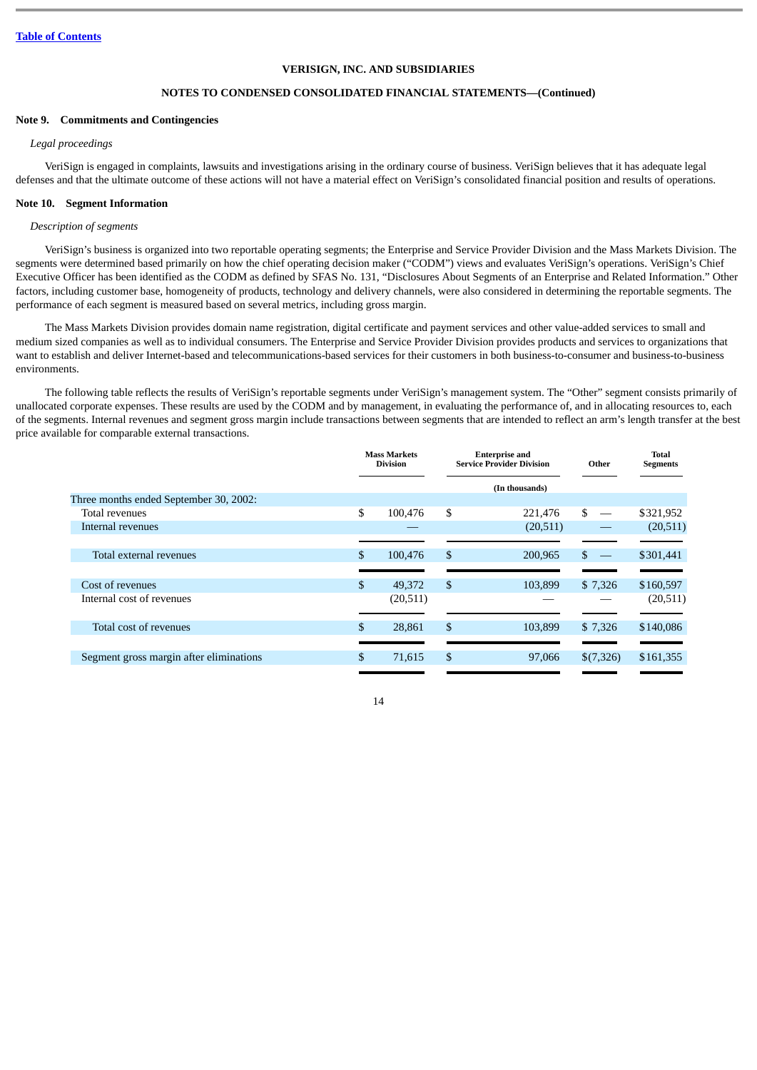# **NOTES TO CONDENSED CONSOLIDATED FINANCIAL STATEMENTS—(Continued)**

#### **Note 9. Commitments and Contingencies**

#### *Legal proceedings*

VeriSign is engaged in complaints, lawsuits and investigations arising in the ordinary course of business. VeriSign believes that it has adequate legal defenses and that the ultimate outcome of these actions will not have a material effect on VeriSign's consolidated financial position and results of operations.

# **Note 10. Segment Information**

#### *Description of segments*

VeriSign's business is organized into two reportable operating segments; the Enterprise and Service Provider Division and the Mass Markets Division. The segments were determined based primarily on how the chief operating decision maker ("CODM") views and evaluates VeriSign's operations. VeriSign's Chief Executive Officer has been identified as the CODM as defined by SFAS No. 131, "Disclosures About Segments of an Enterprise and Related Information." Other factors, including customer base, homogeneity of products, technology and delivery channels, were also considered in determining the reportable segments. The performance of each segment is measured based on several metrics, including gross margin.

The Mass Markets Division provides domain name registration, digital certificate and payment services and other value-added services to small and medium sized companies as well as to individual consumers. The Enterprise and Service Provider Division provides products and services to organizations that want to establish and deliver Internet-based and telecommunications-based services for their customers in both business-to-consumer and business-to-business environments.

The following table reflects the results of VeriSign's reportable segments under VeriSign's management system. The "Other" segment consists primarily of unallocated corporate expenses. These results are used by the CODM and by management, in evaluating the performance of, and in allocating resources to, each of the segments. Internal revenues and segment gross margin include transactions between segments that are intended to reflect an arm's length transfer at the best price available for comparable external transactions.

|                                         | <b>Mass Markets</b><br><b>Division</b> | <b>Enterprise and</b><br><b>Service Provider Division</b> |                | Other     | Total<br><b>Segments</b> |
|-----------------------------------------|----------------------------------------|-----------------------------------------------------------|----------------|-----------|--------------------------|
|                                         |                                        |                                                           | (In thousands) |           |                          |
| Three months ended September 30, 2002:  |                                        |                                                           |                |           |                          |
| Total revenues                          | \$<br>100.476                          | \$                                                        | 221,476        | \$        | \$321,952                |
| Internal revenues                       |                                        |                                                           | (20,511)       |           | (20,511)                 |
|                                         |                                        |                                                           |                |           |                          |
| Total external revenues                 | \$<br>100,476                          | \$                                                        | 200,965        | \$        | \$301,441                |
|                                         |                                        |                                                           |                |           |                          |
| Cost of revenues                        | \$<br>49,372                           | \$                                                        | 103,899        | \$7,326   | \$160,597                |
| Internal cost of revenues               | (20,511)                               |                                                           |                |           | (20,511)                 |
|                                         |                                        |                                                           |                |           |                          |
| Total cost of revenues                  | \$<br>28,861                           | \$                                                        | 103.899        | \$7,326   | \$140,086                |
|                                         |                                        |                                                           |                |           |                          |
| Segment gross margin after eliminations | \$<br>71,615                           | \$                                                        | 97,066         | \$(7,326) | \$161,355                |
|                                         |                                        |                                                           |                |           |                          |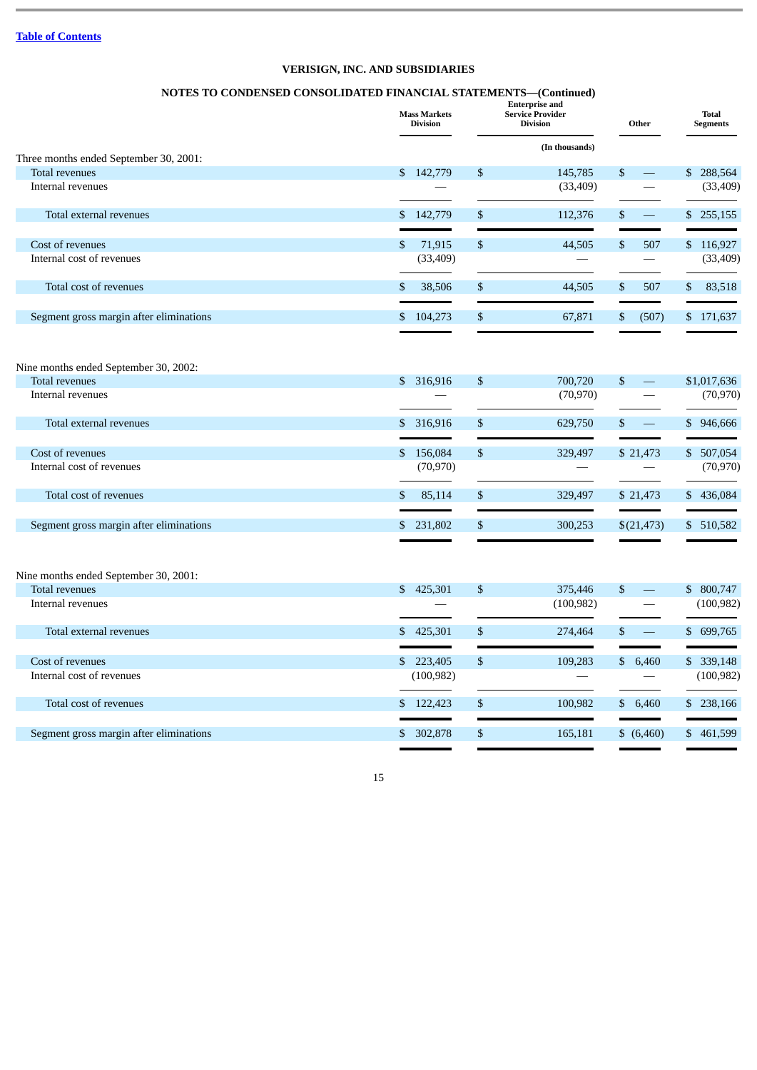# **NOTES TO CONDENSED CONSOLIDATED FINANCIAL STATEMENTS—(Continued)**

|                                         | <b>Mass Markets</b><br><b>Division</b> | <b>Enterprise and</b><br><b>Service Provider</b><br><b>Division</b> |                | Other |                          | <b>Total</b><br><b>Segments</b> |             |
|-----------------------------------------|----------------------------------------|---------------------------------------------------------------------|----------------|-------|--------------------------|---------------------------------|-------------|
|                                         |                                        |                                                                     | (In thousands) |       |                          |                                 |             |
| Three months ended September 30, 2001:  | \$142,779                              |                                                                     |                |       | $\frac{1}{2}$            |                                 | \$288,564   |
| Total revenues<br>Internal revenues     |                                        | \$                                                                  | 145,785        | \$    | $\qquad \qquad$          |                                 |             |
|                                         |                                        |                                                                     | (33, 409)      |       |                          |                                 | (33, 409)   |
| Total external revenues                 | 142,779<br>S.                          | \$                                                                  | 112,376        | \$    | $\equiv$                 |                                 | \$255,155   |
| Cost of revenues                        | 71,915<br>\$                           | $\mathbb{S}$                                                        | 44,505         | \$    | 507                      |                                 | \$116,927   |
| Internal cost of revenues               | (33, 409)                              |                                                                     |                |       |                          |                                 | (33, 409)   |
| Total cost of revenues                  | \$<br>38,506                           | \$                                                                  | 44,505         | \$    | 507                      | \$                              | 83,518      |
| Segment gross margin after eliminations | 104,273<br>\$                          | \$                                                                  | 67,871         | \$    | (507)                    |                                 | \$171,637   |
| Nine months ended September 30, 2002:   |                                        |                                                                     |                |       |                          |                                 |             |
| <b>Total revenues</b>                   | \$ 316,916                             | \$                                                                  | 700,720        | \$    | $\overline{\phantom{m}}$ |                                 | \$1,017,636 |
| Internal revenues                       |                                        |                                                                     | (70, 970)      |       |                          |                                 | (70, 970)   |
| Total external revenues                 | \$ 316,916                             | \$                                                                  | 629,750        | \$    |                          |                                 | \$946,666   |
| Cost of revenues                        | \$156,084                              | $\mathbb{S}$                                                        | 329,497        |       | \$21,473                 |                                 | \$ 507,054  |
| Internal cost of revenues               | (70, 970)                              |                                                                     |                |       |                          |                                 | (70, 970)   |
| Total cost of revenues                  | \$<br>85,114                           | \$                                                                  | 329,497        |       | \$21,473                 |                                 | \$436,084   |
| Segment gross margin after eliminations | 231,802<br>\$                          | \$                                                                  | 300,253        |       | \$(21, 473)              |                                 | \$ 510,582  |
|                                         |                                        |                                                                     |                |       |                          |                                 |             |
| Nine months ended September 30, 2001:   |                                        |                                                                     |                |       |                          |                                 |             |
| Total revenues                          | 425,301<br>\$                          | \$                                                                  | 375,446        | \$    | $\frac{1}{2}$            |                                 | \$ 800,747  |
| Internal revenues                       |                                        |                                                                     | (100, 982)     |       |                          |                                 | (100, 982)  |
| Total external revenues                 | \$425,301                              | \$                                                                  | 274,464        | \$    |                          |                                 | \$699,765   |
| Cost of revenues                        | \$223,405                              | \$                                                                  | 109,283        |       | \$6,460                  |                                 | \$ 339,148  |
| Internal cost of revenues               | (100, 982)                             |                                                                     |                |       |                          |                                 | (100, 982)  |
| Total cost of revenues                  | \$122,423                              | \$                                                                  | 100,982        |       | \$6,460                  |                                 | \$238,166   |
| Segment gross margin after eliminations | \$ 302,878                             | \$                                                                  | 165,181        |       | \$ (6,460)               |                                 | \$461,599   |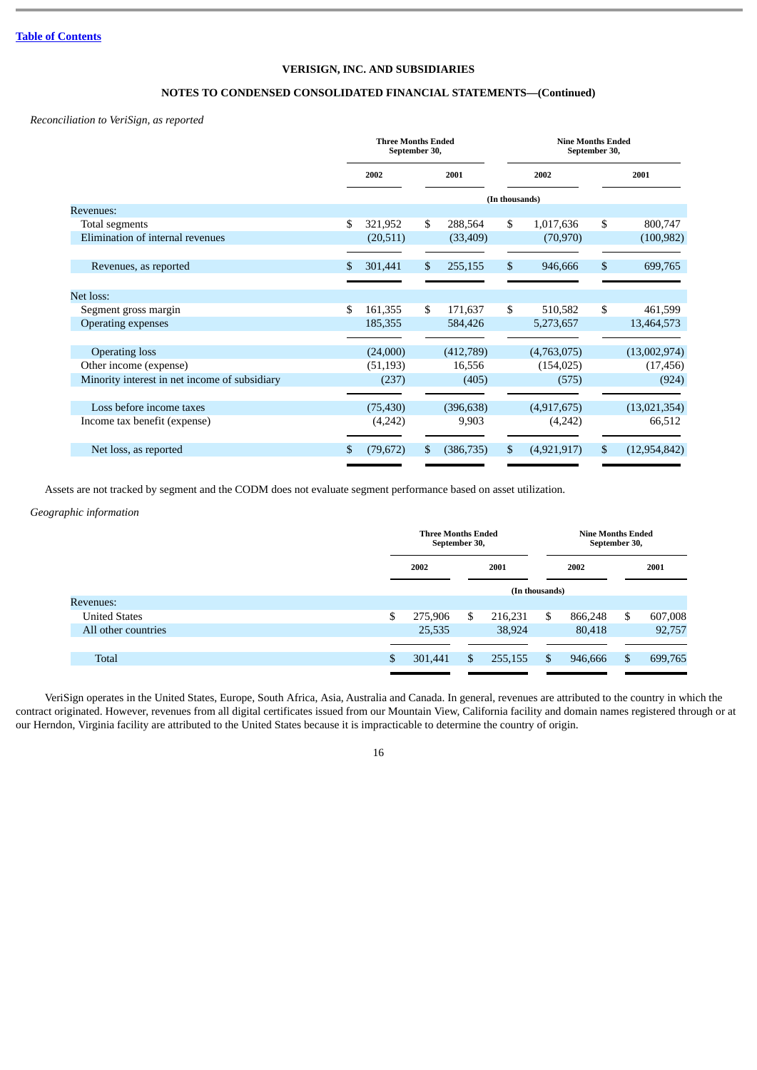# **NOTES TO CONDENSED CONSOLIDATED FINANCIAL STATEMENTS—(Continued)**

# *Reconciliation to VeriSign, as reported*

|                                               | <b>Three Months Ended</b><br>September 30, |    |            | <b>Nine Months Ended</b><br>September 30, |             |    |                |
|-----------------------------------------------|--------------------------------------------|----|------------|-------------------------------------------|-------------|----|----------------|
|                                               | 2002                                       |    | 2001       |                                           | 2002        |    | 2001           |
|                                               |                                            |    |            | (In thousands)                            |             |    |                |
| Revenues:                                     |                                            |    |            |                                           |             |    |                |
| Total segments                                | \$<br>321,952                              | \$ | 288,564    | \$                                        | 1,017,636   | \$ | 800,747        |
| Elimination of internal revenues              | (20, 511)                                  |    | (33, 409)  |                                           | (70, 970)   |    | (100, 982)     |
|                                               |                                            |    |            |                                           |             |    |                |
| Revenues, as reported                         | \$<br>301,441                              | \$ | 255,155    | \$                                        | 946,666     | \$ | 699,765        |
|                                               |                                            |    |            |                                           |             |    |                |
| Net loss:                                     |                                            |    |            |                                           |             |    |                |
| Segment gross margin                          | \$<br>161,355                              | \$ | 171,637    | \$                                        | 510,582     | \$ | 461,599        |
| <b>Operating expenses</b>                     | 185,355                                    |    | 584,426    |                                           | 5,273,657   |    | 13,464,573     |
|                                               |                                            |    |            |                                           |             |    |                |
| <b>Operating loss</b>                         | (24,000)                                   |    | (412,789)  |                                           | (4,763,075) |    | (13,002,974)   |
| Other income (expense)                        | (51, 193)                                  |    | 16,556     |                                           | (154, 025)  |    | (17, 456)      |
| Minority interest in net income of subsidiary | (237)                                      |    | (405)      |                                           | (575)       |    | (924)          |
|                                               |                                            |    |            |                                           |             |    |                |
| Loss before income taxes                      | (75, 430)                                  |    | (396, 638) |                                           | (4,917,675) |    | (13,021,354)   |
| Income tax benefit (expense)                  | (4,242)                                    |    | 9,903      |                                           | (4,242)     |    | 66,512         |
|                                               |                                            |    |            |                                           |             |    |                |
| Net loss, as reported                         | \$<br>(79, 672)                            | \$ | (386, 735) | \$                                        | (4,921,917) | S. | (12, 954, 842) |
|                                               |                                            |    |            |                                           |             |    |                |

Assets are not tracked by segment and the CODM does not evaluate segment performance based on asset utilization.

# *Geographic information*

|                      | <b>Three Months Ended</b><br>September 30, |    |         |                | <b>Nine Months Ended</b><br>September 30, |      |         |  |
|----------------------|--------------------------------------------|----|---------|----------------|-------------------------------------------|------|---------|--|
|                      | 2002                                       |    | 2001    | 2002           |                                           | 2001 |         |  |
|                      |                                            |    |         | (In thousands) |                                           |      |         |  |
| Revenues:            |                                            |    |         |                |                                           |      |         |  |
| <b>United States</b> | \$<br>275,906                              | \$ | 216,231 | \$             | 866,248                                   | \$   | 607,008 |  |
| All other countries  | 25,535                                     |    | 38,924  |                | 80,418                                    |      | 92,757  |  |
|                      |                                            |    |         |                |                                           |      |         |  |
| <b>Total</b>         | \$<br>301,441                              | \$ | 255,155 | \$             | 946,666                                   | S    | 699,765 |  |

VeriSign operates in the United States, Europe, South Africa, Asia, Australia and Canada. In general, revenues are attributed to the country in which the contract originated. However, revenues from all digital certificates issued from our Mountain View, California facility and domain names registered through or at our Herndon, Virginia facility are attributed to the United States because it is impracticable to determine the country of origin.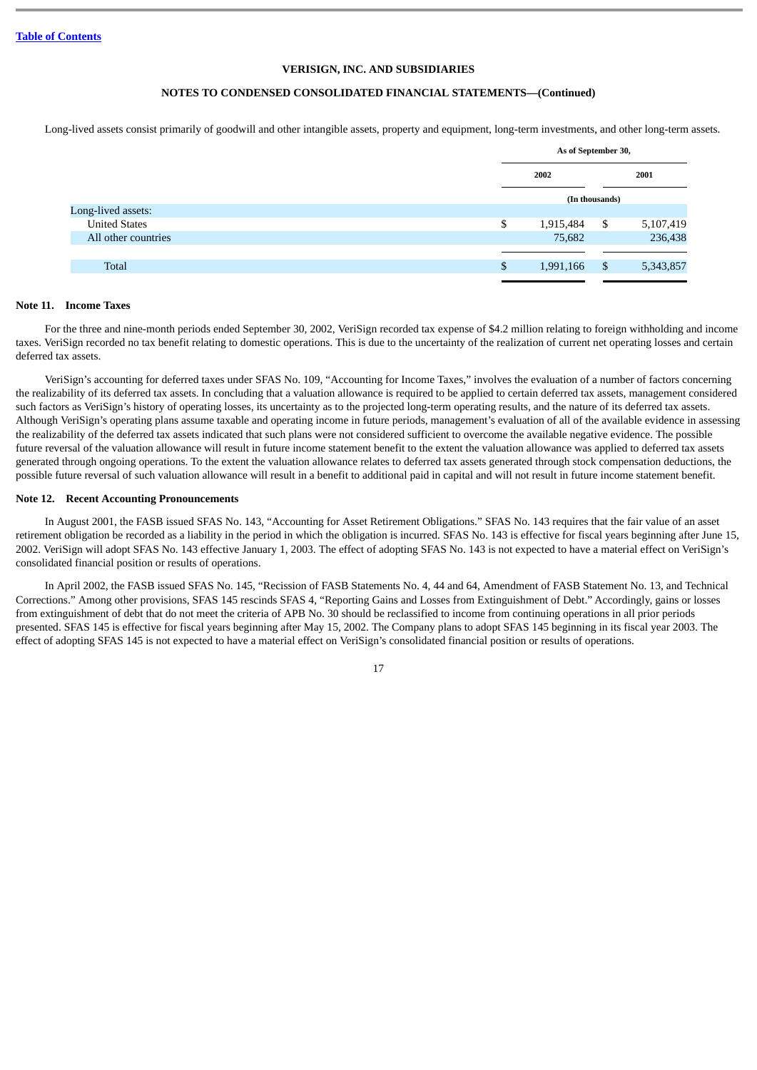# **NOTES TO CONDENSED CONSOLIDATED FINANCIAL STATEMENTS—(Continued)**

Long-lived assets consist primarily of goodwill and other intangible assets, property and equipment, long-term investments, and other long-term assets.

|                      | As of September 30, |                |           |  |  |
|----------------------|---------------------|----------------|-----------|--|--|
|                      | 2002                |                | 2001      |  |  |
|                      |                     | (In thousands) |           |  |  |
| Long-lived assets:   |                     |                |           |  |  |
| <b>United States</b> | \$<br>1,915,484     | \$             | 5,107,419 |  |  |
| All other countries  | 75,682              |                | 236,438   |  |  |
|                      |                     |                |           |  |  |
| <b>Total</b>         | \$<br>1,991,166     | \$             | 5,343,857 |  |  |
|                      |                     |                |           |  |  |

#### **Note 11. Income Taxes**

For the three and nine-month periods ended September 30, 2002, VeriSign recorded tax expense of \$4.2 million relating to foreign withholding and income taxes. VeriSign recorded no tax benefit relating to domestic operations. This is due to the uncertainty of the realization of current net operating losses and certain deferred tax assets.

VeriSign's accounting for deferred taxes under SFAS No. 109, "Accounting for Income Taxes," involves the evaluation of a number of factors concerning the realizability of its deferred tax assets. In concluding that a valuation allowance is required to be applied to certain deferred tax assets, management considered such factors as VeriSign's history of operating losses, its uncertainty as to the projected long-term operating results, and the nature of its deferred tax assets. Although VeriSign's operating plans assume taxable and operating income in future periods, management's evaluation of all of the available evidence in assessing the realizability of the deferred tax assets indicated that such plans were not considered sufficient to overcome the available negative evidence. The possible future reversal of the valuation allowance will result in future income statement benefit to the extent the valuation allowance was applied to deferred tax assets generated through ongoing operations. To the extent the valuation allowance relates to deferred tax assets generated through stock compensation deductions, the possible future reversal of such valuation allowance will result in a benefit to additional paid in capital and will not result in future income statement benefit.

#### **Note 12. Recent Accounting Pronouncements**

In August 2001, the FASB issued SFAS No. 143, "Accounting for Asset Retirement Obligations." SFAS No. 143 requires that the fair value of an asset retirement obligation be recorded as a liability in the period in which the obligation is incurred. SFAS No. 143 is effective for fiscal years beginning after June 15, 2002. VeriSign will adopt SFAS No. 143 effective January 1, 2003. The effect of adopting SFAS No. 143 is not expected to have a material effect on VeriSign's consolidated financial position or results of operations.

In April 2002, the FASB issued SFAS No. 145, "Recission of FASB Statements No. 4, 44 and 64, Amendment of FASB Statement No. 13, and Technical Corrections." Among other provisions, SFAS 145 rescinds SFAS 4, "Reporting Gains and Losses from Extinguishment of Debt." Accordingly, gains or losses from extinguishment of debt that do not meet the criteria of APB No. 30 should be reclassified to income from continuing operations in all prior periods presented. SFAS 145 is effective for fiscal years beginning after May 15, 2002. The Company plans to adopt SFAS 145 beginning in its fiscal year 2003. The effect of adopting SFAS 145 is not expected to have a material effect on VeriSign's consolidated financial position or results of operations.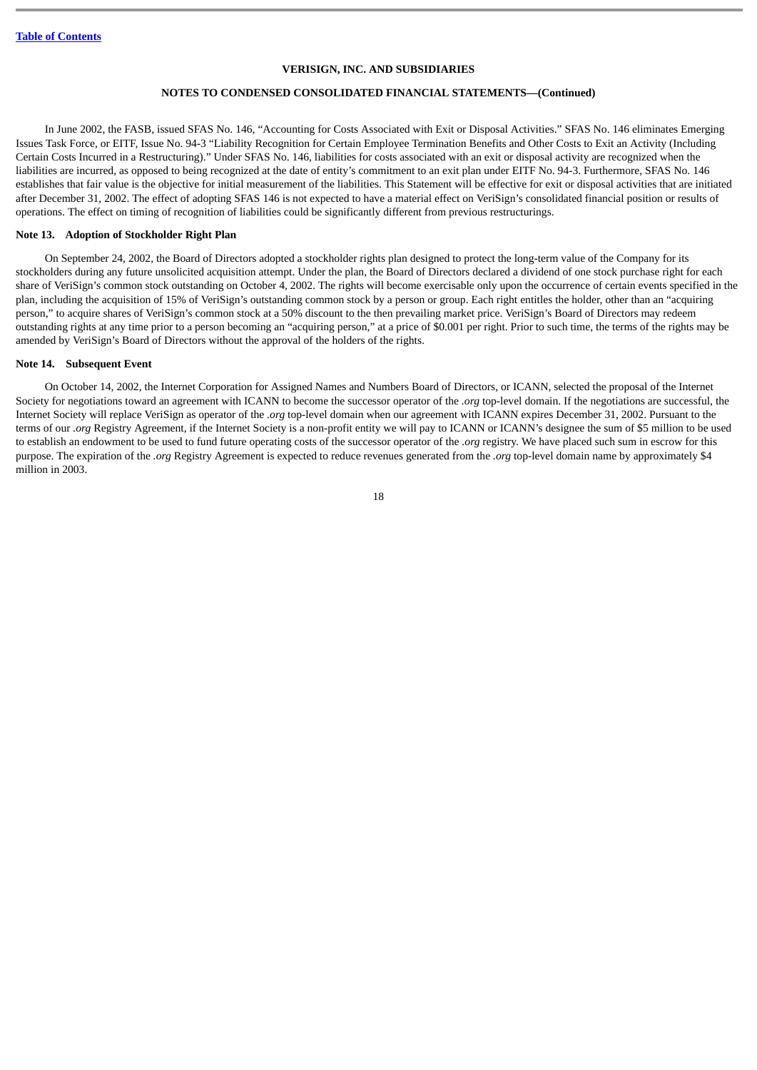# **NOTES TO CONDENSED CONSOLIDATED FINANCIAL STATEMENTS—(Continued)**

In June 2002, the FASB, issued SFAS No. 146, "Accounting for Costs Associated with Exit or Disposal Activities." SFAS No. 146 eliminates Emerging Issues Task Force, or EITF, Issue No. 94-3 "Liability Recognition for Certain Employee Termination Benefits and Other Costs to Exit an Activity (Including Certain Costs Incurred in a Restructuring)." Under SFAS No. 146, liabilities for costs associated with an exit or disposal activity are recognized when the liabilities are incurred, as opposed to being recognized at the date of entity's commitment to an exit plan under EITF No. 94-3. Furthermore, SFAS No. 146 establishes that fair value is the objective for initial measurement of the liabilities. This Statement will be effective for exit or disposal activities that are initiated after December 31, 2002. The effect of adopting SFAS 146 is not expected to have a material effect on VeriSign's consolidated financial position or results of operations. The effect on timing of recognition of liabilities could be significantly different from previous restructurings.

#### **Note 13. Adoption of Stockholder Right Plan**

On September 24, 2002, the Board of Directors adopted a stockholder rights plan designed to protect the long-term value of the Company for its stockholders during any future unsolicited acquisition attempt. Under the plan, the Board of Directors declared a dividend of one stock purchase right for each share of VeriSign's common stock outstanding on October 4, 2002. The rights will become exercisable only upon the occurrence of certain events specified in the plan, including the acquisition of 15% of VeriSign's outstanding common stock by a person or group. Each right entitles the holder, other than an "acquiring person," to acquire shares of VeriSign's common stock at a 50% discount to the then prevailing market price. VeriSign's Board of Directors may redeem outstanding rights at any time prior to a person becoming an "acquiring person," at a price of \$0.001 per right. Prior to such time, the terms of the rights may be amended by VeriSign's Board of Directors without the approval of the holders of the rights.

#### **Note 14. Subsequent Event**

On October 14, 2002, the Internet Corporation for Assigned Names and Numbers Board of Directors, or ICANN, selected the proposal of the Internet Society for negotiations toward an agreement with ICANN to become the successor operator of the *.org* top-level domain. If the negotiations are successful, the Internet Society will replace VeriSign as operator of the *.org* top-level domain when our agreement with ICANN expires December 31, 2002. Pursuant to the terms of our *.org* Registry Agreement, if the Internet Society is a non-profit entity we will pay to ICANN or ICANN's designee the sum of \$5 million to be used to establish an endowment to be used to fund future operating costs of the successor operator of the *.org* registry. We have placed such sum in escrow for this purpose. The expiration of the *.org* Registry Agreement is expected to reduce revenues generated from the *.org* top-level domain name by approximately \$4 million in 2003.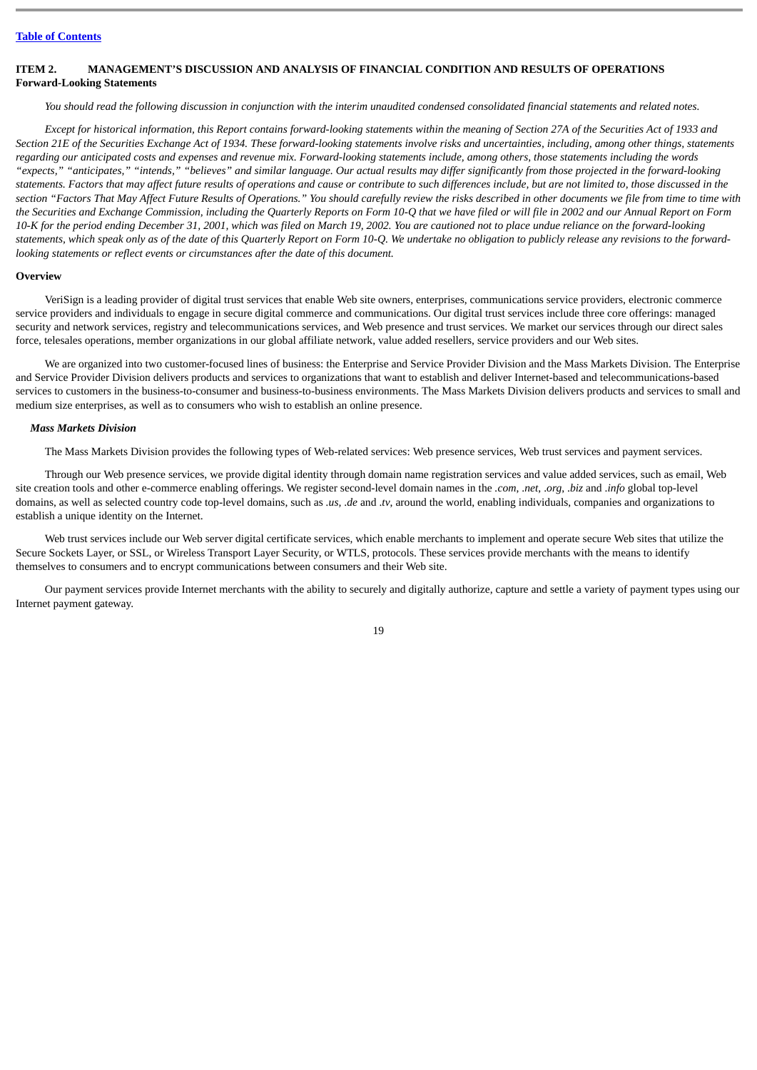# <span id="page-18-0"></span>**ITEM 2. MANAGEMENT'S DISCUSSION AND ANALYSIS OF FINANCIAL CONDITION AND RESULTS OF OPERATIONS Forward-Looking Statements**

*You should read the following discussion in conjunction with the interim unaudited condensed consolidated financial statements and related notes.*

*Except for historical information, this Report contains forward-looking statements within the meaning of Section 27A of the Securities Act of 1933 and Section 21E of the Securities Exchange Act of 1934. These forward-looking statements involve risks and uncertainties, including, among other things, statements regarding our anticipated costs and expenses and revenue mix. Forward-looking statements include, among others, those statements including the words "expects," "anticipates," "intends," "believes" and similar language. Our actual results may differ significantly from those projected in the forward-looking statements. Factors that may affect future results of operations and cause or contribute to such differences include, but are not limited to, those discussed in the section "Factors That May Affect Future Results of Operations." You should carefully review the risks described in other documents we file from time to time with the Securities and Exchange Commission, including the Quarterly Reports on Form 10-Q that we have filed or will file in 2002 and our Annual Report on Form 10-K for the period ending December 31, 2001, which was filed on March 19, 2002. You are cautioned not to place undue reliance on the forward-looking statements, which speak only as of the date of this Quarterly Report on Form 10-Q. We undertake no obligation to publicly release any revisions to the forwardlooking statements or reflect events or circumstances after the date of this document.*

#### **Overview**

VeriSign is a leading provider of digital trust services that enable Web site owners, enterprises, communications service providers, electronic commerce service providers and individuals to engage in secure digital commerce and communications. Our digital trust services include three core offerings: managed security and network services, registry and telecommunications services, and Web presence and trust services. We market our services through our direct sales force, telesales operations, member organizations in our global affiliate network, value added resellers, service providers and our Web sites.

We are organized into two customer-focused lines of business: the Enterprise and Service Provider Division and the Mass Markets Division. The Enterprise and Service Provider Division delivers products and services to organizations that want to establish and deliver Internet-based and telecommunications-based services to customers in the business-to-consumer and business-to-business environments. The Mass Markets Division delivers products and services to small and medium size enterprises, as well as to consumers who wish to establish an online presence.

#### *Mass Markets Division*

The Mass Markets Division provides the following types of Web-related services: Web presence services, Web trust services and payment services.

Through our Web presence services, we provide digital identity through domain name registration services and value added services, such as email, Web site creation tools and other e-commerce enabling offerings. We register second-level domain names in the *.com*, .*net*, .*org*, .*biz* and .*info* global top-level domains, as well as selected country code top-level domains, such as *.us,* .*de* and .*tv*, around the world, enabling individuals, companies and organizations to establish a unique identity on the Internet.

Web trust services include our Web server digital certificate services, which enable merchants to implement and operate secure Web sites that utilize the Secure Sockets Layer, or SSL, or Wireless Transport Layer Security, or WTLS, protocols. These services provide merchants with the means to identify themselves to consumers and to encrypt communications between consumers and their Web site.

Our payment services provide Internet merchants with the ability to securely and digitally authorize, capture and settle a variety of payment types using our Internet payment gateway.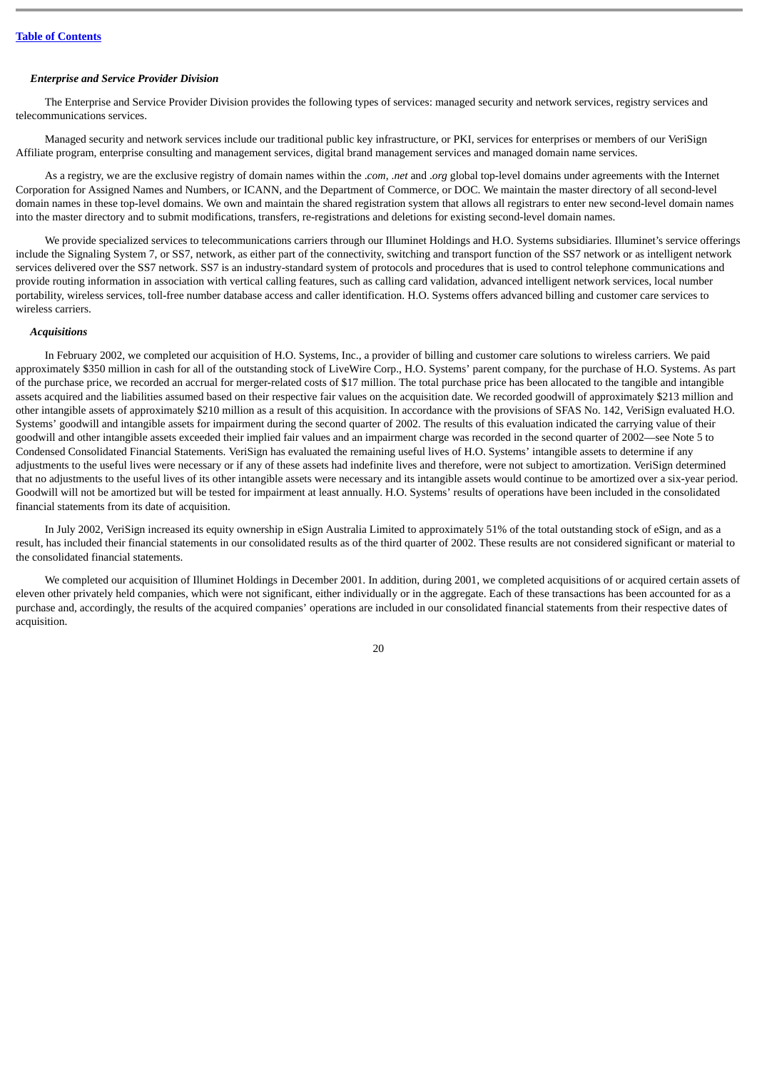# *Enterprise and Service Provider Division*

The Enterprise and Service Provider Division provides the following types of services: managed security and network services, registry services and telecommunications services.

Managed security and network services include our traditional public key infrastructure, or PKI, services for enterprises or members of our VeriSign Affiliate program, enterprise consulting and management services, digital brand management services and managed domain name services.

As a registry, we are the exclusive registry of domain names within the .*com*, .*net* and .*org* global top-level domains under agreements with the Internet Corporation for Assigned Names and Numbers, or ICANN, and the Department of Commerce, or DOC. We maintain the master directory of all second-level domain names in these top-level domains. We own and maintain the shared registration system that allows all registrars to enter new second-level domain names into the master directory and to submit modifications, transfers, re-registrations and deletions for existing second-level domain names.

We provide specialized services to telecommunications carriers through our Illuminet Holdings and H.O. Systems subsidiaries. Illuminet's service offerings include the Signaling System 7, or SS7, network, as either part of the connectivity, switching and transport function of the SS7 network or as intelligent network services delivered over the SS7 network. SS7 is an industry-standard system of protocols and procedures that is used to control telephone communications and provide routing information in association with vertical calling features, such as calling card validation, advanced intelligent network services, local number portability, wireless services, toll-free number database access and caller identification. H.O. Systems offers advanced billing and customer care services to wireless carriers.

#### *Acquisitions*

In February 2002, we completed our acquisition of H.O. Systems, Inc., a provider of billing and customer care solutions to wireless carriers. We paid approximately \$350 million in cash for all of the outstanding stock of LiveWire Corp., H.O. Systems' parent company, for the purchase of H.O. Systems. As part of the purchase price, we recorded an accrual for merger-related costs of \$17 million. The total purchase price has been allocated to the tangible and intangible assets acquired and the liabilities assumed based on their respective fair values on the acquisition date. We recorded goodwill of approximately \$213 million and other intangible assets of approximately \$210 million as a result of this acquisition. In accordance with the provisions of SFAS No. 142, VeriSign evaluated H.O. Systems' goodwill and intangible assets for impairment during the second quarter of 2002. The results of this evaluation indicated the carrying value of their goodwill and other intangible assets exceeded their implied fair values and an impairment charge was recorded in the second quarter of 2002—see Note 5 to Condensed Consolidated Financial Statements. VeriSign has evaluated the remaining useful lives of H.O. Systems' intangible assets to determine if any adjustments to the useful lives were necessary or if any of these assets had indefinite lives and therefore, were not subject to amortization. VeriSign determined that no adjustments to the useful lives of its other intangible assets were necessary and its intangible assets would continue to be amortized over a six-year period. Goodwill will not be amortized but will be tested for impairment at least annually. H.O. Systems' results of operations have been included in the consolidated financial statements from its date of acquisition.

In July 2002, VeriSign increased its equity ownership in eSign Australia Limited to approximately 51% of the total outstanding stock of eSign, and as a result, has included their financial statements in our consolidated results as of the third quarter of 2002. These results are not considered significant or material to the consolidated financial statements.

We completed our acquisition of Illuminet Holdings in December 2001. In addition, during 2001, we completed acquisitions of or acquired certain assets of eleven other privately held companies, which were not significant, either individually or in the aggregate. Each of these transactions has been accounted for as a purchase and, accordingly, the results of the acquired companies' operations are included in our consolidated financial statements from their respective dates of acquisition.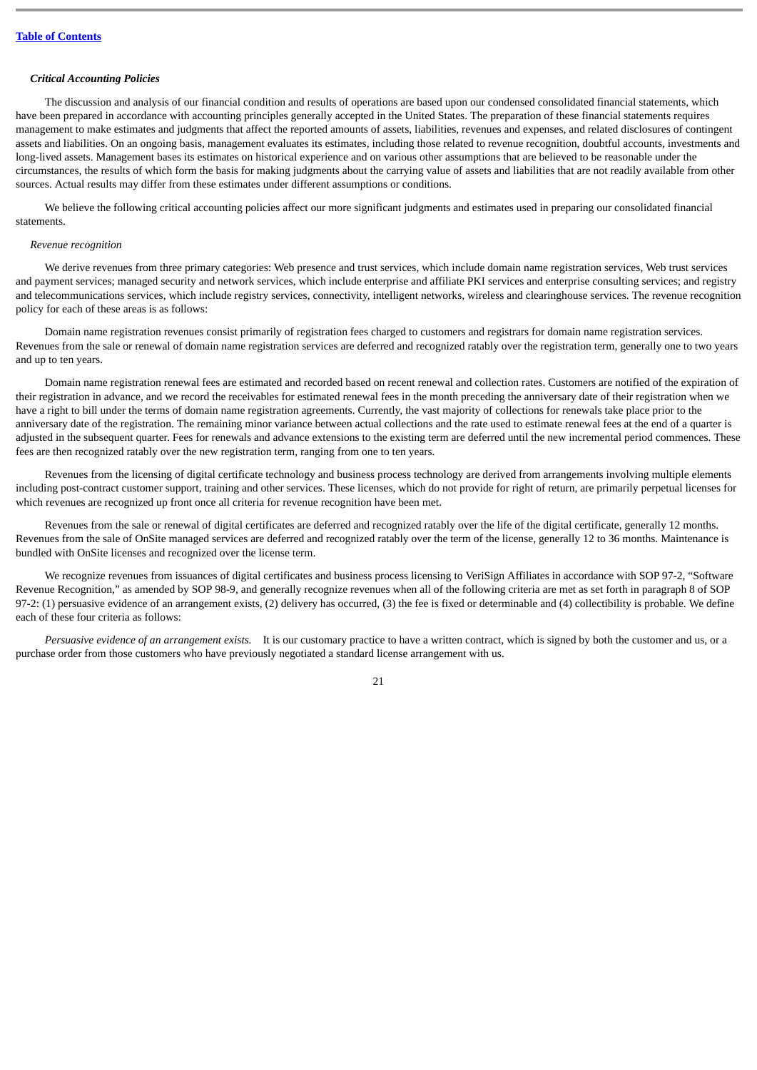# *Critical Accounting Policies*

The discussion and analysis of our financial condition and results of operations are based upon our condensed consolidated financial statements, which have been prepared in accordance with accounting principles generally accepted in the United States. The preparation of these financial statements requires management to make estimates and judgments that affect the reported amounts of assets, liabilities, revenues and expenses, and related disclosures of contingent assets and liabilities. On an ongoing basis, management evaluates its estimates, including those related to revenue recognition, doubtful accounts, investments and long-lived assets. Management bases its estimates on historical experience and on various other assumptions that are believed to be reasonable under the circumstances, the results of which form the basis for making judgments about the carrying value of assets and liabilities that are not readily available from other sources. Actual results may differ from these estimates under different assumptions or conditions.

We believe the following critical accounting policies affect our more significant judgments and estimates used in preparing our consolidated financial statements.

#### *Revenue recognition*

We derive revenues from three primary categories: Web presence and trust services, which include domain name registration services, Web trust services and payment services; managed security and network services, which include enterprise and affiliate PKI services and enterprise consulting services; and registry and telecommunications services, which include registry services, connectivity, intelligent networks, wireless and clearinghouse services. The revenue recognition policy for each of these areas is as follows:

Domain name registration revenues consist primarily of registration fees charged to customers and registrars for domain name registration services. Revenues from the sale or renewal of domain name registration services are deferred and recognized ratably over the registration term, generally one to two years and up to ten years.

Domain name registration renewal fees are estimated and recorded based on recent renewal and collection rates. Customers are notified of the expiration of their registration in advance, and we record the receivables for estimated renewal fees in the month preceding the anniversary date of their registration when we have a right to bill under the terms of domain name registration agreements. Currently, the vast majority of collections for renewals take place prior to the anniversary date of the registration. The remaining minor variance between actual collections and the rate used to estimate renewal fees at the end of a quarter is adjusted in the subsequent quarter. Fees for renewals and advance extensions to the existing term are deferred until the new incremental period commences. These fees are then recognized ratably over the new registration term, ranging from one to ten years.

Revenues from the licensing of digital certificate technology and business process technology are derived from arrangements involving multiple elements including post-contract customer support, training and other services. These licenses, which do not provide for right of return, are primarily perpetual licenses for which revenues are recognized up front once all criteria for revenue recognition have been met.

Revenues from the sale or renewal of digital certificates are deferred and recognized ratably over the life of the digital certificate, generally 12 months. Revenues from the sale of OnSite managed services are deferred and recognized ratably over the term of the license, generally 12 to 36 months. Maintenance is bundled with OnSite licenses and recognized over the license term.

We recognize revenues from issuances of digital certificates and business process licensing to VeriSign Affiliates in accordance with SOP 97-2, "Software Revenue Recognition," as amended by SOP 98-9, and generally recognize revenues when all of the following criteria are met as set forth in paragraph 8 of SOP 97-2: (1) persuasive evidence of an arrangement exists, (2) delivery has occurred, (3) the fee is fixed or determinable and (4) collectibility is probable. We define each of these four criteria as follows:

*Persuasive evidence of an arrangement exists.* It is our customary practice to have a written contract, which is signed by both the customer and us, or a purchase order from those customers who have previously negotiated a standard license arrangement with us.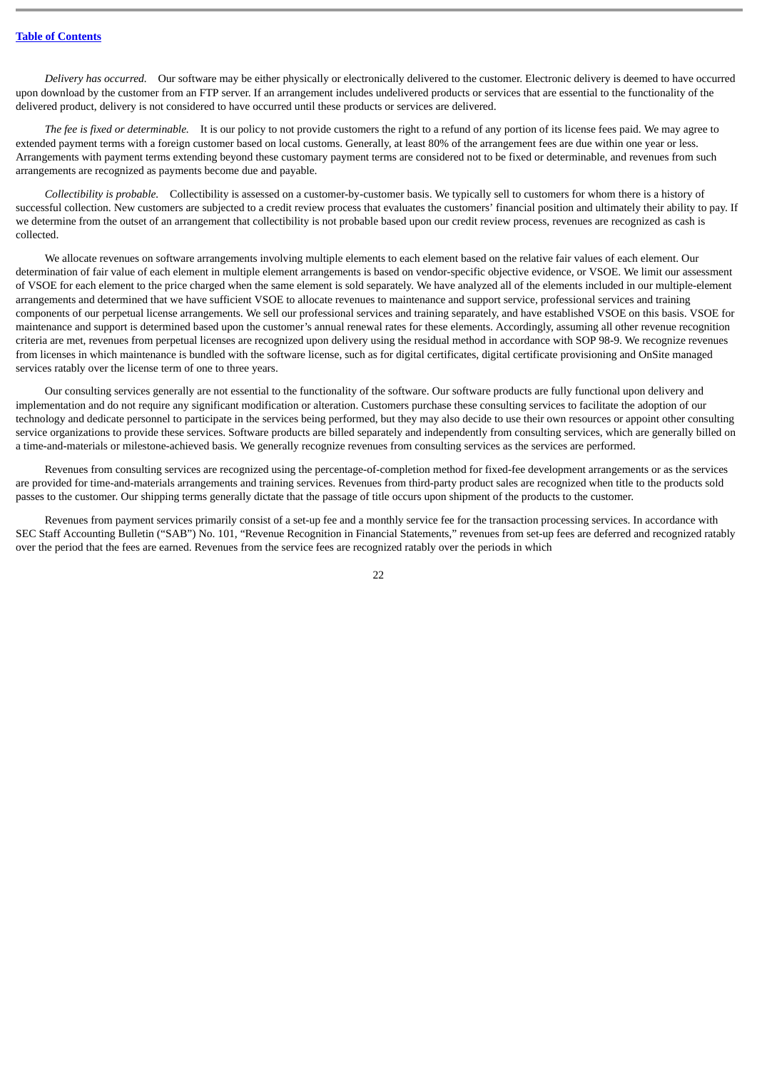*Delivery has occurred.* Our software may be either physically or electronically delivered to the customer. Electronic delivery is deemed to have occurred upon download by the customer from an FTP server. If an arrangement includes undelivered products or services that are essential to the functionality of the delivered product, delivery is not considered to have occurred until these products or services are delivered.

*The fee is fixed or determinable.* It is our policy to not provide customers the right to a refund of any portion of its license fees paid. We may agree to extended payment terms with a foreign customer based on local customs. Generally, at least 80% of the arrangement fees are due within one year or less. Arrangements with payment terms extending beyond these customary payment terms are considered not to be fixed or determinable, and revenues from such arrangements are recognized as payments become due and payable.

*Collectibility is probable.* Collectibility is assessed on a customer-by-customer basis. We typically sell to customers for whom there is a history of successful collection. New customers are subjected to a credit review process that evaluates the customers' financial position and ultimately their ability to pay. If we determine from the outset of an arrangement that collectibility is not probable based upon our credit review process, revenues are recognized as cash is collected.

We allocate revenues on software arrangements involving multiple elements to each element based on the relative fair values of each element. Our determination of fair value of each element in multiple element arrangements is based on vendor-specific objective evidence, or VSOE. We limit our assessment of VSOE for each element to the price charged when the same element is sold separately. We have analyzed all of the elements included in our multiple-element arrangements and determined that we have sufficient VSOE to allocate revenues to maintenance and support service, professional services and training components of our perpetual license arrangements. We sell our professional services and training separately, and have established VSOE on this basis. VSOE for maintenance and support is determined based upon the customer's annual renewal rates for these elements. Accordingly, assuming all other revenue recognition criteria are met, revenues from perpetual licenses are recognized upon delivery using the residual method in accordance with SOP 98-9. We recognize revenues from licenses in which maintenance is bundled with the software license, such as for digital certificates, digital certificate provisioning and OnSite managed services ratably over the license term of one to three years.

Our consulting services generally are not essential to the functionality of the software. Our software products are fully functional upon delivery and implementation and do not require any significant modification or alteration. Customers purchase these consulting services to facilitate the adoption of our technology and dedicate personnel to participate in the services being performed, but they may also decide to use their own resources or appoint other consulting service organizations to provide these services. Software products are billed separately and independently from consulting services, which are generally billed on a time-and-materials or milestone-achieved basis. We generally recognize revenues from consulting services as the services are performed.

Revenues from consulting services are recognized using the percentage-of-completion method for fixed-fee development arrangements or as the services are provided for time-and-materials arrangements and training services. Revenues from third-party product sales are recognized when title to the products sold passes to the customer. Our shipping terms generally dictate that the passage of title occurs upon shipment of the products to the customer.

Revenues from payment services primarily consist of a set-up fee and a monthly service fee for the transaction processing services. In accordance with SEC Staff Accounting Bulletin ("SAB") No. 101, "Revenue Recognition in Financial Statements," revenues from set-up fees are deferred and recognized ratably over the period that the fees are earned. Revenues from the service fees are recognized ratably over the periods in which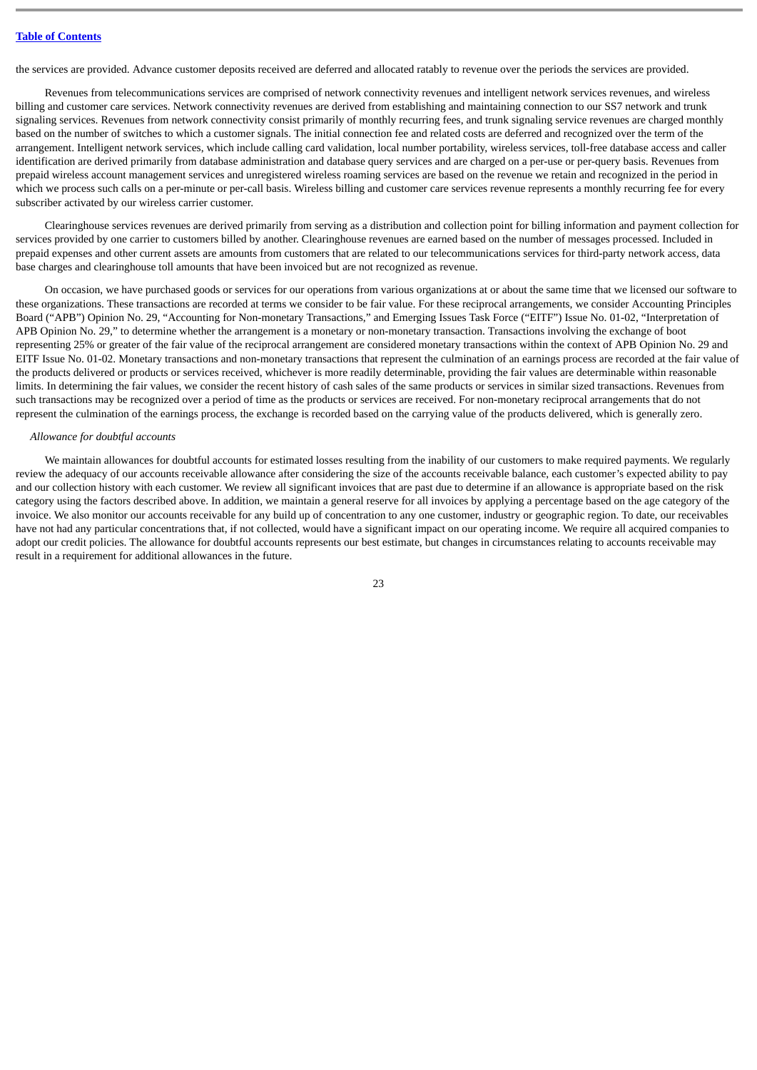the services are provided. Advance customer deposits received are deferred and allocated ratably to revenue over the periods the services are provided.

Revenues from telecommunications services are comprised of network connectivity revenues and intelligent network services revenues, and wireless billing and customer care services. Network connectivity revenues are derived from establishing and maintaining connection to our SS7 network and trunk signaling services. Revenues from network connectivity consist primarily of monthly recurring fees, and trunk signaling service revenues are charged monthly based on the number of switches to which a customer signals. The initial connection fee and related costs are deferred and recognized over the term of the arrangement. Intelligent network services, which include calling card validation, local number portability, wireless services, toll-free database access and caller identification are derived primarily from database administration and database query services and are charged on a per-use or per-query basis. Revenues from prepaid wireless account management services and unregistered wireless roaming services are based on the revenue we retain and recognized in the period in which we process such calls on a per-minute or per-call basis. Wireless billing and customer care services revenue represents a monthly recurring fee for every subscriber activated by our wireless carrier customer.

Clearinghouse services revenues are derived primarily from serving as a distribution and collection point for billing information and payment collection for services provided by one carrier to customers billed by another. Clearinghouse revenues are earned based on the number of messages processed. Included in prepaid expenses and other current assets are amounts from customers that are related to our telecommunications services for third-party network access, data base charges and clearinghouse toll amounts that have been invoiced but are not recognized as revenue.

On occasion, we have purchased goods or services for our operations from various organizations at or about the same time that we licensed our software to these organizations. These transactions are recorded at terms we consider to be fair value. For these reciprocal arrangements, we consider Accounting Principles Board ("APB") Opinion No. 29, "Accounting for Non-monetary Transactions," and Emerging Issues Task Force ("EITF") Issue No. 01-02, "Interpretation of APB Opinion No. 29," to determine whether the arrangement is a monetary or non-monetary transaction. Transactions involving the exchange of boot representing 25% or greater of the fair value of the reciprocal arrangement are considered monetary transactions within the context of APB Opinion No. 29 and EITF Issue No. 01-02. Monetary transactions and non-monetary transactions that represent the culmination of an earnings process are recorded at the fair value of the products delivered or products or services received, whichever is more readily determinable, providing the fair values are determinable within reasonable limits. In determining the fair values, we consider the recent history of cash sales of the same products or services in similar sized transactions. Revenues from such transactions may be recognized over a period of time as the products or services are received. For non-monetary reciprocal arrangements that do not represent the culmination of the earnings process, the exchange is recorded based on the carrying value of the products delivered, which is generally zero.

# *Allowance for doubtful accounts*

We maintain allowances for doubtful accounts for estimated losses resulting from the inability of our customers to make required payments. We regularly review the adequacy of our accounts receivable allowance after considering the size of the accounts receivable balance, each customer's expected ability to pay and our collection history with each customer. We review all significant invoices that are past due to determine if an allowance is appropriate based on the risk category using the factors described above. In addition, we maintain a general reserve for all invoices by applying a percentage based on the age category of the invoice. We also monitor our accounts receivable for any build up of concentration to any one customer, industry or geographic region. To date, our receivables have not had any particular concentrations that, if not collected, would have a significant impact on our operating income. We require all acquired companies to adopt our credit policies. The allowance for doubtful accounts represents our best estimate, but changes in circumstances relating to accounts receivable may result in a requirement for additional allowances in the future.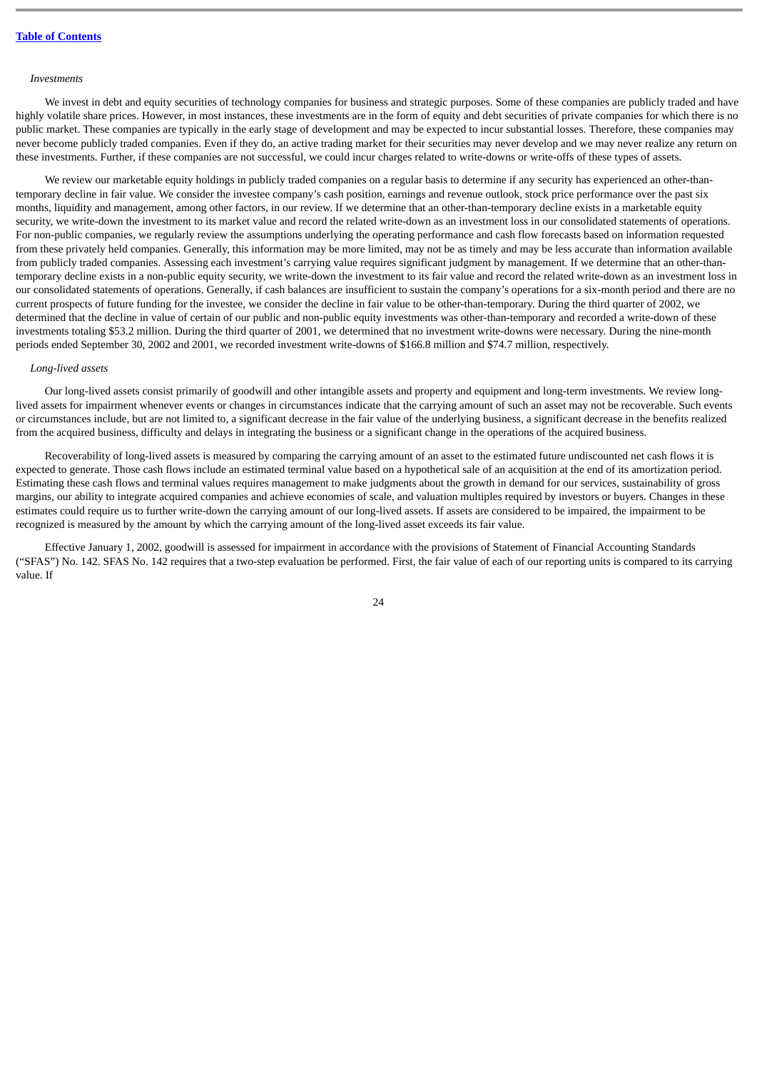#### *Investments*

We invest in debt and equity securities of technology companies for business and strategic purposes. Some of these companies are publicly traded and have highly volatile share prices. However, in most instances, these investments are in the form of equity and debt securities of private companies for which there is no public market. These companies are typically in the early stage of development and may be expected to incur substantial losses. Therefore, these companies may never become publicly traded companies. Even if they do, an active trading market for their securities may never develop and we may never realize any return on these investments. Further, if these companies are not successful, we could incur charges related to write-downs or write-offs of these types of assets.

We review our marketable equity holdings in publicly traded companies on a regular basis to determine if any security has experienced an other-thantemporary decline in fair value. We consider the investee company's cash position, earnings and revenue outlook, stock price performance over the past six months, liquidity and management, among other factors, in our review. If we determine that an other-than-temporary decline exists in a marketable equity security, we write-down the investment to its market value and record the related write-down as an investment loss in our consolidated statements of operations. For non-public companies, we regularly review the assumptions underlying the operating performance and cash flow forecasts based on information requested from these privately held companies. Generally, this information may be more limited, may not be as timely and may be less accurate than information available from publicly traded companies. Assessing each investment's carrying value requires significant judgment by management. If we determine that an other-thantemporary decline exists in a non-public equity security, we write-down the investment to its fair value and record the related write-down as an investment loss in our consolidated statements of operations. Generally, if cash balances are insufficient to sustain the company's operations for a six-month period and there are no current prospects of future funding for the investee, we consider the decline in fair value to be other-than-temporary. During the third quarter of 2002, we determined that the decline in value of certain of our public and non-public equity investments was other-than-temporary and recorded a write-down of these investments totaling \$53.2 million. During the third quarter of 2001, we determined that no investment write-downs were necessary. During the nine-month periods ended September 30, 2002 and 2001, we recorded investment write-downs of \$166.8 million and \$74.7 million, respectively.

### *Long-lived assets*

Our long-lived assets consist primarily of goodwill and other intangible assets and property and equipment and long-term investments. We review longlived assets for impairment whenever events or changes in circumstances indicate that the carrying amount of such an asset may not be recoverable. Such events or circumstances include, but are not limited to, a significant decrease in the fair value of the underlying business, a significant decrease in the benefits realized from the acquired business, difficulty and delays in integrating the business or a significant change in the operations of the acquired business.

Recoverability of long-lived assets is measured by comparing the carrying amount of an asset to the estimated future undiscounted net cash flows it is expected to generate. Those cash flows include an estimated terminal value based on a hypothetical sale of an acquisition at the end of its amortization period. Estimating these cash flows and terminal values requires management to make judgments about the growth in demand for our services, sustainability of gross margins, our ability to integrate acquired companies and achieve economies of scale, and valuation multiples required by investors or buyers. Changes in these estimates could require us to further write-down the carrying amount of our long-lived assets. If assets are considered to be impaired, the impairment to be recognized is measured by the amount by which the carrying amount of the long-lived asset exceeds its fair value.

Effective January 1, 2002, goodwill is assessed for impairment in accordance with the provisions of Statement of Financial Accounting Standards ("SFAS") No. 142. SFAS No. 142 requires that a two-step evaluation be performed. First, the fair value of each of our reporting units is compared to its carrying value. If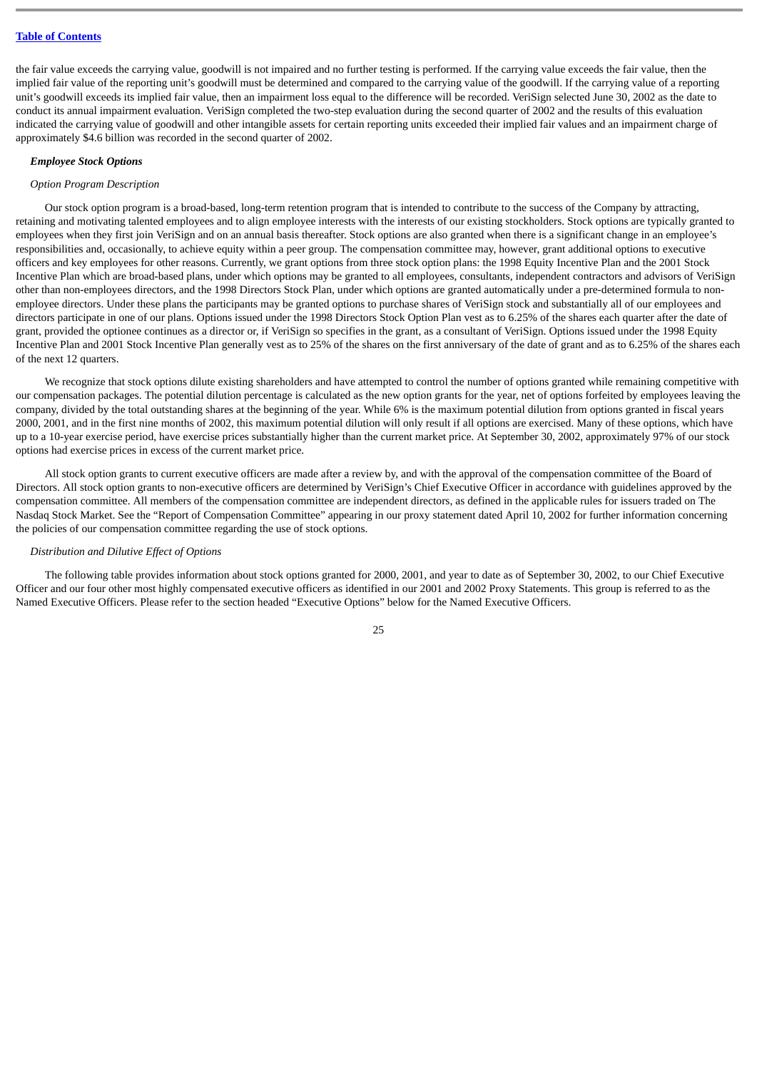the fair value exceeds the carrying value, goodwill is not impaired and no further testing is performed. If the carrying value exceeds the fair value, then the implied fair value of the reporting unit's goodwill must be determined and compared to the carrying value of the goodwill. If the carrying value of a reporting unit's goodwill exceeds its implied fair value, then an impairment loss equal to the difference will be recorded. VeriSign selected June 30, 2002 as the date to conduct its annual impairment evaluation. VeriSign completed the two-step evaluation during the second quarter of 2002 and the results of this evaluation indicated the carrying value of goodwill and other intangible assets for certain reporting units exceeded their implied fair values and an impairment charge of approximately \$4.6 billion was recorded in the second quarter of 2002.

#### *Employee Stock Options*

#### *Option Program Description*

Our stock option program is a broad-based, long-term retention program that is intended to contribute to the success of the Company by attracting, retaining and motivating talented employees and to align employee interests with the interests of our existing stockholders. Stock options are typically granted to employees when they first join VeriSign and on an annual basis thereafter. Stock options are also granted when there is a significant change in an employee's responsibilities and, occasionally, to achieve equity within a peer group. The compensation committee may, however, grant additional options to executive officers and key employees for other reasons. Currently, we grant options from three stock option plans: the 1998 Equity Incentive Plan and the 2001 Stock Incentive Plan which are broad-based plans, under which options may be granted to all employees, consultants, independent contractors and advisors of VeriSign other than non-employees directors, and the 1998 Directors Stock Plan, under which options are granted automatically under a pre-determined formula to nonemployee directors. Under these plans the participants may be granted options to purchase shares of VeriSign stock and substantially all of our employees and directors participate in one of our plans. Options issued under the 1998 Directors Stock Option Plan vest as to 6.25% of the shares each quarter after the date of grant, provided the optionee continues as a director or, if VeriSign so specifies in the grant, as a consultant of VeriSign. Options issued under the 1998 Equity Incentive Plan and 2001 Stock Incentive Plan generally vest as to 25% of the shares on the first anniversary of the date of grant and as to 6.25% of the shares each of the next 12 quarters.

We recognize that stock options dilute existing shareholders and have attempted to control the number of options granted while remaining competitive with our compensation packages. The potential dilution percentage is calculated as the new option grants for the year, net of options forfeited by employees leaving the company, divided by the total outstanding shares at the beginning of the year. While 6% is the maximum potential dilution from options granted in fiscal years 2000, 2001, and in the first nine months of 2002, this maximum potential dilution will only result if all options are exercised. Many of these options, which have up to a 10-year exercise period, have exercise prices substantially higher than the current market price. At September 30, 2002, approximately 97% of our stock options had exercise prices in excess of the current market price.

All stock option grants to current executive officers are made after a review by, and with the approval of the compensation committee of the Board of Directors. All stock option grants to non-executive officers are determined by VeriSign's Chief Executive Officer in accordance with guidelines approved by the compensation committee. All members of the compensation committee are independent directors, as defined in the applicable rules for issuers traded on The Nasdaq Stock Market. See the "Report of Compensation Committee" appearing in our proxy statement dated April 10, 2002 for further information concerning the policies of our compensation committee regarding the use of stock options.

#### *Distribution and Dilutive Effect of Options*

The following table provides information about stock options granted for 2000, 2001, and year to date as of September 30, 2002, to our Chief Executive Officer and our four other most highly compensated executive officers as identified in our 2001 and 2002 Proxy Statements. This group is referred to as the Named Executive Officers. Please refer to the section headed "Executive Options" below for the Named Executive Officers.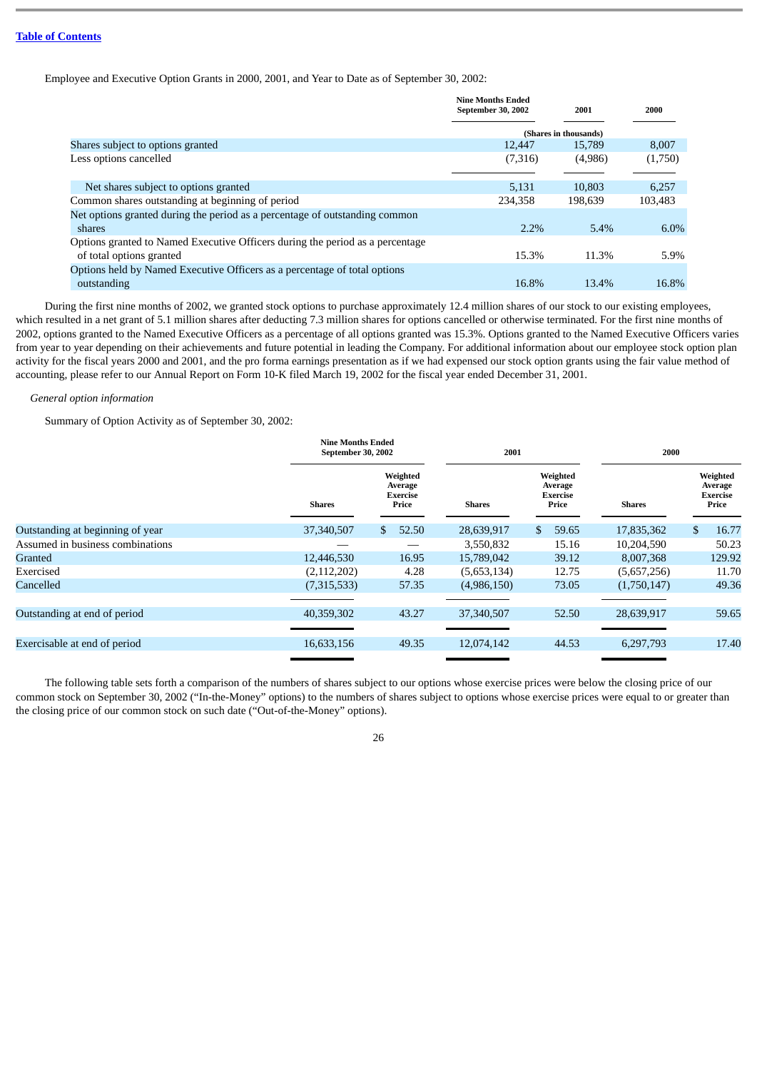Employee and Executive Option Grants in 2000, 2001, and Year to Date as of September 30, 2002:

|                                                                               | <b>Nine Months Ended</b><br>September 30, 2002 | 2001                  | 2000    |
|-------------------------------------------------------------------------------|------------------------------------------------|-----------------------|---------|
|                                                                               |                                                | (Shares in thousands) |         |
| Shares subject to options granted                                             | 12.447                                         | 15,789                | 8,007   |
| Less options cancelled                                                        | (7,316)                                        | (4,986)               | (1,750) |
|                                                                               |                                                |                       |         |
| Net shares subject to options granted                                         | 5,131                                          | 10.803                | 6,257   |
| Common shares outstanding at beginning of period                              | 234.358                                        | 198,639               | 103.483 |
| Net options granted during the period as a percentage of outstanding common   |                                                |                       |         |
| shares                                                                        | 2.2%                                           | 5.4%                  | $6.0\%$ |
| Options granted to Named Executive Officers during the period as a percentage |                                                |                       |         |
| of total options granted                                                      | 15.3%                                          | 11.3%                 | 5.9%    |
| Options held by Named Executive Officers as a percentage of total options     |                                                |                       |         |
| outstanding                                                                   | 16.8%                                          | 13.4%                 | 16.8%   |

During the first nine months of 2002, we granted stock options to purchase approximately 12.4 million shares of our stock to our existing employees, which resulted in a net grant of 5.1 million shares after deducting 7.3 million shares for options cancelled or otherwise terminated. For the first nine months of 2002, options granted to the Named Executive Officers as a percentage of all options granted was 15.3%. Options granted to the Named Executive Officers varies from year to year depending on their achievements and future potential in leading the Company. For additional information about our employee stock option plan activity for the fiscal years 2000 and 2001, and the pro forma earnings presentation as if we had expensed our stock option grants using the fair value method of accounting, please refer to our Annual Report on Form 10-K filed March 19, 2002 for the fiscal year ended December 31, 2001.

## *General option information*

Summary of Option Activity as of September 30, 2002:

|                                  | <b>Nine Months Ended</b><br>September 30, 2002 |                                                 | 2001          |                                          | 2000          |                                          |  |
|----------------------------------|------------------------------------------------|-------------------------------------------------|---------------|------------------------------------------|---------------|------------------------------------------|--|
|                                  | <b>Shares</b>                                  | Weighted<br>Average<br><b>Exercise</b><br>Price | <b>Shares</b> | Weighted<br>Average<br>Exercise<br>Price | <b>Shares</b> | Weighted<br>Average<br>Exercise<br>Price |  |
| Outstanding at beginning of year | 37,340,507                                     | 52.50<br>\$                                     | 28,639,917    | 59.65<br>\$.                             | 17,835,362    | 16.77<br>S.                              |  |
| Assumed in business combinations |                                                |                                                 | 3,550,832     | 15.16                                    | 10,204,590    | 50.23                                    |  |
| Granted                          | 12,446,530                                     | 16.95                                           | 15,789,042    | 39.12                                    | 8,007,368     | 129.92                                   |  |
| Exercised                        | (2, 112, 202)                                  | 4.28                                            | (5,653,134)   | 12.75                                    | (5,657,256)   | 11.70                                    |  |
| Cancelled                        | (7,315,533)                                    | 57.35                                           | (4,986,150)   | 73.05                                    | (1,750,147)   | 49.36                                    |  |
|                                  |                                                |                                                 |               |                                          |               |                                          |  |
| Outstanding at end of period     | 40,359,302                                     | 43.27                                           | 37,340,507    | 52.50                                    | 28,639,917    | 59.65                                    |  |
|                                  |                                                |                                                 |               |                                          |               |                                          |  |
| Exercisable at end of period     | 16,633,156                                     | 49.35                                           | 12,074,142    | 44.53                                    | 6,297,793     | 17.40                                    |  |
|                                  |                                                |                                                 |               |                                          |               |                                          |  |

The following table sets forth a comparison of the numbers of shares subject to our options whose exercise prices were below the closing price of our common stock on September 30, 2002 ("In-the-Money" options) to the numbers of shares subject to options whose exercise prices were equal to or greater than the closing price of our common stock on such date ("Out-of-the-Money" options).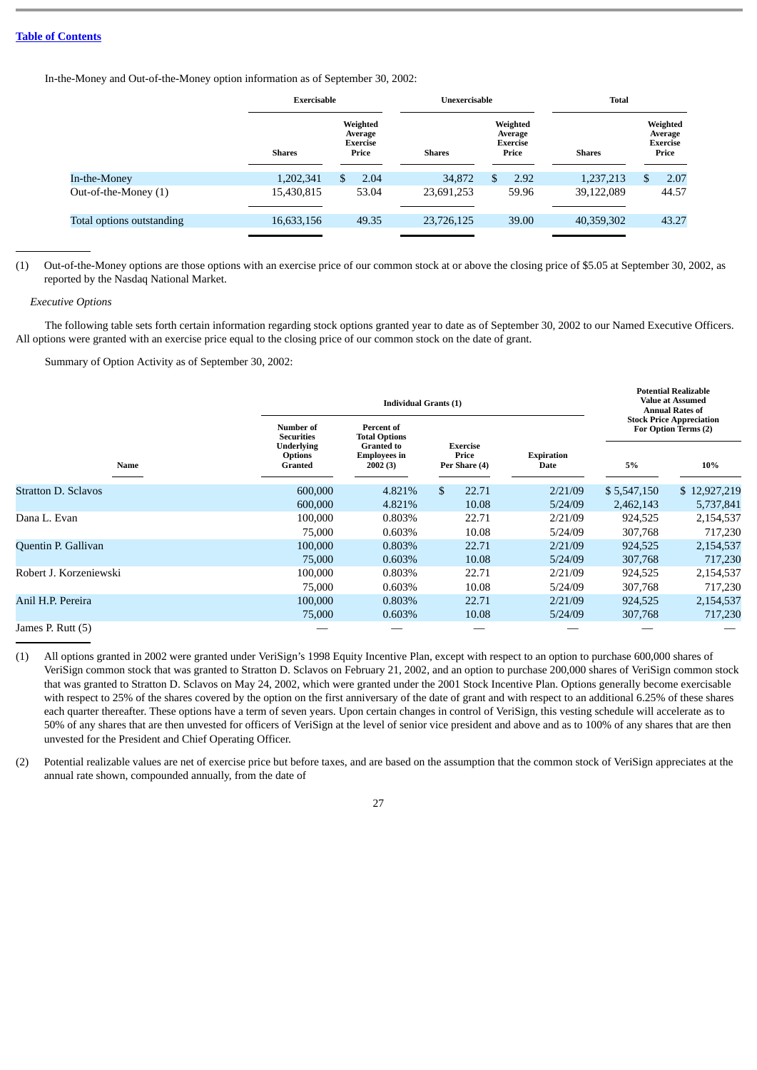In-the-Money and Out-of-the-Money option information as of September 30, 2002:

|                           | <b>Exercisable</b> |                                                 | Unexercisable |                                                 | <b>Total</b>  |                                                 |  |
|---------------------------|--------------------|-------------------------------------------------|---------------|-------------------------------------------------|---------------|-------------------------------------------------|--|
|                           | <b>Shares</b>      | Weighted<br>Average<br><b>Exercise</b><br>Price | <b>Shares</b> | Weighted<br>Average<br><b>Exercise</b><br>Price | <b>Shares</b> | Weighted<br>Average<br><b>Exercise</b><br>Price |  |
| In-the-Money              | 1,202,341          | 2.04                                            | 34,872        | 2.92                                            | 1,237,213     | 2.07<br>S                                       |  |
| Out-of-the-Money (1)      | 15,430,815         | 53.04                                           | 23,691,253    | 59.96                                           | 39,122,089    | 44.57                                           |  |
| Total options outstanding | 16,633,156         | 49.35                                           | 23,726,125    | 39.00                                           | 40,359,302    | 43.27                                           |  |
|                           |                    |                                                 |               |                                                 |               |                                                 |  |

(1) Out-of-the-Money options are those options with an exercise price of our common stock at or above the closing price of \$5.05 at September 30, 2002, as reported by the Nasdaq National Market.

# *Executive Options*

The following table sets forth certain information regarding stock options granted year to date as of September 30, 2002 to our Named Executive Officers. All options were granted with an exercise price equal to the closing price of our common stock on the date of grant.

Summary of Option Activity as of September 30, 2002:

|                            |                                                | <b>Individual Grants (1)</b>                        |                                           |                           |                                                         |              |  |  |  |
|----------------------------|------------------------------------------------|-----------------------------------------------------|-------------------------------------------|---------------------------|---------------------------------------------------------|--------------|--|--|--|
|                            | Number of<br><b>Securities</b>                 | Percent of<br><b>Total Options</b>                  |                                           |                           | <b>Stock Price Appreciation</b><br>For Option Terms (2) |              |  |  |  |
| Name                       | <b>Underlying</b><br><b>Options</b><br>Granted | <b>Granted to</b><br><b>Employees in</b><br>2002(3) | <b>Exercise</b><br>Price<br>Per Share (4) | <b>Expiration</b><br>Date | 5%                                                      | 10%          |  |  |  |
| <b>Stratton D. Sclavos</b> | 600,000                                        | 4.821%                                              | \$<br>22.71                               | 2/21/09                   | \$5,547,150                                             | \$12,927,219 |  |  |  |
|                            | 600,000                                        | 4.821%                                              | 10.08                                     | 5/24/09                   | 2,462,143                                               | 5,737,841    |  |  |  |
| Dana L. Evan               | 100,000                                        | 0.803%                                              | 22.71                                     | 2/21/09                   | 924,525                                                 | 2,154,537    |  |  |  |
|                            | 75,000                                         | 0.603%                                              | 10.08                                     | 5/24/09                   | 307,768                                                 | 717,230      |  |  |  |
| Quentin P. Gallivan        | 100,000                                        | 0.803%                                              | 22.71                                     | 2/21/09                   | 924,525                                                 | 2,154,537    |  |  |  |
|                            | 75,000                                         | 0.603%                                              | 10.08                                     | 5/24/09                   | 307,768                                                 | 717,230      |  |  |  |
| Robert J. Korzeniewski     | 100,000                                        | 0.803%                                              | 22.71                                     | 2/21/09                   | 924,525                                                 | 2,154,537    |  |  |  |
|                            | 75,000                                         | 0.603%                                              | 10.08                                     | 5/24/09                   | 307,768                                                 | 717,230      |  |  |  |
| Anil H.P. Pereira          | 100,000                                        | 0.803%                                              | 22.71                                     | 2/21/09                   | 924,525                                                 | 2,154,537    |  |  |  |
|                            | 75,000                                         | 0.603%                                              | 10.08                                     | 5/24/09                   | 307,768                                                 | 717,230      |  |  |  |
| James P. Rutt (5)          |                                                |                                                     |                                           |                           |                                                         |              |  |  |  |

- (1) All options granted in 2002 were granted under VeriSign's 1998 Equity Incentive Plan, except with respect to an option to purchase 600,000 shares of VeriSign common stock that was granted to Stratton D. Sclavos on February 21, 2002, and an option to purchase 200,000 shares of VeriSign common stock that was granted to Stratton D. Sclavos on May 24, 2002, which were granted under the 2001 Stock Incentive Plan. Options generally become exercisable with respect to 25% of the shares covered by the option on the first anniversary of the date of grant and with respect to an additional 6.25% of these shares each quarter thereafter. These options have a term of seven years. Upon certain changes in control of VeriSign, this vesting schedule will accelerate as to 50% of any shares that are then unvested for officers of VeriSign at the level of senior vice president and above and as to 100% of any shares that are then unvested for the President and Chief Operating Officer.
- (2) Potential realizable values are net of exercise price but before taxes, and are based on the assumption that the common stock of VeriSign appreciates at the annual rate shown, compounded annually, from the date of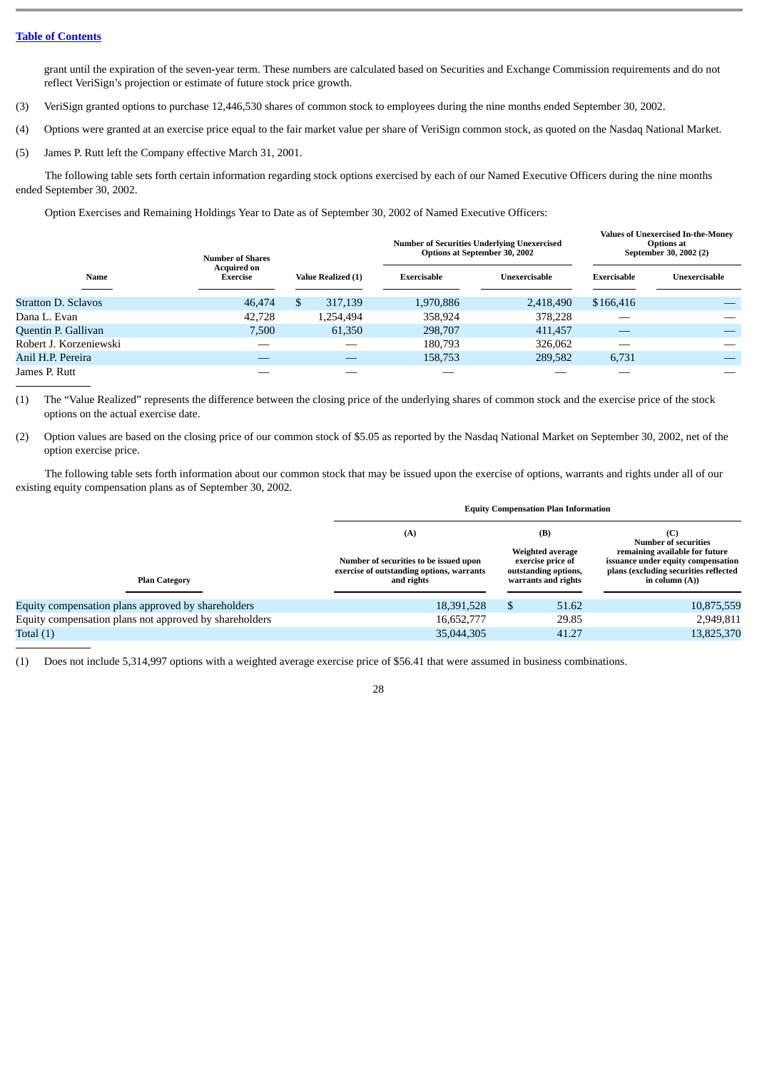grant until the expiration of the seven-year term. These numbers are calculated based on Securities and Exchange Commission requirements and do not reflect VeriSign's projection or estimate of future stock price growth.

- (3) VeriSign granted options to purchase 12,446,530 shares of common stock to employees during the nine months ended September 30, 2002.
- (4) Options were granted at an exercise price equal to the fair market value per share of VeriSign common stock, as quoted on the Nasdaq National Market.
- (5) James P. Rutt left the Company effective March 31, 2001.

The following table sets forth certain information regarding stock options exercised by each of our Named Executive Officers during the nine months ended September 30, 2002.

Option Exercises and Remaining Holdings Year to Date as of September 30, 2002 of Named Executive Officers:

|                            | <b>Number of Shares</b>               |                    | <b>Number of Securities Underlying Unexercised</b><br><b>Options at September 30, 2002</b> |               |             | <b>Values of Unexercised In-the-Money</b><br><b>Options at</b><br>September 30, 2002 (2) |
|----------------------------|---------------------------------------|--------------------|--------------------------------------------------------------------------------------------|---------------|-------------|------------------------------------------------------------------------------------------|
| Name                       | <b>Acquired on</b><br><b>Exercise</b> | Value Realized (1) | <b>Exercisable</b>                                                                         | Unexercisable | Exercisable | Unexercisable                                                                            |
| <b>Stratton D. Sclavos</b> | 46,474                                | 317,139            | 1,970,886                                                                                  | 2,418,490     | \$166,416   |                                                                                          |
| Dana L. Evan               | 42,728                                | 1.254.494          | 358,924                                                                                    | 378,228       |             |                                                                                          |
| Quentin P. Gallivan        | 7.500                                 | 61,350             | 298,707                                                                                    | 411,457       |             |                                                                                          |
| Robert J. Korzeniewski     |                                       |                    | 180.793                                                                                    | 326,062       |             |                                                                                          |
| Anil H.P. Pereira          |                                       |                    | 158,753                                                                                    | 289,582       | 6,731       |                                                                                          |
| James P. Rutt              |                                       |                    |                                                                                            |               |             |                                                                                          |

(1) The "Value Realized" represents the difference between the closing price of the underlying shares of common stock and the exercise price of the stock options on the actual exercise date.

(2) Option values are based on the closing price of our common stock of \$5.05 as reported by the Nasdaq National Market on September 30, 2002, net of the option exercise price.

The following table sets forth information about our common stock that may be issued upon the exercise of options, warrants and rights under all of our existing equity compensation plans as of September 30, 2002.

|                                                        | <b>Equity Compensation Plan Information</b>                                                       |                                                                                      |       |                                                                                                                                    |  |  |  |  |  |
|--------------------------------------------------------|---------------------------------------------------------------------------------------------------|--------------------------------------------------------------------------------------|-------|------------------------------------------------------------------------------------------------------------------------------------|--|--|--|--|--|
|                                                        | (A)                                                                                               | (B)                                                                                  |       | (C)<br><b>Number of securities</b>                                                                                                 |  |  |  |  |  |
| <b>Plan Category</b>                                   | Number of securities to be issued upon<br>exercise of outstanding options, warrants<br>and rights | Weighted average<br>exercise price of<br>outstanding options,<br>warrants and rights |       | remaining available for future<br>issuance under equity compensation<br>plans (excluding securities reflected<br>in column $(A)$ ) |  |  |  |  |  |
| Equity compensation plans approved by shareholders     | 18,391,528                                                                                        |                                                                                      | 51.62 | 10,875,559                                                                                                                         |  |  |  |  |  |
| Equity compensation plans not approved by shareholders | 16,652,777                                                                                        |                                                                                      | 29.85 | 2,949,811                                                                                                                          |  |  |  |  |  |
| Total $(1)$                                            | 35,044,305                                                                                        |                                                                                      | 41.27 | 13,825,370                                                                                                                         |  |  |  |  |  |

28

(1) Does not include 5,314,997 options with a weighted average exercise price of \$56.41 that were assumed in business combinations.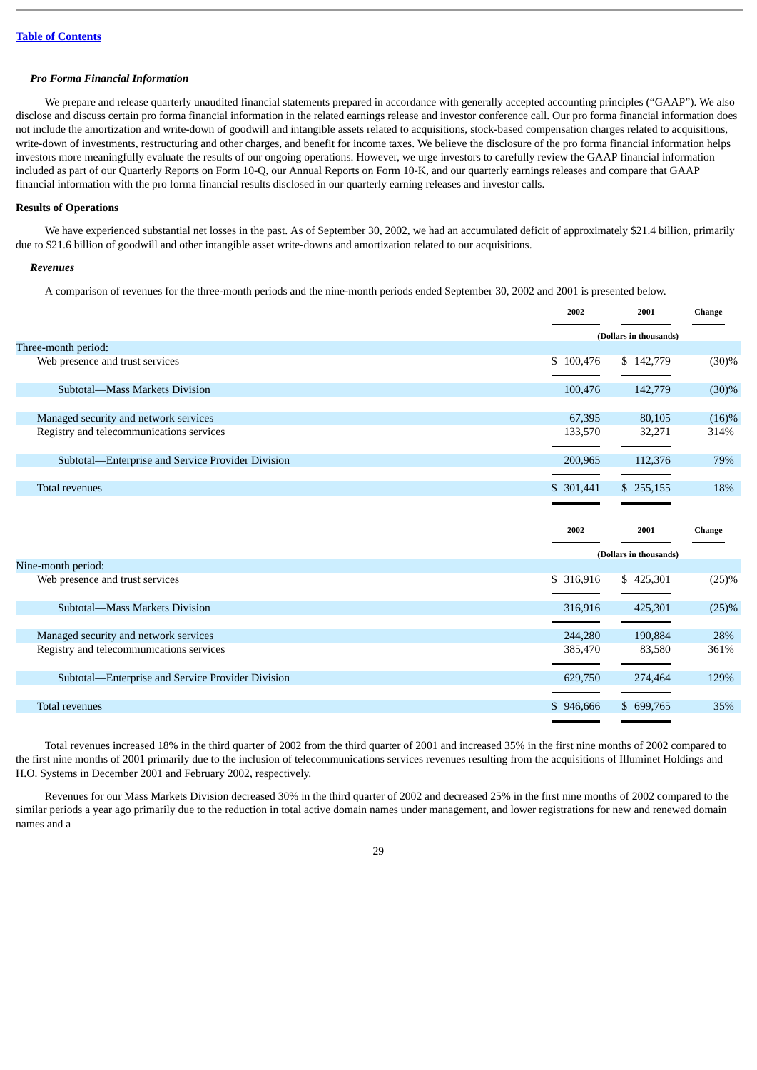# *Pro Forma Financial Information*

We prepare and release quarterly unaudited financial statements prepared in accordance with generally accepted accounting principles ("GAAP"). We also disclose and discuss certain pro forma financial information in the related earnings release and investor conference call. Our pro forma financial information does not include the amortization and write-down of goodwill and intangible assets related to acquisitions, stock-based compensation charges related to acquisitions, write-down of investments, restructuring and other charges, and benefit for income taxes. We believe the disclosure of the pro forma financial information helps investors more meaningfully evaluate the results of our ongoing operations. However, we urge investors to carefully review the GAAP financial information included as part of our Quarterly Reports on Form 10-Q, our Annual Reports on Form 10-K, and our quarterly earnings releases and compare that GAAP financial information with the pro forma financial results disclosed in our quarterly earning releases and investor calls.

# **Results of Operations**

We have experienced substantial net losses in the past. As of September 30, 2002, we had an accumulated deficit of approximately \$21.4 billion, primarily due to \$21.6 billion of goodwill and other intangible asset write-downs and amortization related to our acquisitions.

#### *Revenues*

A comparison of revenues for the three-month periods and the nine-month periods ended September 30, 2002 and 2001 is presented below.

|                                                   | 2002                   | 2001                           | Change |
|---------------------------------------------------|------------------------|--------------------------------|--------|
|                                                   | (Dollars in thousands) |                                |        |
| Three-month period:                               |                        |                                |        |
| Web presence and trust services                   | \$100,476              | \$142,779                      | (30)%  |
| Subtotal-Mass Markets Division                    | 100,476                | 142,779                        | (30)%  |
| Managed security and network services             | 67,395                 | 80,105                         | (16)%  |
| Registry and telecommunications services          | 133,570                | 32,271                         | 314%   |
| Subtotal—Enterprise and Service Provider Division | 200,965                | 112,376                        | 79%    |
| <b>Total revenues</b>                             | \$ 301,441             | \$255,155                      | 18%    |
|                                                   | 2002                   | 2001<br>(Dollars in thousands) | Change |
| Nine-month period:                                |                        |                                |        |
| Web presence and trust services                   | \$ 316,916             | \$425,301                      | (25)%  |
| Subtotal-Mass Markets Division                    | 316,916                | 425,301                        | (25)%  |
| Managed security and network services             | 244,280                | 190,884                        | 28%    |
| Registry and telecommunications services          | 385,470                | 83,580                         | 361%   |
| Subtotal-Enterprise and Service Provider Division | 629,750                | 274,464                        | 129%   |
| <b>Total revenues</b>                             | \$946,666              | \$699,765                      | 35%    |

Total revenues increased 18% in the third quarter of 2002 from the third quarter of 2001 and increased 35% in the first nine months of 2002 compared to the first nine months of 2001 primarily due to the inclusion of telecommunications services revenues resulting from the acquisitions of Illuminet Holdings and H.O. Systems in December 2001 and February 2002, respectively.

Revenues for our Mass Markets Division decreased 30% in the third quarter of 2002 and decreased 25% in the first nine months of 2002 compared to the similar periods a year ago primarily due to the reduction in total active domain names under management, and lower registrations for new and renewed domain names and a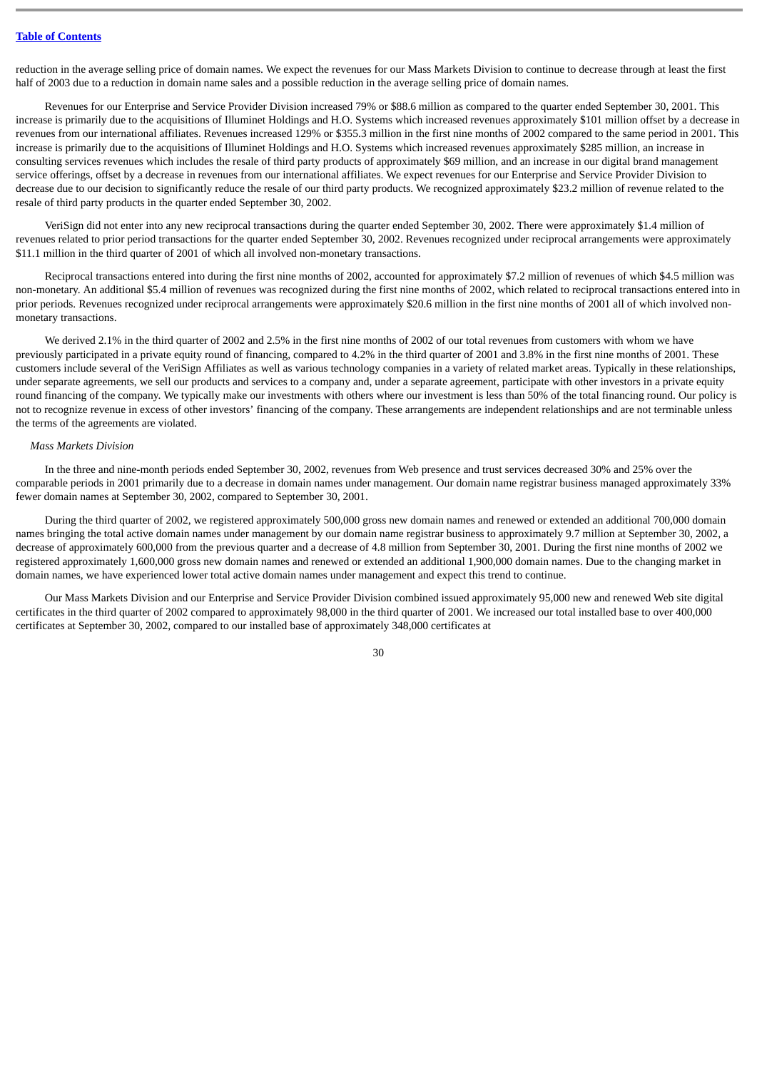reduction in the average selling price of domain names. We expect the revenues for our Mass Markets Division to continue to decrease through at least the first half of 2003 due to a reduction in domain name sales and a possible reduction in the average selling price of domain names.

Revenues for our Enterprise and Service Provider Division increased 79% or \$88.6 million as compared to the quarter ended September 30, 2001. This increase is primarily due to the acquisitions of Illuminet Holdings and H.O. Systems which increased revenues approximately \$101 million offset by a decrease in revenues from our international affiliates. Revenues increased 129% or \$355.3 million in the first nine months of 2002 compared to the same period in 2001. This increase is primarily due to the acquisitions of Illuminet Holdings and H.O. Systems which increased revenues approximately \$285 million, an increase in consulting services revenues which includes the resale of third party products of approximately \$69 million, and an increase in our digital brand management service offerings, offset by a decrease in revenues from our international affiliates. We expect revenues for our Enterprise and Service Provider Division to decrease due to our decision to significantly reduce the resale of our third party products. We recognized approximately \$23.2 million of revenue related to the resale of third party products in the quarter ended September 30, 2002.

VeriSign did not enter into any new reciprocal transactions during the quarter ended September 30, 2002. There were approximately \$1.4 million of revenues related to prior period transactions for the quarter ended September 30, 2002. Revenues recognized under reciprocal arrangements were approximately \$11.1 million in the third quarter of 2001 of which all involved non-monetary transactions.

Reciprocal transactions entered into during the first nine months of 2002, accounted for approximately \$7.2 million of revenues of which \$4.5 million was non-monetary. An additional \$5.4 million of revenues was recognized during the first nine months of 2002, which related to reciprocal transactions entered into in prior periods. Revenues recognized under reciprocal arrangements were approximately \$20.6 million in the first nine months of 2001 all of which involved nonmonetary transactions.

We derived 2.1% in the third quarter of 2002 and 2.5% in the first nine months of 2002 of our total revenues from customers with whom we have previously participated in a private equity round of financing, compared to 4.2% in the third quarter of 2001 and 3.8% in the first nine months of 2001. These customers include several of the VeriSign Affiliates as well as various technology companies in a variety of related market areas. Typically in these relationships, under separate agreements, we sell our products and services to a company and, under a separate agreement, participate with other investors in a private equity round financing of the company. We typically make our investments with others where our investment is less than 50% of the total financing round. Our policy is not to recognize revenue in excess of other investors' financing of the company. These arrangements are independent relationships and are not terminable unless the terms of the agreements are violated.

#### *Mass Markets Division*

In the three and nine-month periods ended September 30, 2002, revenues from Web presence and trust services decreased 30% and 25% over the comparable periods in 2001 primarily due to a decrease in domain names under management. Our domain name registrar business managed approximately 33% fewer domain names at September 30, 2002, compared to September 30, 2001.

During the third quarter of 2002, we registered approximately 500,000 gross new domain names and renewed or extended an additional 700,000 domain names bringing the total active domain names under management by our domain name registrar business to approximately 9.7 million at September 30, 2002, a decrease of approximately 600,000 from the previous quarter and a decrease of 4.8 million from September 30, 2001. During the first nine months of 2002 we registered approximately 1,600,000 gross new domain names and renewed or extended an additional 1,900,000 domain names. Due to the changing market in domain names, we have experienced lower total active domain names under management and expect this trend to continue.

Our Mass Markets Division and our Enterprise and Service Provider Division combined issued approximately 95,000 new and renewed Web site digital certificates in the third quarter of 2002 compared to approximately 98,000 in the third quarter of 2001. We increased our total installed base to over 400,000 certificates at September 30, 2002, compared to our installed base of approximately 348,000 certificates at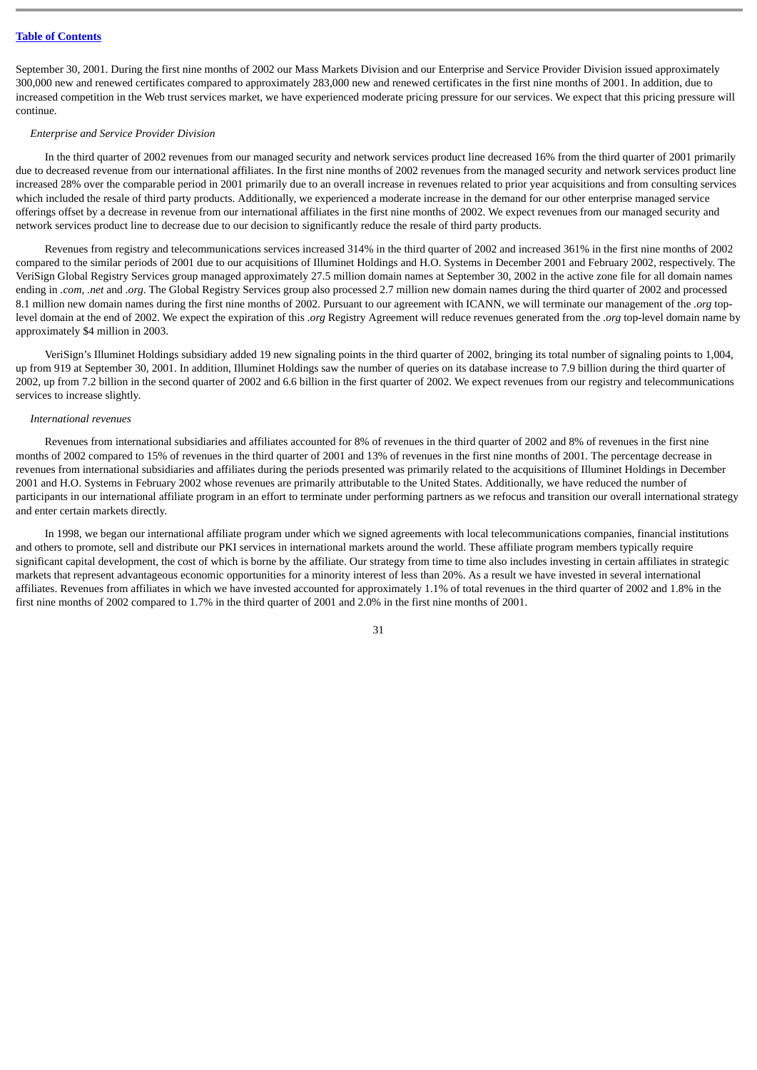September 30, 2001. During the first nine months of 2002 our Mass Markets Division and our Enterprise and Service Provider Division issued approximately 300,000 new and renewed certificates compared to approximately 283,000 new and renewed certificates in the first nine months of 2001. In addition, due to increased competition in the Web trust services market, we have experienced moderate pricing pressure for our services. We expect that this pricing pressure will continue.

#### *Enterprise and Service Provider Division*

In the third quarter of 2002 revenues from our managed security and network services product line decreased 16% from the third quarter of 2001 primarily due to decreased revenue from our international affiliates. In the first nine months of 2002 revenues from the managed security and network services product line increased 28% over the comparable period in 2001 primarily due to an overall increase in revenues related to prior year acquisitions and from consulting services which included the resale of third party products. Additionally, we experienced a moderate increase in the demand for our other enterprise managed service offerings offset by a decrease in revenue from our international affiliates in the first nine months of 2002. We expect revenues from our managed security and network services product line to decrease due to our decision to significantly reduce the resale of third party products.

Revenues from registry and telecommunications services increased 314% in the third quarter of 2002 and increased 361% in the first nine months of 2002 compared to the similar periods of 2001 due to our acquisitions of Illuminet Holdings and H.O. Systems in December 2001 and February 2002, respectively. The VeriSign Global Registry Services group managed approximately 27.5 million domain names at September 30, 2002 in the active zone file for all domain names ending in *.com*, *.net* and *.org*. The Global Registry Services group also processed 2.7 million new domain names during the third quarter of 2002 and processed 8.1 million new domain names during the first nine months of 2002. Pursuant to our agreement with ICANN, we will terminate our management of the *.org* toplevel domain at the end of 2002. We expect the expiration of this *.org* Registry Agreement will reduce revenues generated from the *.org* top-level domain name by approximately \$4 million in 2003.

VeriSign's Illuminet Holdings subsidiary added 19 new signaling points in the third quarter of 2002, bringing its total number of signaling points to 1,004, up from 919 at September 30, 2001. In addition, Illuminet Holdings saw the number of queries on its database increase to 7.9 billion during the third quarter of 2002, up from 7.2 billion in the second quarter of 2002 and 6.6 billion in the first quarter of 2002. We expect revenues from our registry and telecommunications services to increase slightly.

## *International revenues*

Revenues from international subsidiaries and affiliates accounted for 8% of revenues in the third quarter of 2002 and 8% of revenues in the first nine months of 2002 compared to 15% of revenues in the third quarter of 2001 and 13% of revenues in the first nine months of 2001. The percentage decrease in revenues from international subsidiaries and affiliates during the periods presented was primarily related to the acquisitions of Illuminet Holdings in December 2001 and H.O. Systems in February 2002 whose revenues are primarily attributable to the United States. Additionally, we have reduced the number of participants in our international affiliate program in an effort to terminate under performing partners as we refocus and transition our overall international strategy and enter certain markets directly.

In 1998, we began our international affiliate program under which we signed agreements with local telecommunications companies, financial institutions and others to promote, sell and distribute our PKI services in international markets around the world. These affiliate program members typically require significant capital development, the cost of which is borne by the affiliate. Our strategy from time to time also includes investing in certain affiliates in strategic markets that represent advantageous economic opportunities for a minority interest of less than 20%. As a result we have invested in several international affiliates. Revenues from affiliates in which we have invested accounted for approximately 1.1% of total revenues in the third quarter of 2002 and 1.8% in the first nine months of 2002 compared to 1.7% in the third quarter of 2001 and 2.0% in the first nine months of 2001.

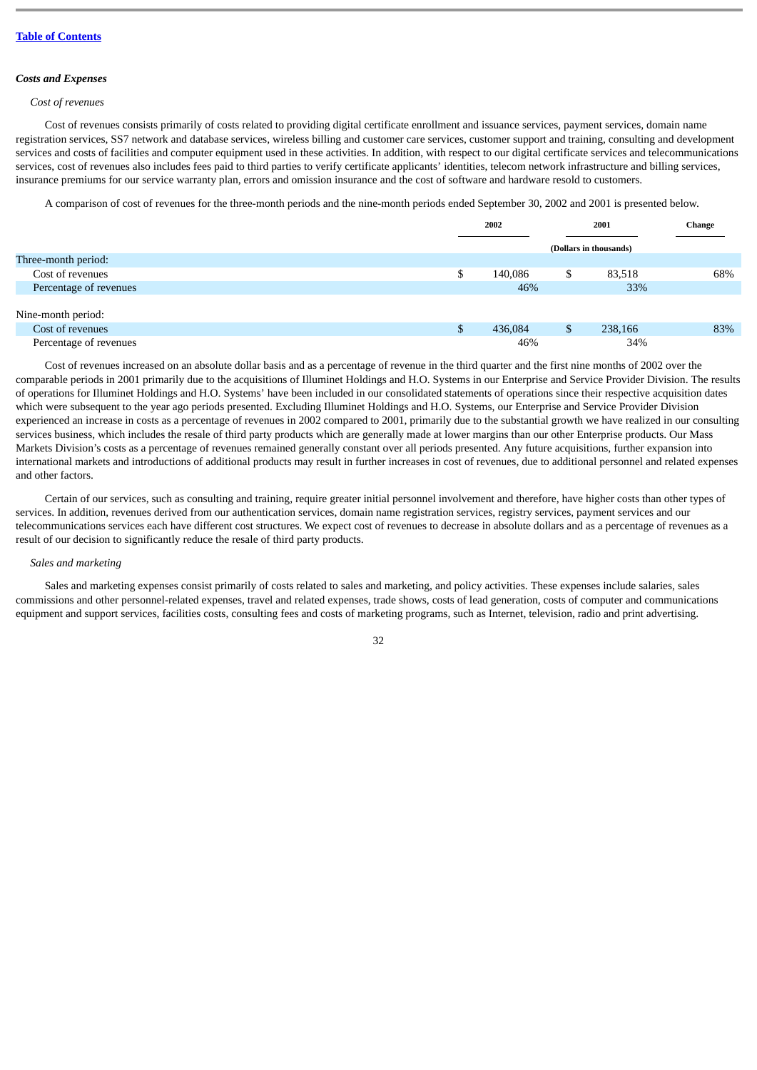#### *Costs and Expenses*

#### *Cost of revenues*

Cost of revenues consists primarily of costs related to providing digital certificate enrollment and issuance services, payment services, domain name registration services, SS7 network and database services, wireless billing and customer care services, customer support and training, consulting and development services and costs of facilities and computer equipment used in these activities. In addition, with respect to our digital certificate services and telecommunications services, cost of revenues also includes fees paid to third parties to verify certificate applicants' identities, telecom network infrastructure and billing services, insurance premiums for our service warranty plan, errors and omission insurance and the cost of software and hardware resold to customers.

A comparison of cost of revenues for the three-month periods and the nine-month periods ended September 30, 2002 and 2001 is presented below.

|                        | 2002    | 2001                   |         | Change |
|------------------------|---------|------------------------|---------|--------|
|                        |         | (Dollars in thousands) |         |        |
| Three-month period:    |         |                        |         |        |
| Cost of revenues       | 140,086 | \$                     | 83,518  | 68%    |
| Percentage of revenues | 46%     |                        | 33%     |        |
|                        |         |                        |         |        |
| Nine-month period:     |         |                        |         |        |
| Cost of revenues       | 436,084 | \$                     | 238,166 | 83%    |
| Percentage of revenues | 46%     |                        | 34%     |        |

Cost of revenues increased on an absolute dollar basis and as a percentage of revenue in the third quarter and the first nine months of 2002 over the comparable periods in 2001 primarily due to the acquisitions of Illuminet Holdings and H.O. Systems in our Enterprise and Service Provider Division. The results of operations for Illuminet Holdings and H.O. Systems' have been included in our consolidated statements of operations since their respective acquisition dates which were subsequent to the year ago periods presented. Excluding Illuminet Holdings and H.O. Systems, our Enterprise and Service Provider Division experienced an increase in costs as a percentage of revenues in 2002 compared to 2001, primarily due to the substantial growth we have realized in our consulting services business, which includes the resale of third party products which are generally made at lower margins than our other Enterprise products. Our Mass Markets Division's costs as a percentage of revenues remained generally constant over all periods presented. Any future acquisitions, further expansion into international markets and introductions of additional products may result in further increases in cost of revenues, due to additional personnel and related expenses and other factors.

Certain of our services, such as consulting and training, require greater initial personnel involvement and therefore, have higher costs than other types of services. In addition, revenues derived from our authentication services, domain name registration services, registry services, payment services and our telecommunications services each have different cost structures. We expect cost of revenues to decrease in absolute dollars and as a percentage of revenues as a result of our decision to significantly reduce the resale of third party products.

# *Sales and marketing*

Sales and marketing expenses consist primarily of costs related to sales and marketing, and policy activities. These expenses include salaries, sales commissions and other personnel-related expenses, travel and related expenses, trade shows, costs of lead generation, costs of computer and communications equipment and support services, facilities costs, consulting fees and costs of marketing programs, such as Internet, television, radio and print advertising.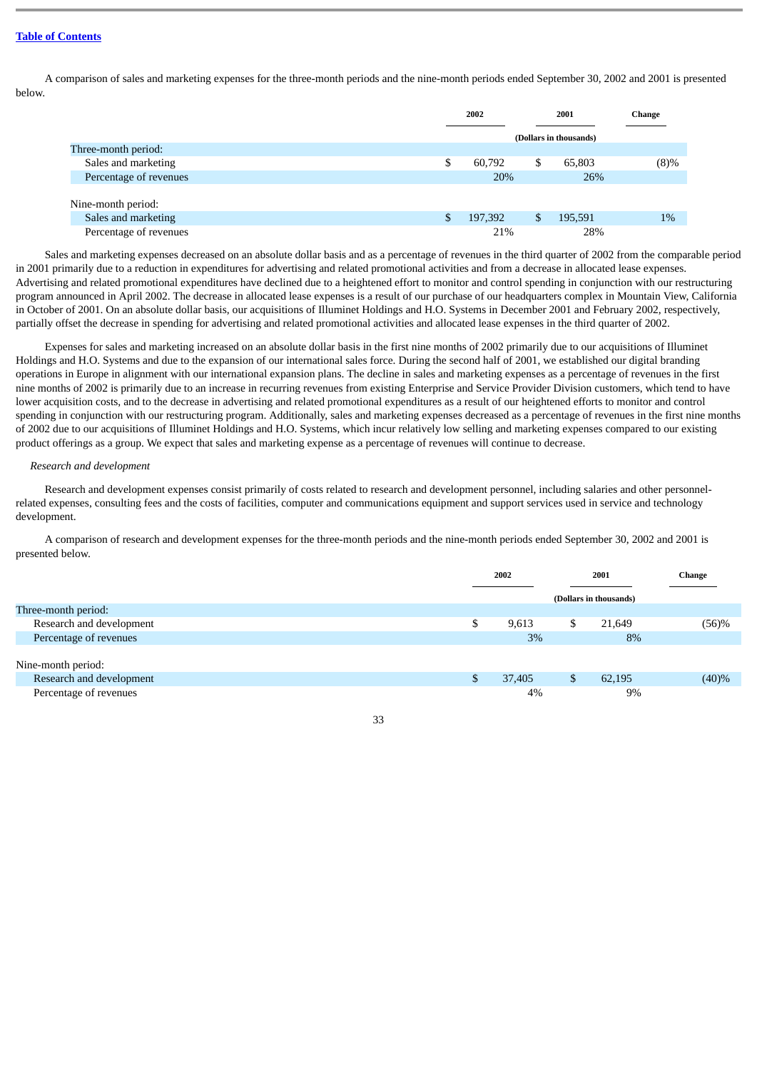A comparison of sales and marketing expenses for the three-month periods and the nine-month periods ended September 30, 2002 and 2001 is presented below.

|                        | 2002                   |    | 2001    | Change  |
|------------------------|------------------------|----|---------|---------|
|                        | (Dollars in thousands) |    |         |         |
| Three-month period:    |                        |    |         |         |
| Sales and marketing    | \$<br>60,792           | \$ | 65,803  | $(8)\%$ |
| Percentage of revenues | 20%                    |    | 26%     |         |
|                        |                        |    |         |         |
| Nine-month period:     |                        |    |         |         |
| Sales and marketing    | \$<br>197,392          | S  | 195,591 | $1\%$   |
| Percentage of revenues | 21%                    |    | 28%     |         |
|                        |                        |    |         |         |

Sales and marketing expenses decreased on an absolute dollar basis and as a percentage of revenues in the third quarter of 2002 from the comparable period in 2001 primarily due to a reduction in expenditures for advertising and related promotional activities and from a decrease in allocated lease expenses. Advertising and related promotional expenditures have declined due to a heightened effort to monitor and control spending in conjunction with our restructuring program announced in April 2002. The decrease in allocated lease expenses is a result of our purchase of our headquarters complex in Mountain View, California in October of 2001. On an absolute dollar basis, our acquisitions of Illuminet Holdings and H.O. Systems in December 2001 and February 2002, respectively, partially offset the decrease in spending for advertising and related promotional activities and allocated lease expenses in the third quarter of 2002.

Expenses for sales and marketing increased on an absolute dollar basis in the first nine months of 2002 primarily due to our acquisitions of Illuminet Holdings and H.O. Systems and due to the expansion of our international sales force. During the second half of 2001, we established our digital branding operations in Europe in alignment with our international expansion plans. The decline in sales and marketing expenses as a percentage of revenues in the first nine months of 2002 is primarily due to an increase in recurring revenues from existing Enterprise and Service Provider Division customers, which tend to have lower acquisition costs, and to the decrease in advertising and related promotional expenditures as a result of our heightened efforts to monitor and control spending in conjunction with our restructuring program. Additionally, sales and marketing expenses decreased as a percentage of revenues in the first nine months of 2002 due to our acquisitions of Illuminet Holdings and H.O. Systems, which incur relatively low selling and marketing expenses compared to our existing product offerings as a group. We expect that sales and marketing expense as a percentage of revenues will continue to decrease.

#### *Research and development*

Research and development expenses consist primarily of costs related to research and development personnel, including salaries and other personnelrelated expenses, consulting fees and the costs of facilities, computer and communications equipment and support services used in service and technology development.

A comparison of research and development expenses for the three-month periods and the nine-month periods ended September 30, 2002 and 2001 is presented below.

|                          |    | 2002   |                        | 2001   | <b>Change</b> |
|--------------------------|----|--------|------------------------|--------|---------------|
|                          |    |        | (Dollars in thousands) |        |               |
| Three-month period:      |    |        |                        |        |               |
| Research and development |    | 9,613  | S                      | 21,649 | (56)%         |
| Percentage of revenues   |    | 3%     |                        | 8%     |               |
|                          |    |        |                        |        |               |
| Nine-month period:       |    |        |                        |        |               |
| Research and development | S. | 37,405 | \$                     | 62,195 | (40)%         |
| Percentage of revenues   |    | 4%     |                        | 9%     |               |

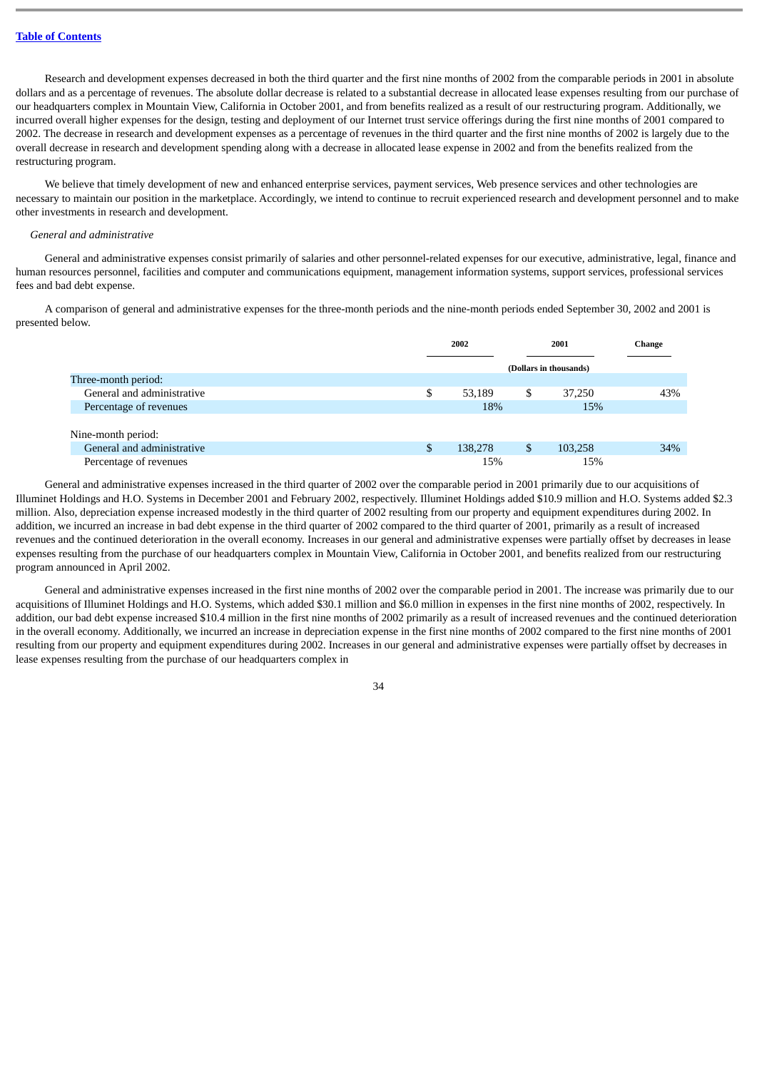Research and development expenses decreased in both the third quarter and the first nine months of 2002 from the comparable periods in 2001 in absolute dollars and as a percentage of revenues. The absolute dollar decrease is related to a substantial decrease in allocated lease expenses resulting from our purchase of our headquarters complex in Mountain View, California in October 2001, and from benefits realized as a result of our restructuring program. Additionally, we incurred overall higher expenses for the design, testing and deployment of our Internet trust service offerings during the first nine months of 2001 compared to 2002. The decrease in research and development expenses as a percentage of revenues in the third quarter and the first nine months of 2002 is largely due to the overall decrease in research and development spending along with a decrease in allocated lease expense in 2002 and from the benefits realized from the restructuring program.

We believe that timely development of new and enhanced enterprise services, payment services, Web presence services and other technologies are necessary to maintain our position in the marketplace. Accordingly, we intend to continue to recruit experienced research and development personnel and to make other investments in research and development.

#### *General and administrative*

General and administrative expenses consist primarily of salaries and other personnel-related expenses for our executive, administrative, legal, finance and human resources personnel, facilities and computer and communications equipment, management information systems, support services, professional services fees and bad debt expense.

A comparison of general and administrative expenses for the three-month periods and the nine-month periods ended September 30, 2002 and 2001 is presented below.

| 43% |
|-----|
|     |
|     |
|     |
| 34% |
|     |
|     |

General and administrative expenses increased in the third quarter of 2002 over the comparable period in 2001 primarily due to our acquisitions of Illuminet Holdings and H.O. Systems in December 2001 and February 2002, respectively. Illuminet Holdings added \$10.9 million and H.O. Systems added \$2.3 million. Also, depreciation expense increased modestly in the third quarter of 2002 resulting from our property and equipment expenditures during 2002. In addition, we incurred an increase in bad debt expense in the third quarter of 2002 compared to the third quarter of 2001, primarily as a result of increased revenues and the continued deterioration in the overall economy. Increases in our general and administrative expenses were partially offset by decreases in lease expenses resulting from the purchase of our headquarters complex in Mountain View, California in October 2001, and benefits realized from our restructuring program announced in April 2002.

General and administrative expenses increased in the first nine months of 2002 over the comparable period in 2001. The increase was primarily due to our acquisitions of Illuminet Holdings and H.O. Systems, which added \$30.1 million and \$6.0 million in expenses in the first nine months of 2002, respectively. In addition, our bad debt expense increased \$10.4 million in the first nine months of 2002 primarily as a result of increased revenues and the continued deterioration in the overall economy. Additionally, we incurred an increase in depreciation expense in the first nine months of 2002 compared to the first nine months of 2001 resulting from our property and equipment expenditures during 2002. Increases in our general and administrative expenses were partially offset by decreases in lease expenses resulting from the purchase of our headquarters complex in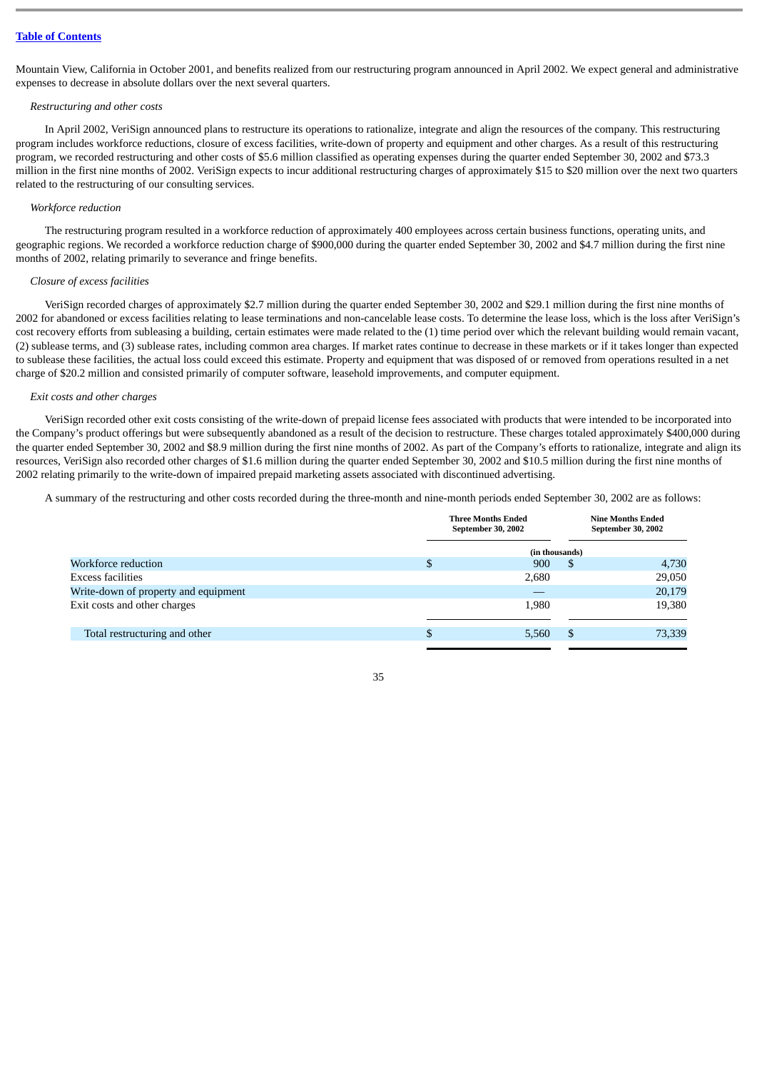Mountain View, California in October 2001, and benefits realized from our restructuring program announced in April 2002. We expect general and administrative expenses to decrease in absolute dollars over the next several quarters.

#### *Restructuring and other costs*

In April 2002, VeriSign announced plans to restructure its operations to rationalize, integrate and align the resources of the company. This restructuring program includes workforce reductions, closure of excess facilities, write-down of property and equipment and other charges. As a result of this restructuring program, we recorded restructuring and other costs of \$5.6 million classified as operating expenses during the quarter ended September 30, 2002 and \$73.3 million in the first nine months of 2002. VeriSign expects to incur additional restructuring charges of approximately \$15 to \$20 million over the next two quarters related to the restructuring of our consulting services.

## *Workforce reduction*

The restructuring program resulted in a workforce reduction of approximately 400 employees across certain business functions, operating units, and geographic regions. We recorded a workforce reduction charge of \$900,000 during the quarter ended September 30, 2002 and \$4.7 million during the first nine months of 2002, relating primarily to severance and fringe benefits.

#### *Closure of excess facilities*

VeriSign recorded charges of approximately \$2.7 million during the quarter ended September 30, 2002 and \$29.1 million during the first nine months of 2002 for abandoned or excess facilities relating to lease terminations and non-cancelable lease costs. To determine the lease loss, which is the loss after VeriSign's cost recovery efforts from subleasing a building, certain estimates were made related to the (1) time period over which the relevant building would remain vacant, (2) sublease terms, and (3) sublease rates, including common area charges. If market rates continue to decrease in these markets or if it takes longer than expected to sublease these facilities, the actual loss could exceed this estimate. Property and equipment that was disposed of or removed from operations resulted in a net charge of \$20.2 million and consisted primarily of computer software, leasehold improvements, and computer equipment.

# *Exit costs and other charges*

VeriSign recorded other exit costs consisting of the write-down of prepaid license fees associated with products that were intended to be incorporated into the Company's product offerings but were subsequently abandoned as a result of the decision to restructure. These charges totaled approximately \$400,000 during the quarter ended September 30, 2002 and \$8.9 million during the first nine months of 2002. As part of the Company's efforts to rationalize, integrate and align its resources, VeriSign also recorded other charges of \$1.6 million during the quarter ended September 30, 2002 and \$10.5 million during the first nine months of 2002 relating primarily to the write-down of impaired prepaid marketing assets associated with discontinued advertising.

A summary of the restructuring and other costs recorded during the three-month and nine-month periods ended September 30, 2002 are as follows:

|                                      | <b>Three Months Ended</b><br>September 30, 2002 | <b>Nine Months Ended</b><br>September 30, 2002 |        |  |
|--------------------------------------|-------------------------------------------------|------------------------------------------------|--------|--|
|                                      | (in thousands)                                  |                                                |        |  |
| Workforce reduction                  | \$<br>900                                       | S                                              | 4,730  |  |
| Excess facilities                    | 2,680                                           |                                                | 29,050 |  |
| Write-down of property and equipment |                                                 |                                                | 20,179 |  |
| Exit costs and other charges         | 1,980                                           |                                                | 19,380 |  |
| Total restructuring and other        | \$<br>5,560                                     | \$                                             | 73,339 |  |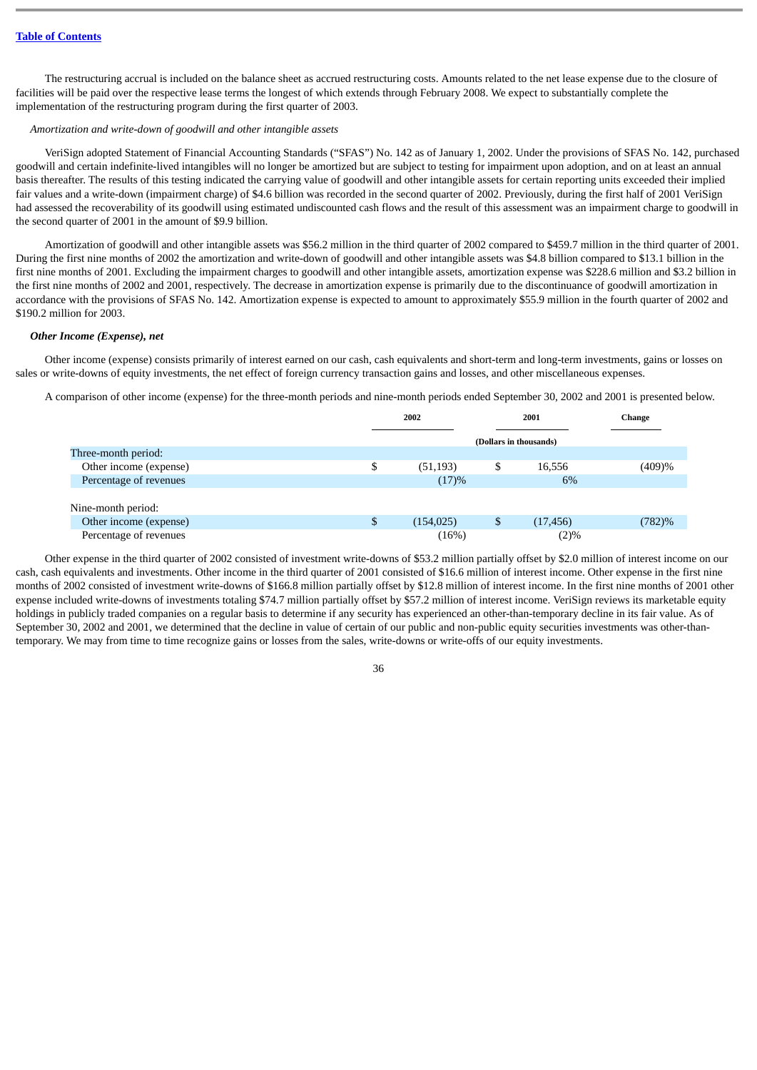The restructuring accrual is included on the balance sheet as accrued restructuring costs. Amounts related to the net lease expense due to the closure of facilities will be paid over the respective lease terms the longest of which extends through February 2008. We expect to substantially complete the implementation of the restructuring program during the first quarter of 2003.

#### *Amortization and write-down of goodwill and other intangible assets*

VeriSign adopted Statement of Financial Accounting Standards ("SFAS") No. 142 as of January 1, 2002. Under the provisions of SFAS No. 142, purchased goodwill and certain indefinite-lived intangibles will no longer be amortized but are subject to testing for impairment upon adoption, and on at least an annual basis thereafter. The results of this testing indicated the carrying value of goodwill and other intangible assets for certain reporting units exceeded their implied fair values and a write-down (impairment charge) of \$4.6 billion was recorded in the second quarter of 2002. Previously, during the first half of 2001 VeriSign had assessed the recoverability of its goodwill using estimated undiscounted cash flows and the result of this assessment was an impairment charge to goodwill in the second quarter of 2001 in the amount of \$9.9 billion.

Amortization of goodwill and other intangible assets was \$56.2 million in the third quarter of 2002 compared to \$459.7 million in the third quarter of 2001. During the first nine months of 2002 the amortization and write-down of goodwill and other intangible assets was \$4.8 billion compared to \$13.1 billion in the first nine months of 2001. Excluding the impairment charges to goodwill and other intangible assets, amortization expense was \$228.6 million and \$3.2 billion in the first nine months of 2002 and 2001, respectively. The decrease in amortization expense is primarily due to the discontinuance of goodwill amortization in accordance with the provisions of SFAS No. 142. Amortization expense is expected to amount to approximately \$55.9 million in the fourth quarter of 2002 and \$190.2 million for 2003.

#### *Other Income (Expense), net*

Other income (expense) consists primarily of interest earned on our cash, cash equivalents and short-term and long-term investments, gains or losses on sales or write-downs of equity investments, the net effect of foreign currency transaction gains and losses, and other miscellaneous expenses.

A comparison of other income (expense) for the three-month periods and nine-month periods ended September 30, 2002 and 2001 is presented below.

|                        | 2002             |                        | 2001      | <b>Change</b> |
|------------------------|------------------|------------------------|-----------|---------------|
|                        |                  | (Dollars in thousands) |           |               |
| Three-month period:    |                  |                        |           |               |
| Other income (expense) | \$<br>(51, 193)  | \$                     | 16,556    | (409)%        |
| Percentage of revenues | (17)%            |                        | 6%        |               |
|                        |                  |                        |           |               |
| Nine-month period:     |                  |                        |           |               |
| Other income (expense) | \$<br>(154, 025) | \$                     | (17, 456) | (782)%        |
| Percentage of revenues | (16%)            |                        | (2)%      |               |

Other expense in the third quarter of 2002 consisted of investment write-downs of \$53.2 million partially offset by \$2.0 million of interest income on our cash, cash equivalents and investments. Other income in the third quarter of 2001 consisted of \$16.6 million of interest income. Other expense in the first nine months of 2002 consisted of investment write-downs of \$166.8 million partially offset by \$12.8 million of interest income. In the first nine months of 2001 other expense included write-downs of investments totaling \$74.7 million partially offset by \$57.2 million of interest income. VeriSign reviews its marketable equity holdings in publicly traded companies on a regular basis to determine if any security has experienced an other-than-temporary decline in its fair value. As of September 30, 2002 and 2001, we determined that the decline in value of certain of our public and non-public equity securities investments was other-thantemporary. We may from time to time recognize gains or losses from the sales, write-downs or write-offs of our equity investments.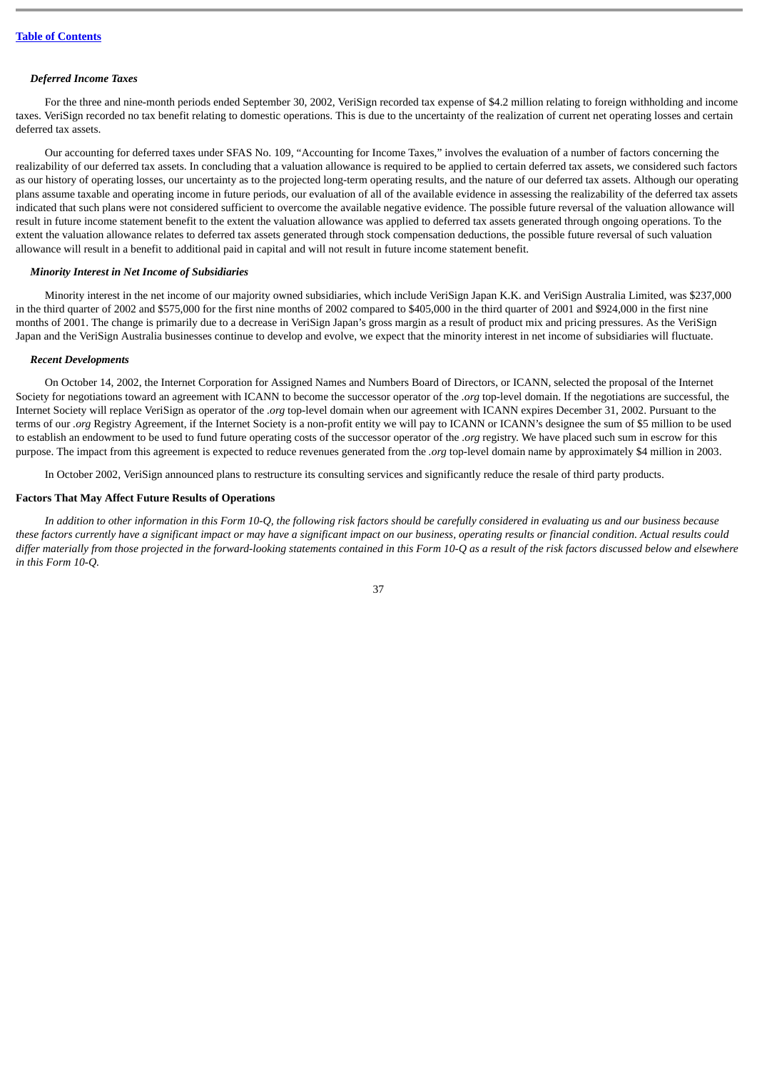# *Deferred Income Taxes*

For the three and nine-month periods ended September 30, 2002, VeriSign recorded tax expense of \$4.2 million relating to foreign withholding and income taxes. VeriSign recorded no tax benefit relating to domestic operations. This is due to the uncertainty of the realization of current net operating losses and certain deferred tax assets.

Our accounting for deferred taxes under SFAS No. 109, "Accounting for Income Taxes," involves the evaluation of a number of factors concerning the realizability of our deferred tax assets. In concluding that a valuation allowance is required to be applied to certain deferred tax assets, we considered such factors as our history of operating losses, our uncertainty as to the projected long-term operating results, and the nature of our deferred tax assets. Although our operating plans assume taxable and operating income in future periods, our evaluation of all of the available evidence in assessing the realizability of the deferred tax assets indicated that such plans were not considered sufficient to overcome the available negative evidence. The possible future reversal of the valuation allowance will result in future income statement benefit to the extent the valuation allowance was applied to deferred tax assets generated through ongoing operations. To the extent the valuation allowance relates to deferred tax assets generated through stock compensation deductions, the possible future reversal of such valuation allowance will result in a benefit to additional paid in capital and will not result in future income statement benefit.

# *Minority Interest in Net Income of Subsidiaries*

Minority interest in the net income of our majority owned subsidiaries, which include VeriSign Japan K.K. and VeriSign Australia Limited, was \$237,000 in the third quarter of 2002 and \$575,000 for the first nine months of 2002 compared to \$405,000 in the third quarter of 2001 and \$924,000 in the first nine months of 2001. The change is primarily due to a decrease in VeriSign Japan's gross margin as a result of product mix and pricing pressures. As the VeriSign Japan and the VeriSign Australia businesses continue to develop and evolve, we expect that the minority interest in net income of subsidiaries will fluctuate.

#### *Recent Developments*

On October 14, 2002, the Internet Corporation for Assigned Names and Numbers Board of Directors, or ICANN, selected the proposal of the Internet Society for negotiations toward an agreement with ICANN to become the successor operator of the *.org* top-level domain. If the negotiations are successful, the Internet Society will replace VeriSign as operator of the *.org* top-level domain when our agreement with ICANN expires December 31, 2002. Pursuant to the terms of our *.org* Registry Agreement, if the Internet Society is a non-profit entity we will pay to ICANN or ICANN's designee the sum of \$5 million to be used to establish an endowment to be used to fund future operating costs of the successor operator of the *.org* registry. We have placed such sum in escrow for this purpose. The impact from this agreement is expected to reduce revenues generated from the *.org* top-level domain name by approximately \$4 million in 2003.

In October 2002, VeriSign announced plans to restructure its consulting services and significantly reduce the resale of third party products.

## **Factors That May Affect Future Results of Operations**

*In addition to other information in this Form 10-Q, the following risk factors should be carefully considered in evaluating us and our business because these factors currently have a significant impact or may have a significant impact on our business, operating results or financial condition. Actual results could differ materially from those projected in the forward-looking statements contained in this Form 10-Q as a result of the risk factors discussed below and elsewhere in this Form 10-Q.*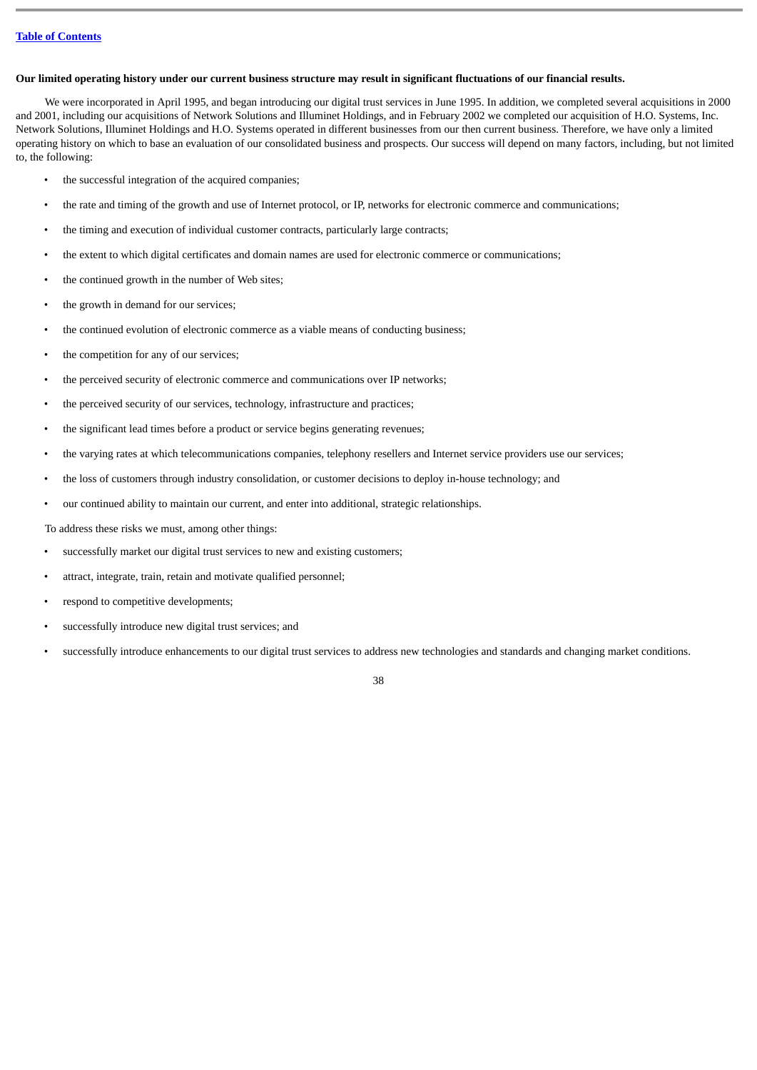# **Our limited operating history under our current business structure may result in significant fluctuations of our financial results.**

We were incorporated in April 1995, and began introducing our digital trust services in June 1995. In addition, we completed several acquisitions in 2000 and 2001, including our acquisitions of Network Solutions and Illuminet Holdings, and in February 2002 we completed our acquisition of H.O. Systems, Inc. Network Solutions, Illuminet Holdings and H.O. Systems operated in different businesses from our then current business. Therefore, we have only a limited operating history on which to base an evaluation of our consolidated business and prospects. Our success will depend on many factors, including, but not limited to, the following:

- the successful integration of the acquired companies;
- the rate and timing of the growth and use of Internet protocol, or IP, networks for electronic commerce and communications;
- the timing and execution of individual customer contracts, particularly large contracts;
- the extent to which digital certificates and domain names are used for electronic commerce or communications;
- the continued growth in the number of Web sites;
- the growth in demand for our services;
- the continued evolution of electronic commerce as a viable means of conducting business;
- the competition for any of our services;
- the perceived security of electronic commerce and communications over IP networks;
- the perceived security of our services, technology, infrastructure and practices;
- the significant lead times before a product or service begins generating revenues;
- the varying rates at which telecommunications companies, telephony resellers and Internet service providers use our services;
- the loss of customers through industry consolidation, or customer decisions to deploy in-house technology; and
- our continued ability to maintain our current, and enter into additional, strategic relationships.

To address these risks we must, among other things:

- successfully market our digital trust services to new and existing customers;
- attract, integrate, train, retain and motivate qualified personnel;
- respond to competitive developments;
- successfully introduce new digital trust services; and
- successfully introduce enhancements to our digital trust services to address new technologies and standards and changing market conditions.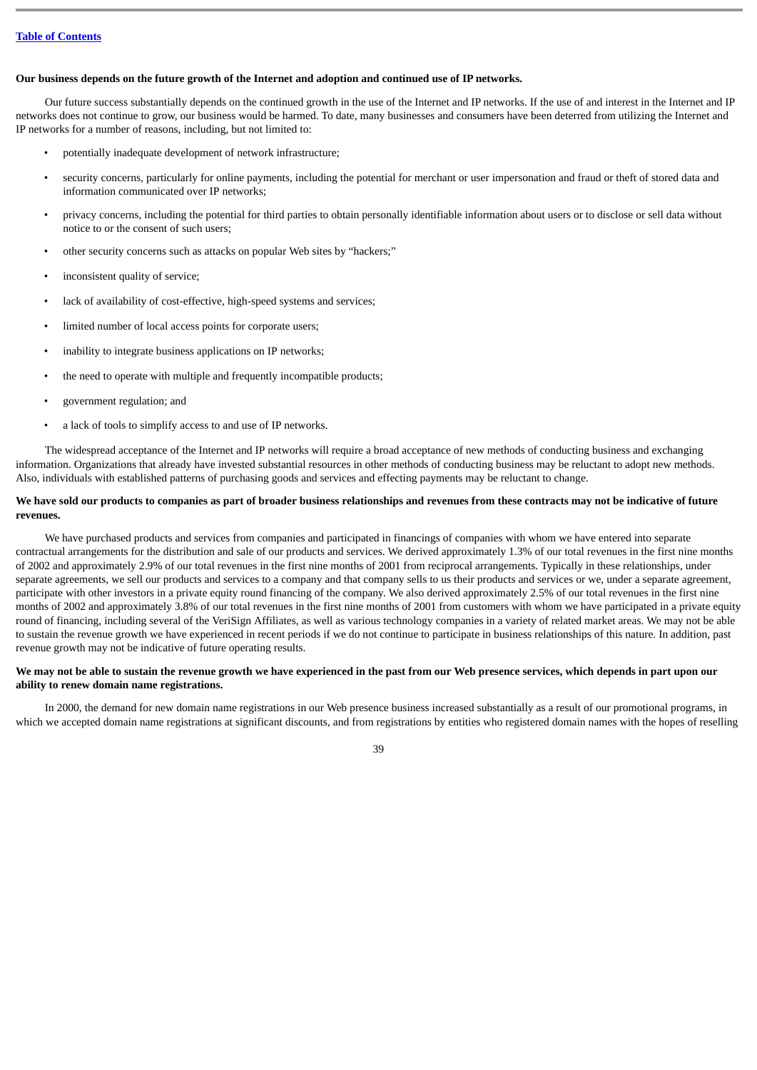# **Our business depends on the future growth of the Internet and adoption and continued use of IP networks.**

Our future success substantially depends on the continued growth in the use of the Internet and IP networks. If the use of and interest in the Internet and IP networks does not continue to grow, our business would be harmed. To date, many businesses and consumers have been deterred from utilizing the Internet and IP networks for a number of reasons, including, but not limited to:

- potentially inadequate development of network infrastructure;
- security concerns, particularly for online payments, including the potential for merchant or user impersonation and fraud or theft of stored data and information communicated over IP networks;
- privacy concerns, including the potential for third parties to obtain personally identifiable information about users or to disclose or sell data without notice to or the consent of such users;
- other security concerns such as attacks on popular Web sites by "hackers;"
- inconsistent quality of service;
- lack of availability of cost-effective, high-speed systems and services;
- limited number of local access points for corporate users;
- inability to integrate business applications on IP networks;
- the need to operate with multiple and frequently incompatible products;
- government regulation; and
- a lack of tools to simplify access to and use of IP networks.

The widespread acceptance of the Internet and IP networks will require a broad acceptance of new methods of conducting business and exchanging information. Organizations that already have invested substantial resources in other methods of conducting business may be reluctant to adopt new methods. Also, individuals with established patterns of purchasing goods and services and effecting payments may be reluctant to change.

## **We have sold our products to companies as part of broader business relationships and revenues from these contracts may not be indicative of future revenues.**

We have purchased products and services from companies and participated in financings of companies with whom we have entered into separate contractual arrangements for the distribution and sale of our products and services. We derived approximately 1.3% of our total revenues in the first nine months of 2002 and approximately 2.9% of our total revenues in the first nine months of 2001 from reciprocal arrangements. Typically in these relationships, under separate agreements, we sell our products and services to a company and that company sells to us their products and services or we, under a separate agreement, participate with other investors in a private equity round financing of the company. We also derived approximately 2.5% of our total revenues in the first nine months of 2002 and approximately 3.8% of our total revenues in the first nine months of 2001 from customers with whom we have participated in a private equity round of financing, including several of the VeriSign Affiliates, as well as various technology companies in a variety of related market areas. We may not be able to sustain the revenue growth we have experienced in recent periods if we do not continue to participate in business relationships of this nature. In addition, past revenue growth may not be indicative of future operating results.

# **We may not be able to sustain the revenue growth we have experienced in the past from our Web presence services, which depends in part upon our ability to renew domain name registrations.**

In 2000, the demand for new domain name registrations in our Web presence business increased substantially as a result of our promotional programs, in which we accepted domain name registrations at significant discounts, and from registrations by entities who registered domain names with the hopes of reselling

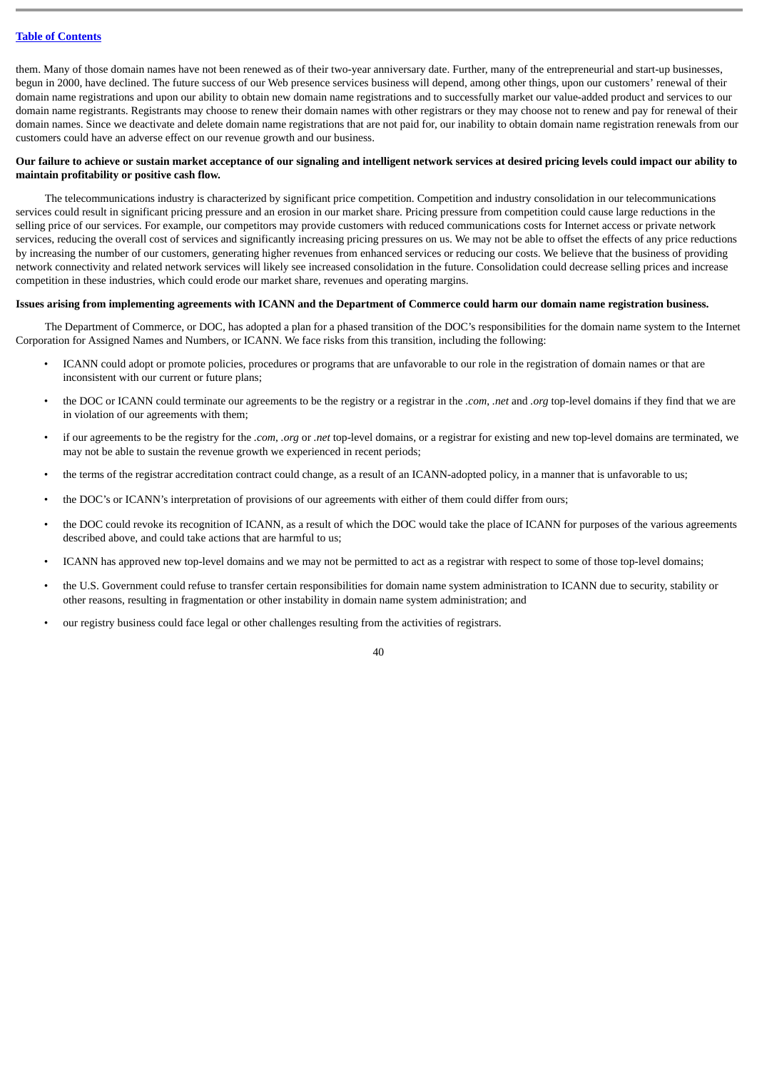them. Many of those domain names have not been renewed as of their two-year anniversary date. Further, many of the entrepreneurial and start-up businesses, begun in 2000, have declined. The future success of our Web presence services business will depend, among other things, upon our customers' renewal of their domain name registrations and upon our ability to obtain new domain name registrations and to successfully market our value-added product and services to our domain name registrants. Registrants may choose to renew their domain names with other registrars or they may choose not to renew and pay for renewal of their domain names. Since we deactivate and delete domain name registrations that are not paid for, our inability to obtain domain name registration renewals from our customers could have an adverse effect on our revenue growth and our business.

# **Our failure to achieve or sustain market acceptance of our signaling and intelligent network services at desired pricing levels could impact our ability to maintain profitability or positive cash flow.**

The telecommunications industry is characterized by significant price competition. Competition and industry consolidation in our telecommunications services could result in significant pricing pressure and an erosion in our market share. Pricing pressure from competition could cause large reductions in the selling price of our services. For example, our competitors may provide customers with reduced communications costs for Internet access or private network services, reducing the overall cost of services and significantly increasing pricing pressures on us. We may not be able to offset the effects of any price reductions by increasing the number of our customers, generating higher revenues from enhanced services or reducing our costs. We believe that the business of providing network connectivity and related network services will likely see increased consolidation in the future. Consolidation could decrease selling prices and increase competition in these industries, which could erode our market share, revenues and operating margins.

# **Issues arising from implementing agreements with ICANN and the Department of Commerce could harm our domain name registration business.**

The Department of Commerce, or DOC, has adopted a plan for a phased transition of the DOC's responsibilities for the domain name system to the Internet Corporation for Assigned Names and Numbers, or ICANN. We face risks from this transition, including the following:

- ICANN could adopt or promote policies, procedures or programs that are unfavorable to our role in the registration of domain names or that are inconsistent with our current or future plans;
- the DOC or ICANN could terminate our agreements to be the registry or a registrar in the *.com*, *.net* and *.org* top-level domains if they find that we are in violation of our agreements with them;
- if our agreements to be the registry for the *.com*, *.org* or *.net* top-level domains, or a registrar for existing and new top-level domains are terminated, we may not be able to sustain the revenue growth we experienced in recent periods;
- the terms of the registrar accreditation contract could change, as a result of an ICANN-adopted policy, in a manner that is unfavorable to us;
- the DOC's or ICANN's interpretation of provisions of our agreements with either of them could differ from ours;
- the DOC could revoke its recognition of ICANN, as a result of which the DOC would take the place of ICANN for purposes of the various agreements described above, and could take actions that are harmful to us;
- ICANN has approved new top-level domains and we may not be permitted to act as a registrar with respect to some of those top-level domains;
- the U.S. Government could refuse to transfer certain responsibilities for domain name system administration to ICANN due to security, stability or other reasons, resulting in fragmentation or other instability in domain name system administration; and
- our registry business could face legal or other challenges resulting from the activities of registrars.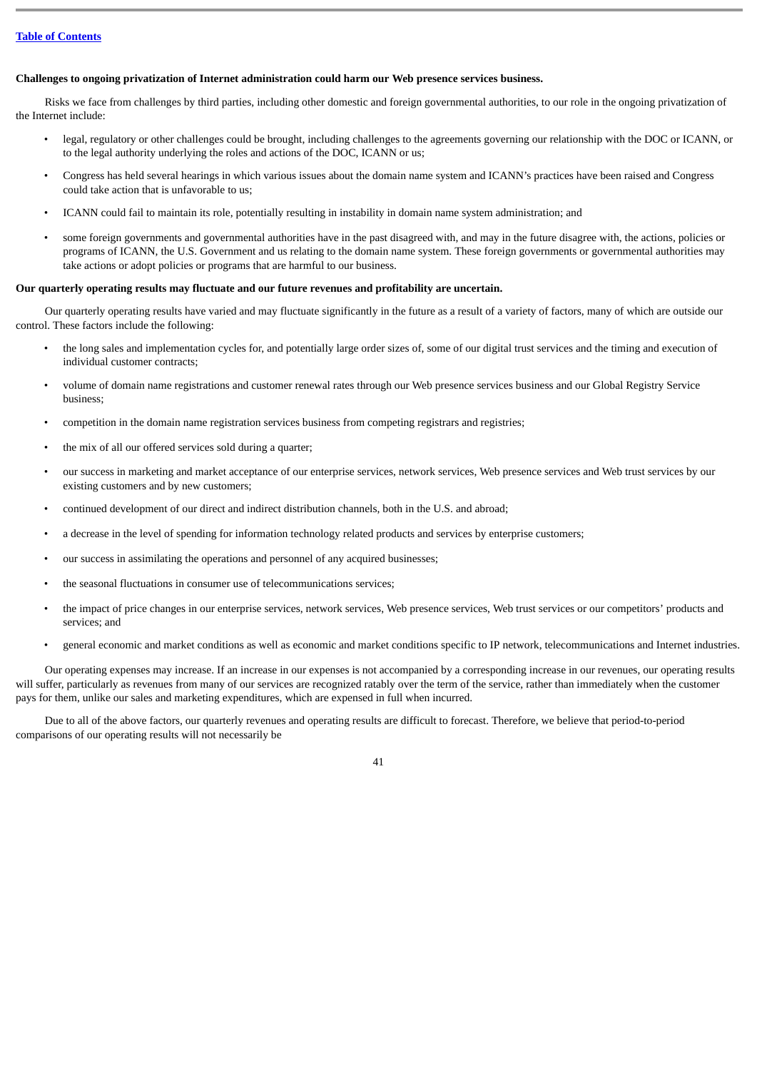# **Challenges to ongoing privatization of Internet administration could harm our Web presence services business.**

Risks we face from challenges by third parties, including other domestic and foreign governmental authorities, to our role in the ongoing privatization of the Internet include:

- legal, regulatory or other challenges could be brought, including challenges to the agreements governing our relationship with the DOC or ICANN, or to the legal authority underlying the roles and actions of the DOC, ICANN or us;
- Congress has held several hearings in which various issues about the domain name system and ICANN's practices have been raised and Congress could take action that is unfavorable to us;
- ICANN could fail to maintain its role, potentially resulting in instability in domain name system administration; and
- some foreign governments and governmental authorities have in the past disagreed with, and may in the future disagree with, the actions, policies or programs of ICANN, the U.S. Government and us relating to the domain name system. These foreign governments or governmental authorities may take actions or adopt policies or programs that are harmful to our business.

# **Our quarterly operating results may fluctuate and our future revenues and profitability are uncertain.**

Our quarterly operating results have varied and may fluctuate significantly in the future as a result of a variety of factors, many of which are outside our control. These factors include the following:

- the long sales and implementation cycles for, and potentially large order sizes of, some of our digital trust services and the timing and execution of individual customer contracts;
- volume of domain name registrations and customer renewal rates through our Web presence services business and our Global Registry Service business;
- competition in the domain name registration services business from competing registrars and registries;
- the mix of all our offered services sold during a quarter;
- our success in marketing and market acceptance of our enterprise services, network services, Web presence services and Web trust services by our existing customers and by new customers;
- continued development of our direct and indirect distribution channels, both in the U.S. and abroad;
- a decrease in the level of spending for information technology related products and services by enterprise customers;
- our success in assimilating the operations and personnel of any acquired businesses;
- the seasonal fluctuations in consumer use of telecommunications services;
- the impact of price changes in our enterprise services, network services, Web presence services, Web trust services or our competitors' products and services; and
- general economic and market conditions as well as economic and market conditions specific to IP network, telecommunications and Internet industries.

Our operating expenses may increase. If an increase in our expenses is not accompanied by a corresponding increase in our revenues, our operating results will suffer, particularly as revenues from many of our services are recognized ratably over the term of the service, rather than immediately when the customer pays for them, unlike our sales and marketing expenditures, which are expensed in full when incurred.

Due to all of the above factors, our quarterly revenues and operating results are difficult to forecast. Therefore, we believe that period-to-period comparisons of our operating results will not necessarily be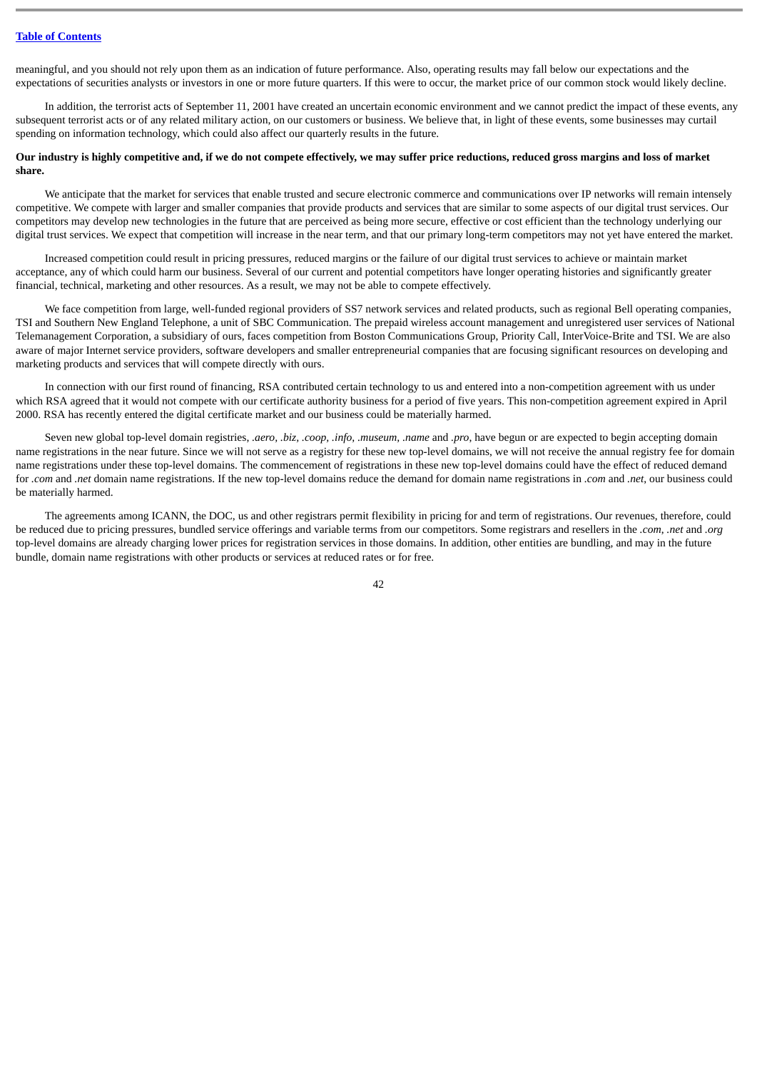meaningful, and you should not rely upon them as an indication of future performance. Also, operating results may fall below our expectations and the expectations of securities analysts or investors in one or more future quarters. If this were to occur, the market price of our common stock would likely decline.

In addition, the terrorist acts of September 11, 2001 have created an uncertain economic environment and we cannot predict the impact of these events, any subsequent terrorist acts or of any related military action, on our customers or business. We believe that, in light of these events, some businesses may curtail spending on information technology, which could also affect our quarterly results in the future.

## **Our industry is highly competitive and, if we do not compete effectively, we may suffer price reductions, reduced gross margins and loss of market share.**

We anticipate that the market for services that enable trusted and secure electronic commerce and communications over IP networks will remain intensely competitive. We compete with larger and smaller companies that provide products and services that are similar to some aspects of our digital trust services. Our competitors may develop new technologies in the future that are perceived as being more secure, effective or cost efficient than the technology underlying our digital trust services. We expect that competition will increase in the near term, and that our primary long-term competitors may not yet have entered the market.

Increased competition could result in pricing pressures, reduced margins or the failure of our digital trust services to achieve or maintain market acceptance, any of which could harm our business. Several of our current and potential competitors have longer operating histories and significantly greater financial, technical, marketing and other resources. As a result, we may not be able to compete effectively.

We face competition from large, well-funded regional providers of SS7 network services and related products, such as regional Bell operating companies, TSI and Southern New England Telephone, a unit of SBC Communication. The prepaid wireless account management and unregistered user services of National Telemanagement Corporation, a subsidiary of ours, faces competition from Boston Communications Group, Priority Call, InterVoice-Brite and TSI. We are also aware of major Internet service providers, software developers and smaller entrepreneurial companies that are focusing significant resources on developing and marketing products and services that will compete directly with ours.

In connection with our first round of financing, RSA contributed certain technology to us and entered into a non-competition agreement with us under which RSA agreed that it would not compete with our certificate authority business for a period of five years. This non-competition agreement expired in April 2000. RSA has recently entered the digital certificate market and our business could be materially harmed.

Seven new global top-level domain registries, *.aero, .biz, .coop, .info, .museum, .name* and *.pro*, have begun or are expected to begin accepting domain name registrations in the near future. Since we will not serve as a registry for these new top-level domains, we will not receive the annual registry fee for domain name registrations under these top-level domains. The commencement of registrations in these new top-level domains could have the effect of reduced demand for *.com* and *.net* domain name registrations. If the new top-level domains reduce the demand for domain name registrations in *.com* and *.net*, our business could be materially harmed.

The agreements among ICANN, the DOC, us and other registrars permit flexibility in pricing for and term of registrations. Our revenues, therefore, could be reduced due to pricing pressures, bundled service offerings and variable terms from our competitors. Some registrars and resellers in the *.com*, *.net* and *.org* top-level domains are already charging lower prices for registration services in those domains. In addition, other entities are bundling, and may in the future bundle, domain name registrations with other products or services at reduced rates or for free.

 $\Delta$ 2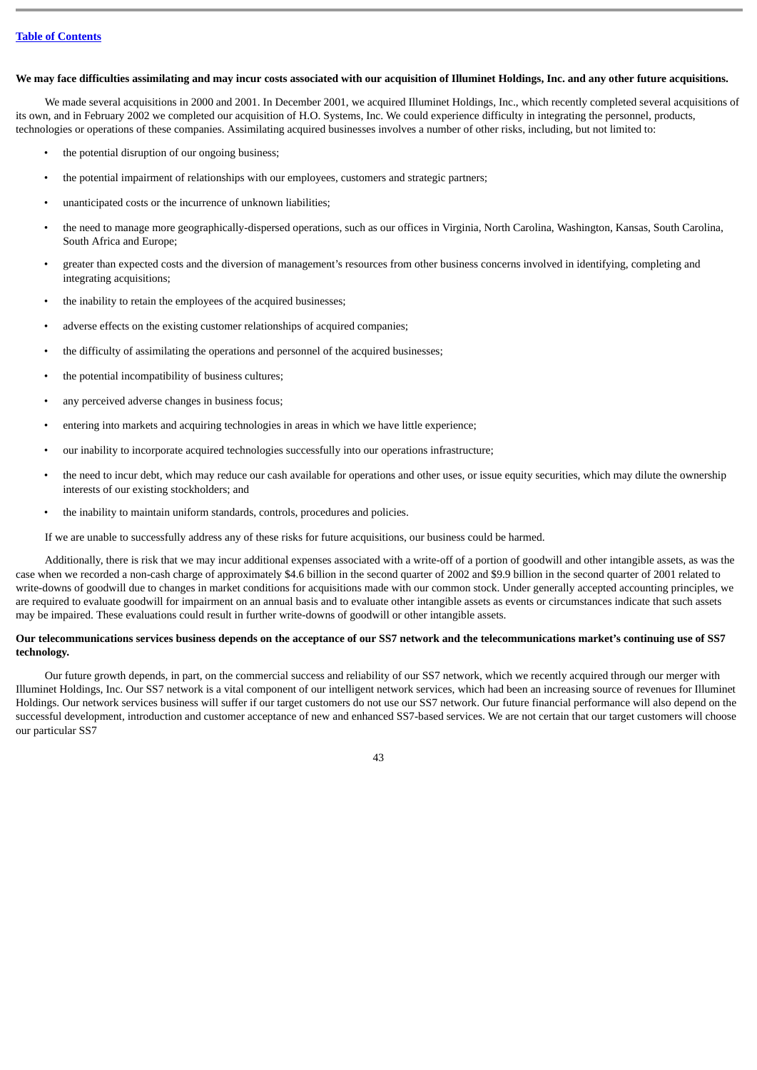# **We may face difficulties assimilating and may incur costs associated with our acquisition of Illuminet Holdings, Inc. and any other future acquisitions.**

We made several acquisitions in 2000 and 2001. In December 2001, we acquired Illuminet Holdings, Inc., which recently completed several acquisitions of its own, and in February 2002 we completed our acquisition of H.O. Systems, Inc. We could experience difficulty in integrating the personnel, products, technologies or operations of these companies. Assimilating acquired businesses involves a number of other risks, including, but not limited to:

- the potential disruption of our ongoing business;
- the potential impairment of relationships with our employees, customers and strategic partners;
- unanticipated costs or the incurrence of unknown liabilities;
- the need to manage more geographically-dispersed operations, such as our offices in Virginia, North Carolina, Washington, Kansas, South Carolina, South Africa and Europe;
- greater than expected costs and the diversion of management's resources from other business concerns involved in identifying, completing and integrating acquisitions;
- the inability to retain the employees of the acquired businesses;
- adverse effects on the existing customer relationships of acquired companies;
- the difficulty of assimilating the operations and personnel of the acquired businesses;
- the potential incompatibility of business cultures:
- any perceived adverse changes in business focus;
- entering into markets and acquiring technologies in areas in which we have little experience;
- our inability to incorporate acquired technologies successfully into our operations infrastructure;
- the need to incur debt, which may reduce our cash available for operations and other uses, or issue equity securities, which may dilute the ownership interests of our existing stockholders; and
- the inability to maintain uniform standards, controls, procedures and policies.

If we are unable to successfully address any of these risks for future acquisitions, our business could be harmed.

Additionally, there is risk that we may incur additional expenses associated with a write-off of a portion of goodwill and other intangible assets, as was the case when we recorded a non-cash charge of approximately \$4.6 billion in the second quarter of 2002 and \$9.9 billion in the second quarter of 2001 related to write-downs of goodwill due to changes in market conditions for acquisitions made with our common stock. Under generally accepted accounting principles, we are required to evaluate goodwill for impairment on an annual basis and to evaluate other intangible assets as events or circumstances indicate that such assets may be impaired. These evaluations could result in further write-downs of goodwill or other intangible assets.

# **Our telecommunications services business depends on the acceptance of our SS7 network and the telecommunications market's continuing use of SS7 technology.**

Our future growth depends, in part, on the commercial success and reliability of our SS7 network, which we recently acquired through our merger with Illuminet Holdings, Inc. Our SS7 network is a vital component of our intelligent network services, which had been an increasing source of revenues for Illuminet Holdings. Our network services business will suffer if our target customers do not use our SS7 network. Our future financial performance will also depend on the successful development, introduction and customer acceptance of new and enhanced SS7-based services. We are not certain that our target customers will choose our particular SS7

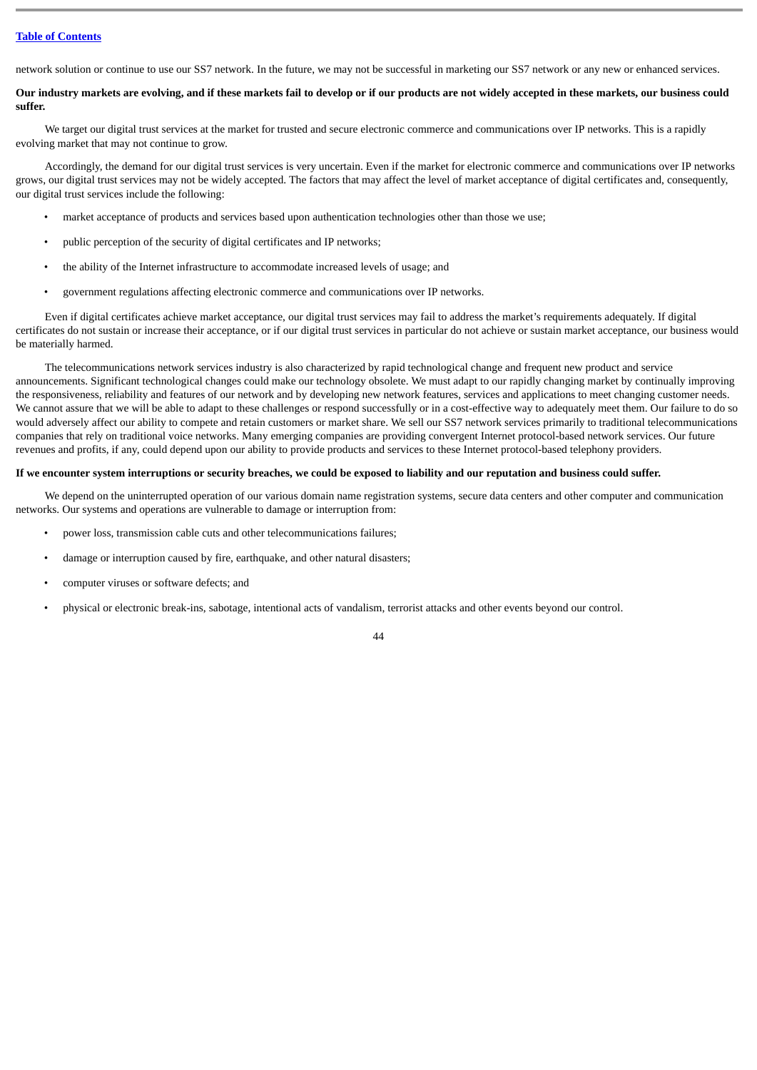network solution or continue to use our SS7 network. In the future, we may not be successful in marketing our SS7 network or any new or enhanced services.

# **Our industry markets are evolving, and if these markets fail to develop or if our products are not widely accepted in these markets, our business could suffer.**

We target our digital trust services at the market for trusted and secure electronic commerce and communications over IP networks. This is a rapidly evolving market that may not continue to grow.

Accordingly, the demand for our digital trust services is very uncertain. Even if the market for electronic commerce and communications over IP networks grows, our digital trust services may not be widely accepted. The factors that may affect the level of market acceptance of digital certificates and, consequently, our digital trust services include the following:

- market acceptance of products and services based upon authentication technologies other than those we use;
- public perception of the security of digital certificates and IP networks;
- the ability of the Internet infrastructure to accommodate increased levels of usage; and
- government regulations affecting electronic commerce and communications over IP networks.

Even if digital certificates achieve market acceptance, our digital trust services may fail to address the market's requirements adequately. If digital certificates do not sustain or increase their acceptance, or if our digital trust services in particular do not achieve or sustain market acceptance, our business would be materially harmed.

The telecommunications network services industry is also characterized by rapid technological change and frequent new product and service announcements. Significant technological changes could make our technology obsolete. We must adapt to our rapidly changing market by continually improving the responsiveness, reliability and features of our network and by developing new network features, services and applications to meet changing customer needs. We cannot assure that we will be able to adapt to these challenges or respond successfully or in a cost-effective way to adequately meet them. Our failure to do so would adversely affect our ability to compete and retain customers or market share. We sell our SS7 network services primarily to traditional telecommunications companies that rely on traditional voice networks. Many emerging companies are providing convergent Internet protocol-based network services. Our future revenues and profits, if any, could depend upon our ability to provide products and services to these Internet protocol-based telephony providers.

## **If we encounter system interruptions or security breaches, we could be exposed to liability and our reputation and business could suffer.**

We depend on the uninterrupted operation of our various domain name registration systems, secure data centers and other computer and communication networks. Our systems and operations are vulnerable to damage or interruption from:

- power loss, transmission cable cuts and other telecommunications failures;
- damage or interruption caused by fire, earthquake, and other natural disasters;
- computer viruses or software defects; and
- physical or electronic break-ins, sabotage, intentional acts of vandalism, terrorist attacks and other events beyond our control.

 $\overline{A}$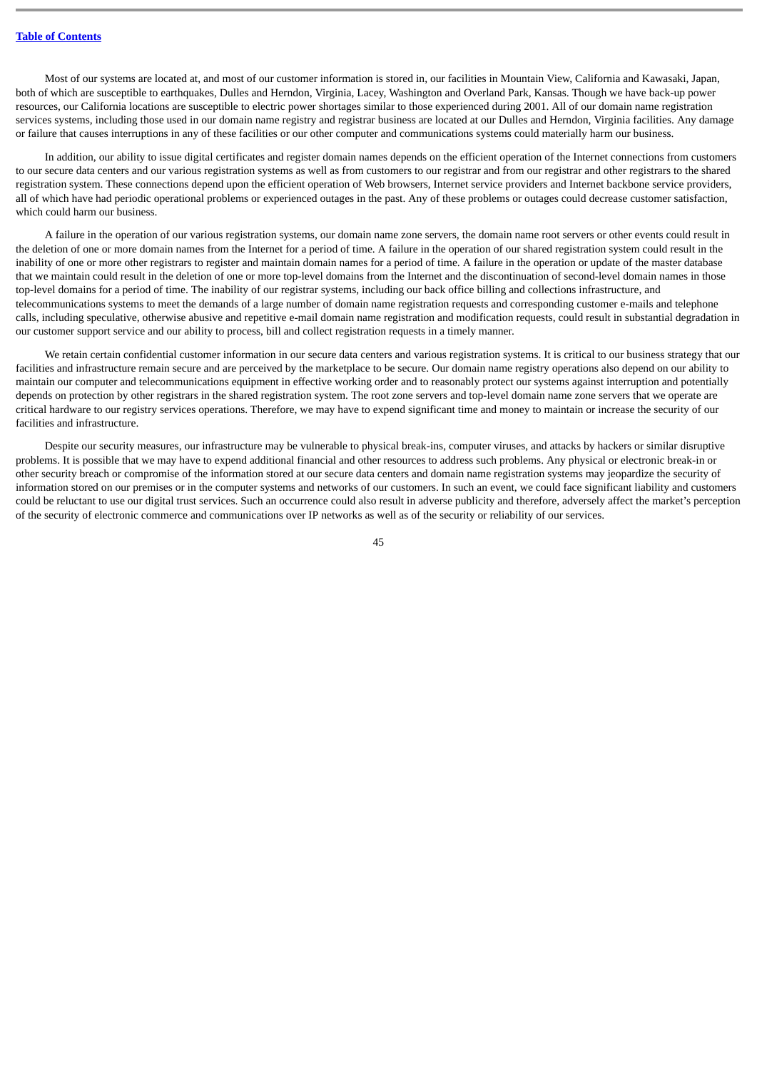Most of our systems are located at, and most of our customer information is stored in, our facilities in Mountain View, California and Kawasaki, Japan, both of which are susceptible to earthquakes, Dulles and Herndon, Virginia, Lacey, Washington and Overland Park, Kansas. Though we have back-up power resources, our California locations are susceptible to electric power shortages similar to those experienced during 2001. All of our domain name registration services systems, including those used in our domain name registry and registrar business are located at our Dulles and Herndon, Virginia facilities. Any damage or failure that causes interruptions in any of these facilities or our other computer and communications systems could materially harm our business.

In addition, our ability to issue digital certificates and register domain names depends on the efficient operation of the Internet connections from customers to our secure data centers and our various registration systems as well as from customers to our registrar and from our registrar and other registrars to the shared registration system. These connections depend upon the efficient operation of Web browsers, Internet service providers and Internet backbone service providers, all of which have had periodic operational problems or experienced outages in the past. Any of these problems or outages could decrease customer satisfaction, which could harm our business.

A failure in the operation of our various registration systems, our domain name zone servers, the domain name root servers or other events could result in the deletion of one or more domain names from the Internet for a period of time. A failure in the operation of our shared registration system could result in the inability of one or more other registrars to register and maintain domain names for a period of time. A failure in the operation or update of the master database that we maintain could result in the deletion of one or more top-level domains from the Internet and the discontinuation of second-level domain names in those top-level domains for a period of time. The inability of our registrar systems, including our back office billing and collections infrastructure, and telecommunications systems to meet the demands of a large number of domain name registration requests and corresponding customer e-mails and telephone calls, including speculative, otherwise abusive and repetitive e-mail domain name registration and modification requests, could result in substantial degradation in our customer support service and our ability to process, bill and collect registration requests in a timely manner.

We retain certain confidential customer information in our secure data centers and various registration systems. It is critical to our business strategy that our facilities and infrastructure remain secure and are perceived by the marketplace to be secure. Our domain name registry operations also depend on our ability to maintain our computer and telecommunications equipment in effective working order and to reasonably protect our systems against interruption and potentially depends on protection by other registrars in the shared registration system. The root zone servers and top-level domain name zone servers that we operate are critical hardware to our registry services operations. Therefore, we may have to expend significant time and money to maintain or increase the security of our facilities and infrastructure.

Despite our security measures, our infrastructure may be vulnerable to physical break-ins, computer viruses, and attacks by hackers or similar disruptive problems. It is possible that we may have to expend additional financial and other resources to address such problems. Any physical or electronic break-in or other security breach or compromise of the information stored at our secure data centers and domain name registration systems may jeopardize the security of information stored on our premises or in the computer systems and networks of our customers. In such an event, we could face significant liability and customers could be reluctant to use our digital trust services. Such an occurrence could also result in adverse publicity and therefore, adversely affect the market's perception of the security of electronic commerce and communications over IP networks as well as of the security or reliability of our services.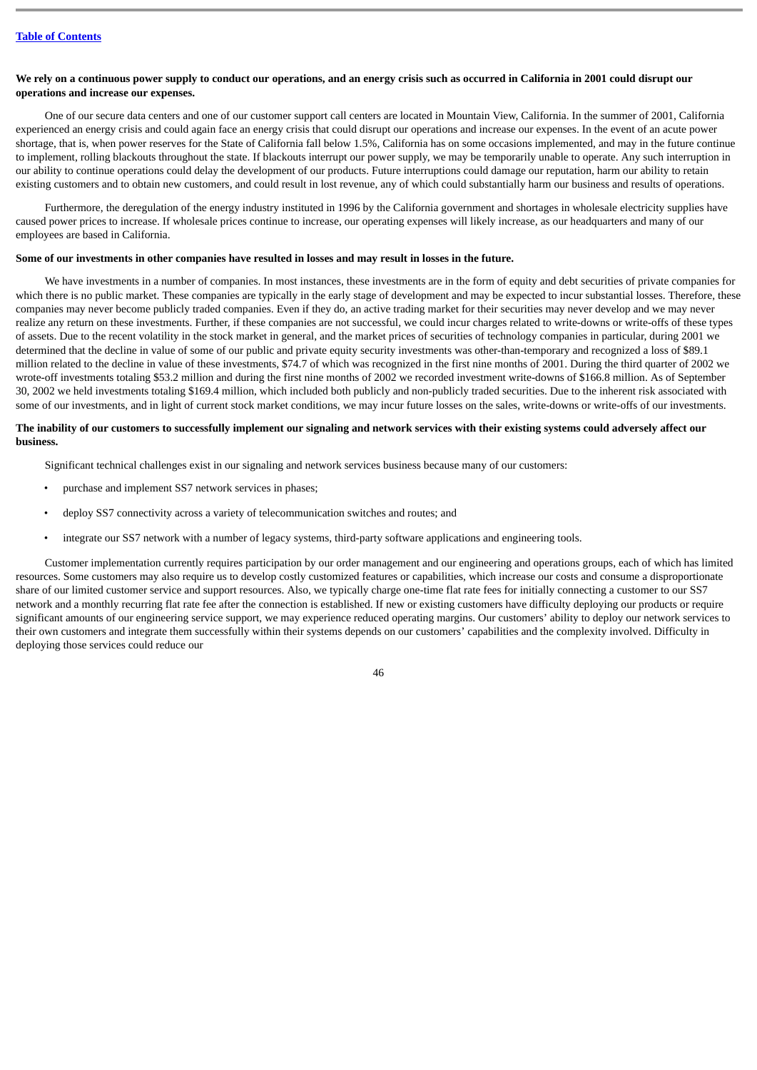# **We rely on a continuous power supply to conduct our operations, and an energy crisis such as occurred in California in 2001 could disrupt our operations and increase our expenses.**

One of our secure data centers and one of our customer support call centers are located in Mountain View, California. In the summer of 2001, California experienced an energy crisis and could again face an energy crisis that could disrupt our operations and increase our expenses. In the event of an acute power shortage, that is, when power reserves for the State of California fall below 1.5%, California has on some occasions implemented, and may in the future continue to implement, rolling blackouts throughout the state. If blackouts interrupt our power supply, we may be temporarily unable to operate. Any such interruption in our ability to continue operations could delay the development of our products. Future interruptions could damage our reputation, harm our ability to retain existing customers and to obtain new customers, and could result in lost revenue, any of which could substantially harm our business and results of operations.

Furthermore, the deregulation of the energy industry instituted in 1996 by the California government and shortages in wholesale electricity supplies have caused power prices to increase. If wholesale prices continue to increase, our operating expenses will likely increase, as our headquarters and many of our employees are based in California.

# **Some of our investments in other companies have resulted in losses and may result in losses in the future.**

We have investments in a number of companies. In most instances, these investments are in the form of equity and debt securities of private companies for which there is no public market. These companies are typically in the early stage of development and may be expected to incur substantial losses. Therefore, these companies may never become publicly traded companies. Even if they do, an active trading market for their securities may never develop and we may never realize any return on these investments. Further, if these companies are not successful, we could incur charges related to write-downs or write-offs of these types of assets. Due to the recent volatility in the stock market in general, and the market prices of securities of technology companies in particular, during 2001 we determined that the decline in value of some of our public and private equity security investments was other-than-temporary and recognized a loss of \$89.1 million related to the decline in value of these investments, \$74.7 of which was recognized in the first nine months of 2001. During the third quarter of 2002 we wrote-off investments totaling \$53.2 million and during the first nine months of 2002 we recorded investment write-downs of \$166.8 million. As of September 30, 2002 we held investments totaling \$169.4 million, which included both publicly and non-publicly traded securities. Due to the inherent risk associated with some of our investments, and in light of current stock market conditions, we may incur future losses on the sales, write-downs or write-offs of our investments.

## **The inability of our customers to successfully implement our signaling and network services with their existing systems could adversely affect our business.**

Significant technical challenges exist in our signaling and network services business because many of our customers:

- purchase and implement SS7 network services in phases;
- deploy SS7 connectivity across a variety of telecommunication switches and routes; and
- integrate our SS7 network with a number of legacy systems, third-party software applications and engineering tools.

Customer implementation currently requires participation by our order management and our engineering and operations groups, each of which has limited resources. Some customers may also require us to develop costly customized features or capabilities, which increase our costs and consume a disproportionate share of our limited customer service and support resources. Also, we typically charge one-time flat rate fees for initially connecting a customer to our SS7 network and a monthly recurring flat rate fee after the connection is established. If new or existing customers have difficulty deploying our products or require significant amounts of our engineering service support, we may experience reduced operating margins. Our customers' ability to deploy our network services to their own customers and integrate them successfully within their systems depends on our customers' capabilities and the complexity involved. Difficulty in deploying those services could reduce our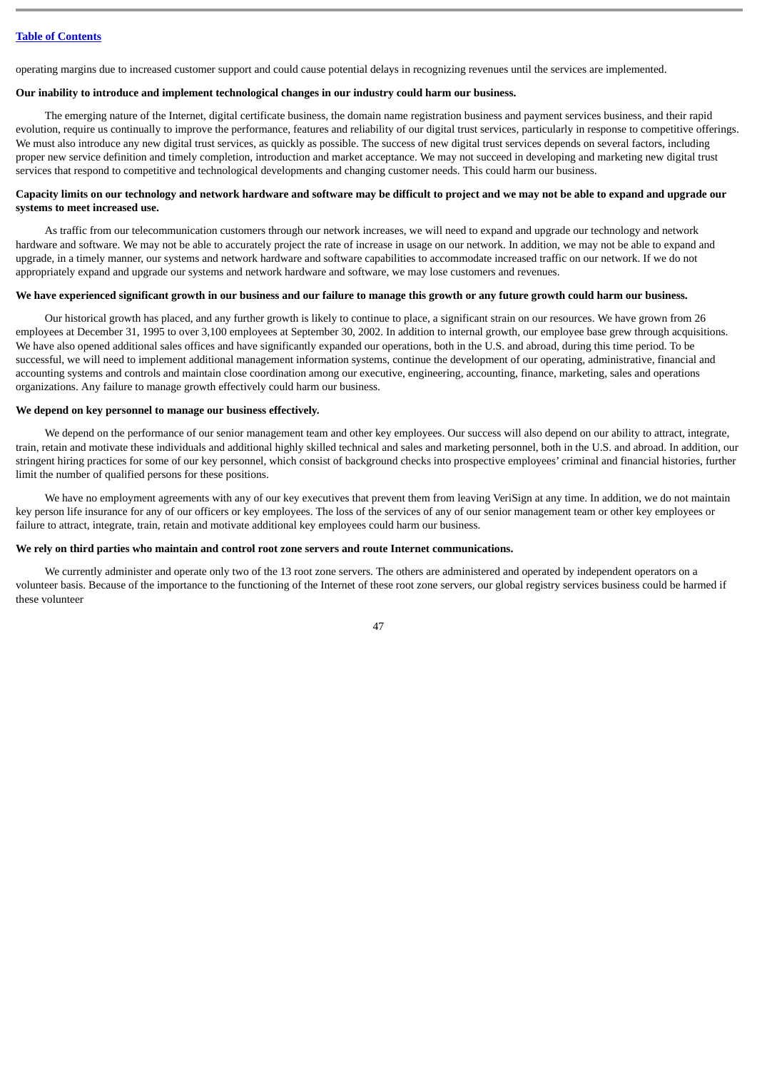operating margins due to increased customer support and could cause potential delays in recognizing revenues until the services are implemented.

# **Our inability to introduce and implement technological changes in our industry could harm our business.**

The emerging nature of the Internet, digital certificate business, the domain name registration business and payment services business, and their rapid evolution, require us continually to improve the performance, features and reliability of our digital trust services, particularly in response to competitive offerings. We must also introduce any new digital trust services, as quickly as possible. The success of new digital trust services depends on several factors, including proper new service definition and timely completion, introduction and market acceptance. We may not succeed in developing and marketing new digital trust services that respond to competitive and technological developments and changing customer needs. This could harm our business.

# **Capacity limits on our technology and network hardware and software may be difficult to project and we may not be able to expand and upgrade our systems to meet increased use.**

As traffic from our telecommunication customers through our network increases, we will need to expand and upgrade our technology and network hardware and software. We may not be able to accurately project the rate of increase in usage on our network. In addition, we may not be able to expand and upgrade, in a timely manner, our systems and network hardware and software capabilities to accommodate increased traffic on our network. If we do not appropriately expand and upgrade our systems and network hardware and software, we may lose customers and revenues.

#### **We have experienced significant growth in our business and our failure to manage this growth or any future growth could harm our business.**

Our historical growth has placed, and any further growth is likely to continue to place, a significant strain on our resources. We have grown from 26 employees at December 31, 1995 to over 3,100 employees at September 30, 2002. In addition to internal growth, our employee base grew through acquisitions. We have also opened additional sales offices and have significantly expanded our operations, both in the U.S. and abroad, during this time period. To be successful, we will need to implement additional management information systems, continue the development of our operating, administrative, financial and accounting systems and controls and maintain close coordination among our executive, engineering, accounting, finance, marketing, sales and operations organizations. Any failure to manage growth effectively could harm our business.

# **We depend on key personnel to manage our business effectively.**

We depend on the performance of our senior management team and other key employees. Our success will also depend on our ability to attract, integrate, train, retain and motivate these individuals and additional highly skilled technical and sales and marketing personnel, both in the U.S. and abroad. In addition, our stringent hiring practices for some of our key personnel, which consist of background checks into prospective employees' criminal and financial histories, further limit the number of qualified persons for these positions.

We have no employment agreements with any of our key executives that prevent them from leaving VeriSign at any time. In addition, we do not maintain key person life insurance for any of our officers or key employees. The loss of the services of any of our senior management team or other key employees or failure to attract, integrate, train, retain and motivate additional key employees could harm our business.

#### **We rely on third parties who maintain and control root zone servers and route Internet communications.**

We currently administer and operate only two of the 13 root zone servers. The others are administered and operated by independent operators on a volunteer basis. Because of the importance to the functioning of the Internet of these root zone servers, our global registry services business could be harmed if these volunteer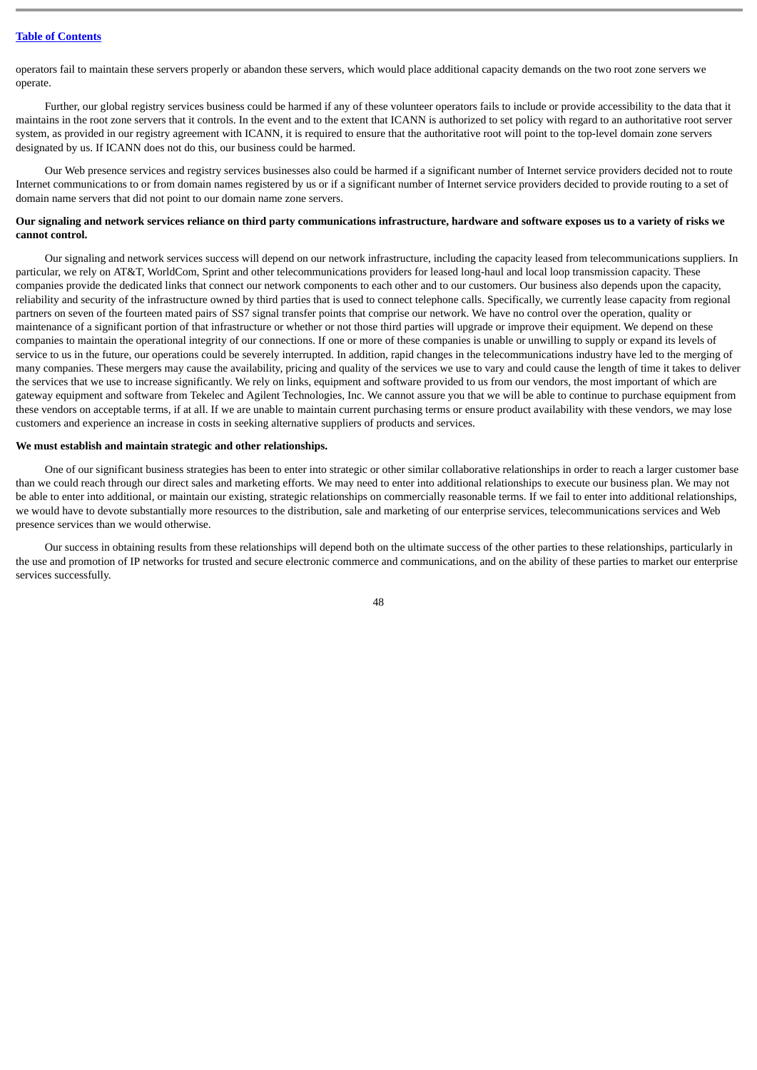operators fail to maintain these servers properly or abandon these servers, which would place additional capacity demands on the two root zone servers we operate.

Further, our global registry services business could be harmed if any of these volunteer operators fails to include or provide accessibility to the data that it maintains in the root zone servers that it controls. In the event and to the extent that ICANN is authorized to set policy with regard to an authoritative root server system, as provided in our registry agreement with ICANN, it is required to ensure that the authoritative root will point to the top-level domain zone servers designated by us. If ICANN does not do this, our business could be harmed.

Our Web presence services and registry services businesses also could be harmed if a significant number of Internet service providers decided not to route Internet communications to or from domain names registered by us or if a significant number of Internet service providers decided to provide routing to a set of domain name servers that did not point to our domain name zone servers.

# **Our signaling and network services reliance on third party communications infrastructure, hardware and software exposes us to a variety of risks we cannot control.**

Our signaling and network services success will depend on our network infrastructure, including the capacity leased from telecommunications suppliers. In particular, we rely on AT&T, WorldCom, Sprint and other telecommunications providers for leased long-haul and local loop transmission capacity. These companies provide the dedicated links that connect our network components to each other and to our customers. Our business also depends upon the capacity, reliability and security of the infrastructure owned by third parties that is used to connect telephone calls. Specifically, we currently lease capacity from regional partners on seven of the fourteen mated pairs of SS7 signal transfer points that comprise our network. We have no control over the operation, quality or maintenance of a significant portion of that infrastructure or whether or not those third parties will upgrade or improve their equipment. We depend on these companies to maintain the operational integrity of our connections. If one or more of these companies is unable or unwilling to supply or expand its levels of service to us in the future, our operations could be severely interrupted. In addition, rapid changes in the telecommunications industry have led to the merging of many companies. These mergers may cause the availability, pricing and quality of the services we use to vary and could cause the length of time it takes to deliver the services that we use to increase significantly. We rely on links, equipment and software provided to us from our vendors, the most important of which are gateway equipment and software from Tekelec and Agilent Technologies, Inc. We cannot assure you that we will be able to continue to purchase equipment from these vendors on acceptable terms, if at all. If we are unable to maintain current purchasing terms or ensure product availability with these vendors, we may lose customers and experience an increase in costs in seeking alternative suppliers of products and services.

#### **We must establish and maintain strategic and other relationships.**

One of our significant business strategies has been to enter into strategic or other similar collaborative relationships in order to reach a larger customer base than we could reach through our direct sales and marketing efforts. We may need to enter into additional relationships to execute our business plan. We may not be able to enter into additional, or maintain our existing, strategic relationships on commercially reasonable terms. If we fail to enter into additional relationships, we would have to devote substantially more resources to the distribution, sale and marketing of our enterprise services, telecommunications services and Web presence services than we would otherwise.

Our success in obtaining results from these relationships will depend both on the ultimate success of the other parties to these relationships, particularly in the use and promotion of IP networks for trusted and secure electronic commerce and communications, and on the ability of these parties to market our enterprise services successfully.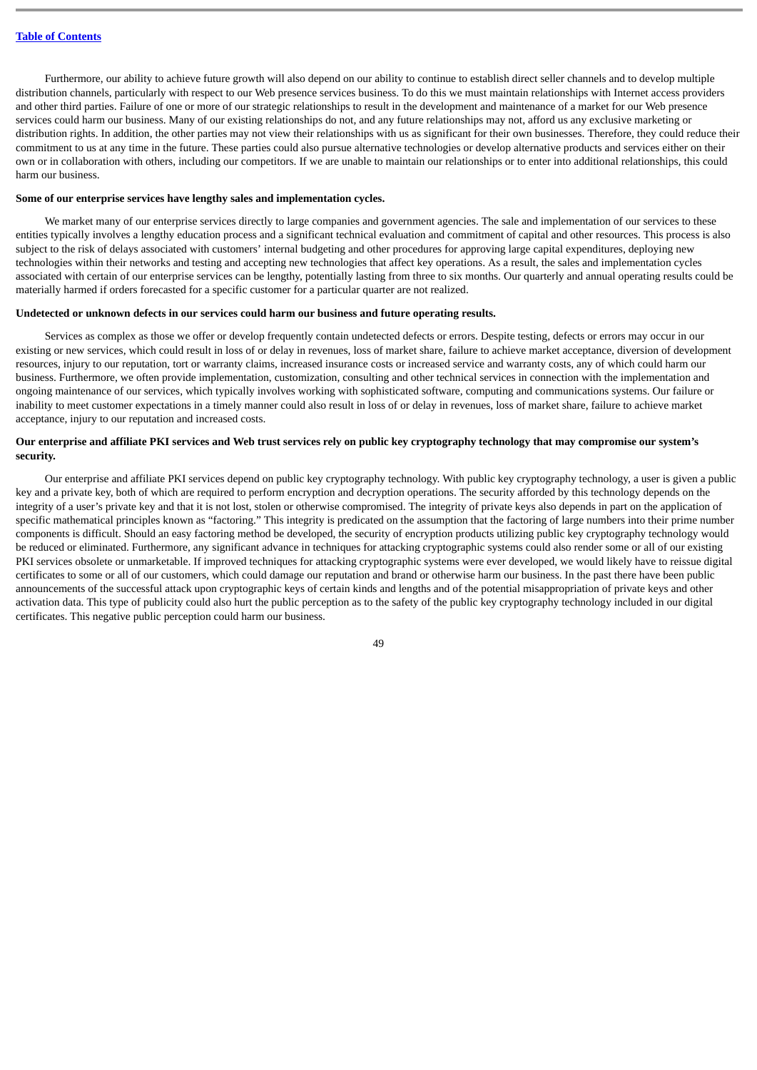Furthermore, our ability to achieve future growth will also depend on our ability to continue to establish direct seller channels and to develop multiple distribution channels, particularly with respect to our Web presence services business. To do this we must maintain relationships with Internet access providers and other third parties. Failure of one or more of our strategic relationships to result in the development and maintenance of a market for our Web presence services could harm our business. Many of our existing relationships do not, and any future relationships may not, afford us any exclusive marketing or distribution rights. In addition, the other parties may not view their relationships with us as significant for their own businesses. Therefore, they could reduce their commitment to us at any time in the future. These parties could also pursue alternative technologies or develop alternative products and services either on their own or in collaboration with others, including our competitors. If we are unable to maintain our relationships or to enter into additional relationships, this could harm our business.

#### **Some of our enterprise services have lengthy sales and implementation cycles.**

We market many of our enterprise services directly to large companies and government agencies. The sale and implementation of our services to these entities typically involves a lengthy education process and a significant technical evaluation and commitment of capital and other resources. This process is also subject to the risk of delays associated with customers' internal budgeting and other procedures for approving large capital expenditures, deploying new technologies within their networks and testing and accepting new technologies that affect key operations. As a result, the sales and implementation cycles associated with certain of our enterprise services can be lengthy, potentially lasting from three to six months. Our quarterly and annual operating results could be materially harmed if orders forecasted for a specific customer for a particular quarter are not realized.

# **Undetected or unknown defects in our services could harm our business and future operating results.**

Services as complex as those we offer or develop frequently contain undetected defects or errors. Despite testing, defects or errors may occur in our existing or new services, which could result in loss of or delay in revenues, loss of market share, failure to achieve market acceptance, diversion of development resources, injury to our reputation, tort or warranty claims, increased insurance costs or increased service and warranty costs, any of which could harm our business. Furthermore, we often provide implementation, customization, consulting and other technical services in connection with the implementation and ongoing maintenance of our services, which typically involves working with sophisticated software, computing and communications systems. Our failure or inability to meet customer expectations in a timely manner could also result in loss of or delay in revenues, loss of market share, failure to achieve market acceptance, injury to our reputation and increased costs.

#### **Our enterprise and affiliate PKI services and Web trust services rely on public key cryptography technology that may compromise our system's security.**

Our enterprise and affiliate PKI services depend on public key cryptography technology. With public key cryptography technology, a user is given a public key and a private key, both of which are required to perform encryption and decryption operations. The security afforded by this technology depends on the integrity of a user's private key and that it is not lost, stolen or otherwise compromised. The integrity of private keys also depends in part on the application of specific mathematical principles known as "factoring." This integrity is predicated on the assumption that the factoring of large numbers into their prime number components is difficult. Should an easy factoring method be developed, the security of encryption products utilizing public key cryptography technology would be reduced or eliminated. Furthermore, any significant advance in techniques for attacking cryptographic systems could also render some or all of our existing PKI services obsolete or unmarketable. If improved techniques for attacking cryptographic systems were ever developed, we would likely have to reissue digital certificates to some or all of our customers, which could damage our reputation and brand or otherwise harm our business. In the past there have been public announcements of the successful attack upon cryptographic keys of certain kinds and lengths and of the potential misappropriation of private keys and other activation data. This type of publicity could also hurt the public perception as to the safety of the public key cryptography technology included in our digital certificates. This negative public perception could harm our business.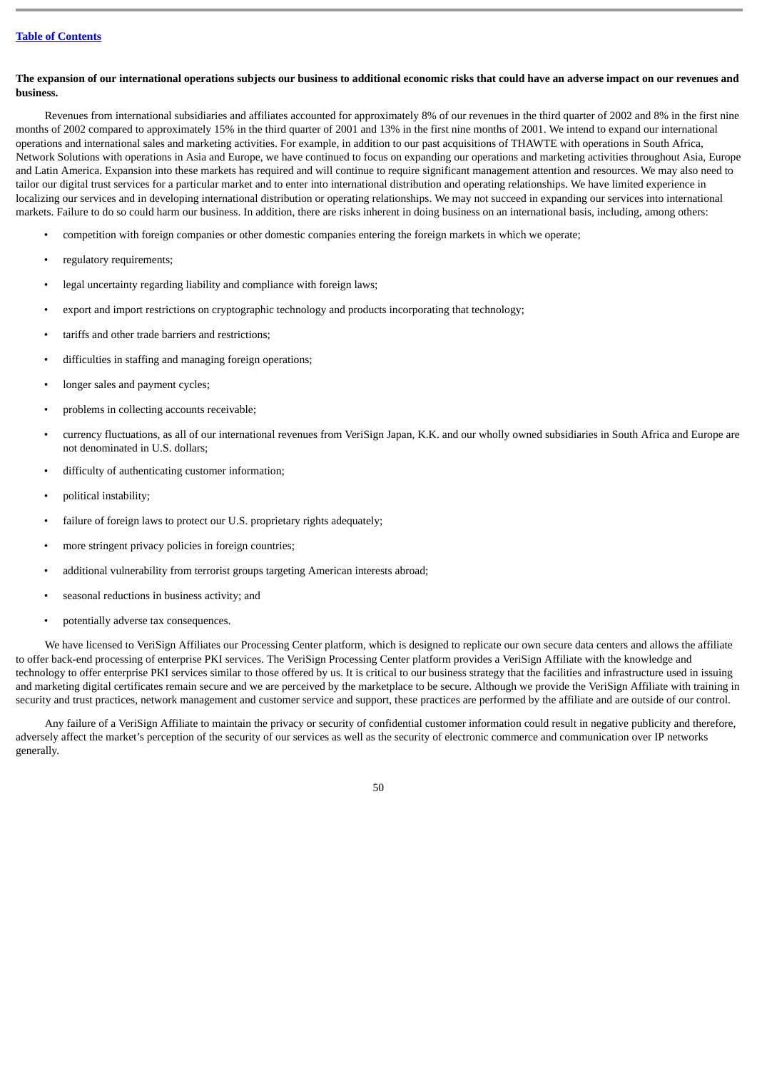# **The expansion of our international operations subjects our business to additional economic risks that could have an adverse impact on our revenues and business.**

Revenues from international subsidiaries and affiliates accounted for approximately 8% of our revenues in the third quarter of 2002 and 8% in the first nine months of 2002 compared to approximately 15% in the third quarter of 2001 and 13% in the first nine months of 2001. We intend to expand our international operations and international sales and marketing activities. For example, in addition to our past acquisitions of THAWTE with operations in South Africa, Network Solutions with operations in Asia and Europe, we have continued to focus on expanding our operations and marketing activities throughout Asia, Europe and Latin America. Expansion into these markets has required and will continue to require significant management attention and resources. We may also need to tailor our digital trust services for a particular market and to enter into international distribution and operating relationships. We have limited experience in localizing our services and in developing international distribution or operating relationships. We may not succeed in expanding our services into international markets. Failure to do so could harm our business. In addition, there are risks inherent in doing business on an international basis, including, among others:

- competition with foreign companies or other domestic companies entering the foreign markets in which we operate;
- regulatory requirements;
- legal uncertainty regarding liability and compliance with foreign laws;
- export and import restrictions on cryptographic technology and products incorporating that technology;
- tariffs and other trade barriers and restrictions;
- difficulties in staffing and managing foreign operations;
- longer sales and payment cycles:
- problems in collecting accounts receivable;
- currency fluctuations, as all of our international revenues from VeriSign Japan, K.K. and our wholly owned subsidiaries in South Africa and Europe are not denominated in U.S. dollars;
- difficulty of authenticating customer information;
- political instability;
- failure of foreign laws to protect our U.S. proprietary rights adequately;
- more stringent privacy policies in foreign countries;
- additional vulnerability from terrorist groups targeting American interests abroad;
- seasonal reductions in business activity; and
- potentially adverse tax consequences.

We have licensed to VeriSign Affiliates our Processing Center platform, which is designed to replicate our own secure data centers and allows the affiliate to offer back-end processing of enterprise PKI services. The VeriSign Processing Center platform provides a VeriSign Affiliate with the knowledge and technology to offer enterprise PKI services similar to those offered by us. It is critical to our business strategy that the facilities and infrastructure used in issuing and marketing digital certificates remain secure and we are perceived by the marketplace to be secure. Although we provide the VeriSign Affiliate with training in security and trust practices, network management and customer service and support, these practices are performed by the affiliate and are outside of our control.

Any failure of a VeriSign Affiliate to maintain the privacy or security of confidential customer information could result in negative publicity and therefore, adversely affect the market's perception of the security of our services as well as the security of electronic commerce and communication over IP networks generally.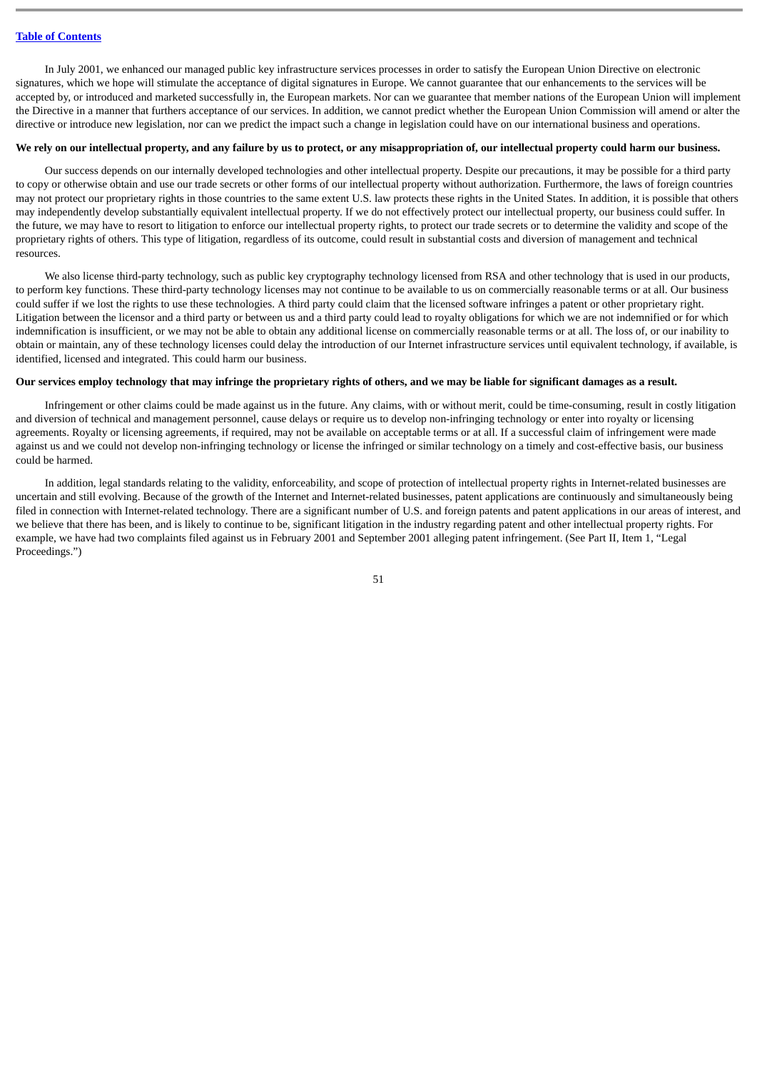In July 2001, we enhanced our managed public key infrastructure services processes in order to satisfy the European Union Directive on electronic signatures, which we hope will stimulate the acceptance of digital signatures in Europe. We cannot guarantee that our enhancements to the services will be accepted by, or introduced and marketed successfully in, the European markets. Nor can we guarantee that member nations of the European Union will implement the Directive in a manner that furthers acceptance of our services. In addition, we cannot predict whether the European Union Commission will amend or alter the directive or introduce new legislation, nor can we predict the impact such a change in legislation could have on our international business and operations.

#### **We rely on our intellectual property, and any failure by us to protect, or any misappropriation of, our intellectual property could harm our business.**

Our success depends on our internally developed technologies and other intellectual property. Despite our precautions, it may be possible for a third party to copy or otherwise obtain and use our trade secrets or other forms of our intellectual property without authorization. Furthermore, the laws of foreign countries may not protect our proprietary rights in those countries to the same extent U.S. law protects these rights in the United States. In addition, it is possible that others may independently develop substantially equivalent intellectual property. If we do not effectively protect our intellectual property, our business could suffer. In the future, we may have to resort to litigation to enforce our intellectual property rights, to protect our trade secrets or to determine the validity and scope of the proprietary rights of others. This type of litigation, regardless of its outcome, could result in substantial costs and diversion of management and technical resources.

We also license third-party technology, such as public key cryptography technology licensed from RSA and other technology that is used in our products, to perform key functions. These third-party technology licenses may not continue to be available to us on commercially reasonable terms or at all. Our business could suffer if we lost the rights to use these technologies. A third party could claim that the licensed software infringes a patent or other proprietary right. Litigation between the licensor and a third party or between us and a third party could lead to royalty obligations for which we are not indemnified or for which indemnification is insufficient, or we may not be able to obtain any additional license on commercially reasonable terms or at all. The loss of, or our inability to obtain or maintain, any of these technology licenses could delay the introduction of our Internet infrastructure services until equivalent technology, if available, is identified, licensed and integrated. This could harm our business.

## **Our services employ technology that may infringe the proprietary rights of others, and we may be liable for significant damages as a result.**

Infringement or other claims could be made against us in the future. Any claims, with or without merit, could be time-consuming, result in costly litigation and diversion of technical and management personnel, cause delays or require us to develop non-infringing technology or enter into royalty or licensing agreements. Royalty or licensing agreements, if required, may not be available on acceptable terms or at all. If a successful claim of infringement were made against us and we could not develop non-infringing technology or license the infringed or similar technology on a timely and cost-effective basis, our business could be harmed.

In addition, legal standards relating to the validity, enforceability, and scope of protection of intellectual property rights in Internet-related businesses are uncertain and still evolving. Because of the growth of the Internet and Internet-related businesses, patent applications are continuously and simultaneously being filed in connection with Internet-related technology. There are a significant number of U.S. and foreign patents and patent applications in our areas of interest, and we believe that there has been, and is likely to continue to be, significant litigation in the industry regarding patent and other intellectual property rights. For example, we have had two complaints filed against us in February 2001 and September 2001 alleging patent infringement. (See Part II, Item 1, "Legal Proceedings.")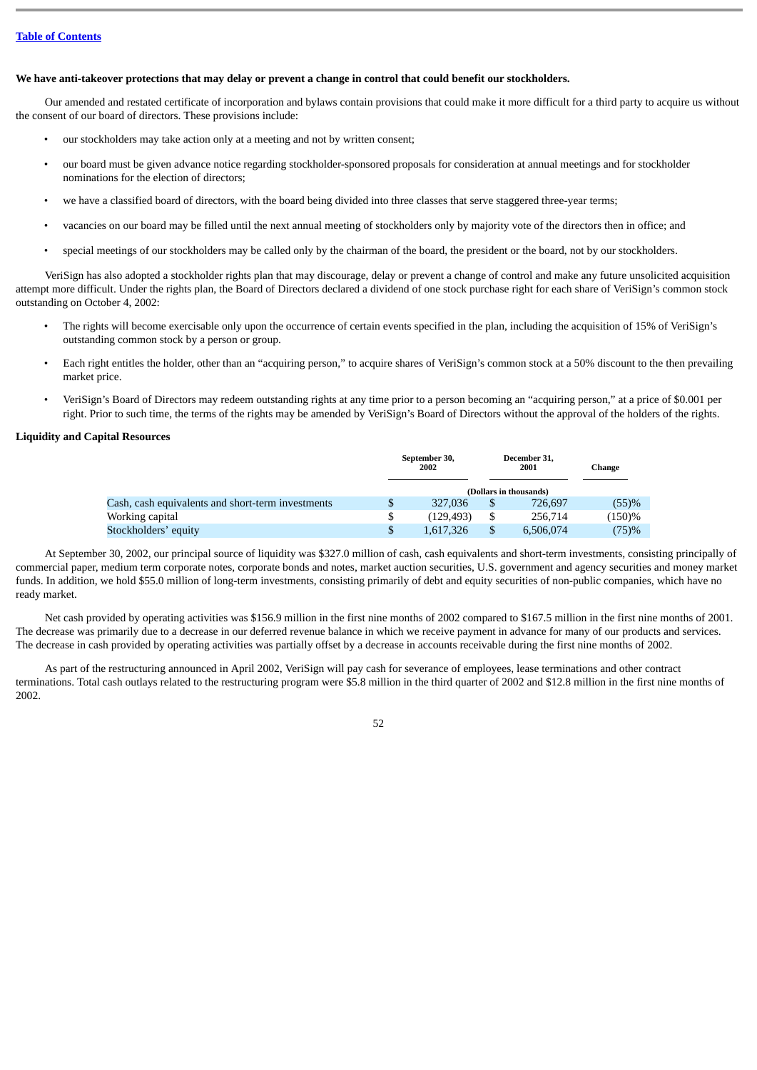# **We have anti-takeover protections that may delay or prevent a change in control that could benefit our stockholders.**

Our amended and restated certificate of incorporation and bylaws contain provisions that could make it more difficult for a third party to acquire us without the consent of our board of directors. These provisions include:

- our stockholders may take action only at a meeting and not by written consent;
- our board must be given advance notice regarding stockholder-sponsored proposals for consideration at annual meetings and for stockholder nominations for the election of directors;
- we have a classified board of directors, with the board being divided into three classes that serve staggered three-year terms;
- vacancies on our board may be filled until the next annual meeting of stockholders only by majority vote of the directors then in office; and
- special meetings of our stockholders may be called only by the chairman of the board, the president or the board, not by our stockholders.

VeriSign has also adopted a stockholder rights plan that may discourage, delay or prevent a change of control and make any future unsolicited acquisition attempt more difficult. Under the rights plan, the Board of Directors declared a dividend of one stock purchase right for each share of VeriSign's common stock outstanding on October 4, 2002:

- The rights will become exercisable only upon the occurrence of certain events specified in the plan, including the acquisition of 15% of VeriSign's outstanding common stock by a person or group.
- Each right entitles the holder, other than an "acquiring person," to acquire shares of VeriSign's common stock at a 50% discount to the then prevailing market price.
- VeriSign's Board of Directors may redeem outstanding rights at any time prior to a person becoming an "acquiring person," at a price of \$0.001 per right. Prior to such time, the terms of the rights may be amended by VeriSign's Board of Directors without the approval of the holders of the rights.

# **Liquidity and Capital Resources**

|                                                   | September 30,<br>2002 |           |   | December 31,<br>2001   | Change    |
|---------------------------------------------------|-----------------------|-----------|---|------------------------|-----------|
|                                                   |                       |           |   | (Dollars in thousands) |           |
| Cash, cash equivalents and short-term investments |                       | 327,036   |   | 726.697                | (55)%     |
| Working capital                                   | \$                    | (129.493) |   | 256.714                | $(150)\%$ |
| Stockholders' equity                              |                       | 1,617,326 | S | 6,506,074              | (75)%     |

At September 30, 2002, our principal source of liquidity was \$327.0 million of cash, cash equivalents and short-term investments, consisting principally of commercial paper, medium term corporate notes, corporate bonds and notes, market auction securities, U.S. government and agency securities and money market funds. In addition, we hold \$55.0 million of long-term investments, consisting primarily of debt and equity securities of non-public companies, which have no ready market.

Net cash provided by operating activities was \$156.9 million in the first nine months of 2002 compared to \$167.5 million in the first nine months of 2001. The decrease was primarily due to a decrease in our deferred revenue balance in which we receive payment in advance for many of our products and services. The decrease in cash provided by operating activities was partially offset by a decrease in accounts receivable during the first nine months of 2002.

As part of the restructuring announced in April 2002, VeriSign will pay cash for severance of employees, lease terminations and other contract terminations. Total cash outlays related to the restructuring program were \$5.8 million in the third quarter of 2002 and \$12.8 million in the first nine months of 2002.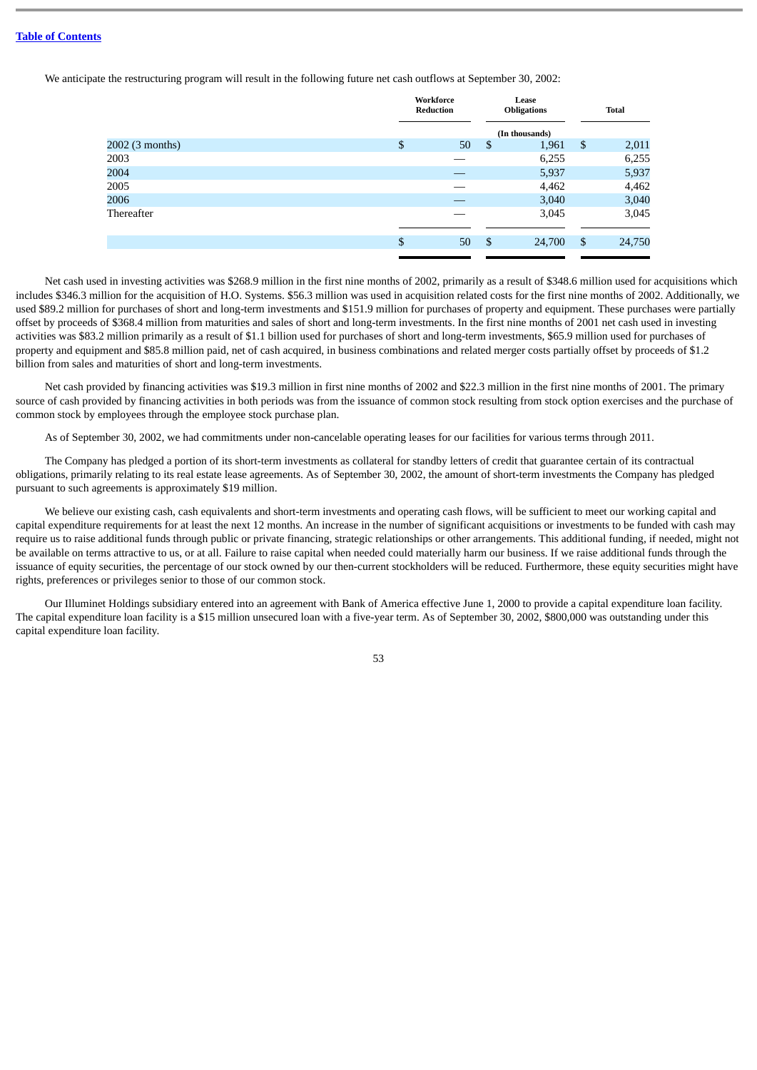We anticipate the restructuring program will result in the following future net cash outflows at September 30, 2002:

|                 | Workforce<br>Reduction |    | Lease<br><b>Obligations</b> | <b>Total</b> |
|-----------------|------------------------|----|-----------------------------|--------------|
|                 |                        |    | (In thousands)              |              |
| 2002 (3 months) | \$<br>50               | \$ | 1,961                       | \$<br>2,011  |
| 2003            |                        |    | 6,255                       | 6,255        |
| 2004            |                        |    | 5,937                       | 5,937        |
| 2005            |                        |    | 4,462                       | 4,462        |
| 2006            |                        |    | 3,040                       | 3,040        |
| Thereafter      |                        |    | 3,045                       | 3,045        |
|                 |                        |    |                             |              |
|                 | \$<br>50               | \$ | 24,700                      | \$<br>24,750 |
|                 |                        |    |                             |              |

Net cash used in investing activities was \$268.9 million in the first nine months of 2002, primarily as a result of \$348.6 million used for acquisitions which includes \$346.3 million for the acquisition of H.O. Systems. \$56.3 million was used in acquisition related costs for the first nine months of 2002. Additionally, we used \$89.2 million for purchases of short and long-term investments and \$151.9 million for purchases of property and equipment. These purchases were partially offset by proceeds of \$368.4 million from maturities and sales of short and long-term investments. In the first nine months of 2001 net cash used in investing activities was \$83.2 million primarily as a result of \$1.1 billion used for purchases of short and long-term investments, \$65.9 million used for purchases of property and equipment and \$85.8 million paid, net of cash acquired, in business combinations and related merger costs partially offset by proceeds of \$1.2 billion from sales and maturities of short and long-term investments.

Net cash provided by financing activities was \$19.3 million in first nine months of 2002 and \$22.3 million in the first nine months of 2001. The primary source of cash provided by financing activities in both periods was from the issuance of common stock resulting from stock option exercises and the purchase of common stock by employees through the employee stock purchase plan.

As of September 30, 2002, we had commitments under non-cancelable operating leases for our facilities for various terms through 2011.

The Company has pledged a portion of its short-term investments as collateral for standby letters of credit that guarantee certain of its contractual obligations, primarily relating to its real estate lease agreements. As of September 30, 2002, the amount of short-term investments the Company has pledged pursuant to such agreements is approximately \$19 million.

We believe our existing cash, cash equivalents and short-term investments and operating cash flows, will be sufficient to meet our working capital and capital expenditure requirements for at least the next 12 months. An increase in the number of significant acquisitions or investments to be funded with cash may require us to raise additional funds through public or private financing, strategic relationships or other arrangements. This additional funding, if needed, might not be available on terms attractive to us, or at all. Failure to raise capital when needed could materially harm our business. If we raise additional funds through the issuance of equity securities, the percentage of our stock owned by our then-current stockholders will be reduced. Furthermore, these equity securities might have rights, preferences or privileges senior to those of our common stock.

Our Illuminet Holdings subsidiary entered into an agreement with Bank of America effective June 1, 2000 to provide a capital expenditure loan facility. The capital expenditure loan facility is a \$15 million unsecured loan with a five-year term. As of September 30, 2002, \$800,000 was outstanding under this capital expenditure loan facility.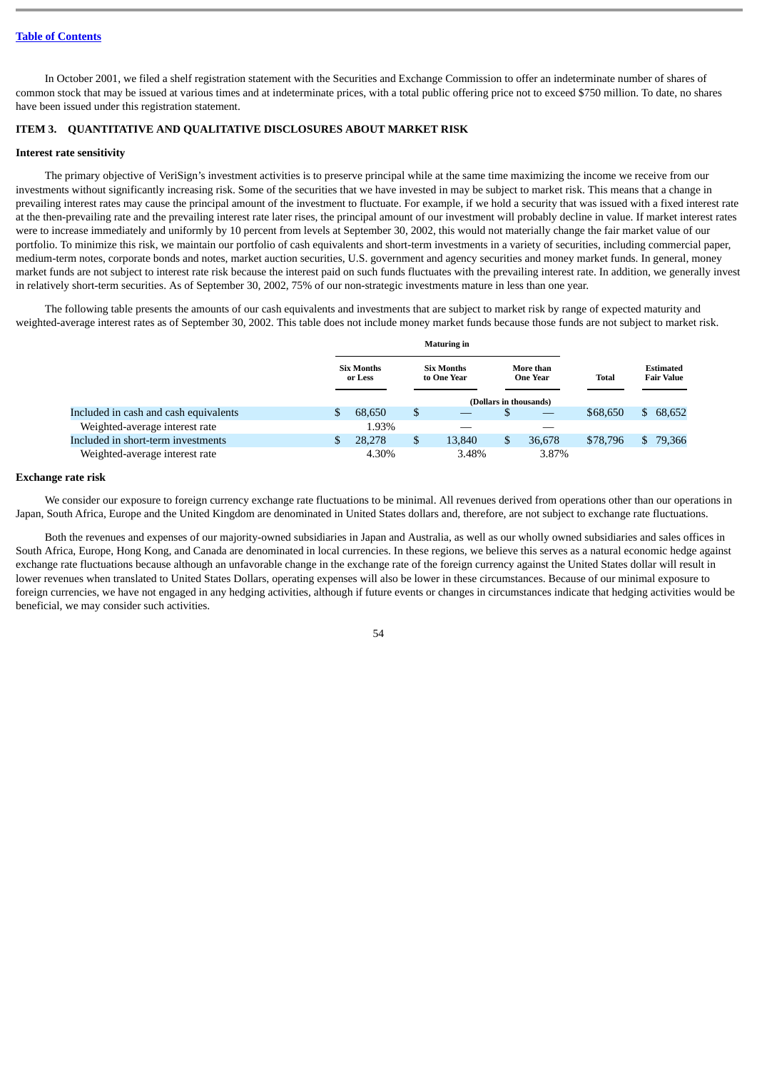In October 2001, we filed a shelf registration statement with the Securities and Exchange Commission to offer an indeterminate number of shares of common stock that may be issued at various times and at indeterminate prices, with a total public offering price not to exceed \$750 million. To date, no shares have been issued under this registration statement.

# <span id="page-53-0"></span>**ITEM 3. QUANTITATIVE AND QUALITATIVE DISCLOSURES ABOUT MARKET RISK**

#### **Interest rate sensitivity**

The primary objective of VeriSign's investment activities is to preserve principal while at the same time maximizing the income we receive from our investments without significantly increasing risk. Some of the securities that we have invested in may be subject to market risk. This means that a change in prevailing interest rates may cause the principal amount of the investment to fluctuate. For example, if we hold a security that was issued with a fixed interest rate at the then-prevailing rate and the prevailing interest rate later rises, the principal amount of our investment will probably decline in value. If market interest rates were to increase immediately and uniformly by 10 percent from levels at September 30, 2002, this would not materially change the fair market value of our portfolio. To minimize this risk, we maintain our portfolio of cash equivalents and short-term investments in a variety of securities, including commercial paper, medium-term notes, corporate bonds and notes, market auction securities, U.S. government and agency securities and money market funds. In general, money market funds are not subject to interest rate risk because the interest paid on such funds fluctuates with the prevailing interest rate. In addition, we generally invest in relatively short-term securities. As of September 30, 2002, 75% of our non-strategic investments mature in less than one year.

The following table presents the amounts of our cash equivalents and investments that are subject to market risk by range of expected maturity and weighted-average interest rates as of September 30, 2002. This table does not include money market funds because those funds are not subject to market risk.

|                                       |                              |        | <b>Maturing in</b> |                                                                  |    |                        |          |     |                                       |
|---------------------------------------|------------------------------|--------|--------------------|------------------------------------------------------------------|----|------------------------|----------|-----|---------------------------------------|
|                                       | <b>Six Months</b><br>or Less |        |                    | <b>Six Months</b><br>More than<br>to One Year<br><b>One Year</b> |    |                        | Total    |     | <b>Estimated</b><br><b>Fair Value</b> |
|                                       |                              |        |                    |                                                                  |    | (Dollars in thousands) |          |     |                                       |
| Included in cash and cash equivalents | \$                           | 68,650 | \$                 |                                                                  | S  |                        | \$68,650 | \$. | 68,652                                |
| Weighted-average interest rate        |                              | 1.93%  |                    |                                                                  |    |                        |          |     |                                       |
| Included in short-term investments    | \$                           | 28,278 | \$                 | 13,840                                                           | \$ | 36.678                 | \$78,796 |     | \$79,366                              |
| Weighted-average interest rate        |                              | 4.30%  |                    | 3.48%                                                            |    | 3.87%                  |          |     |                                       |

## **Exchange rate risk**

We consider our exposure to foreign currency exchange rate fluctuations to be minimal. All revenues derived from operations other than our operations in Japan, South Africa, Europe and the United Kingdom are denominated in United States dollars and, therefore, are not subject to exchange rate fluctuations.

Both the revenues and expenses of our majority-owned subsidiaries in Japan and Australia, as well as our wholly owned subsidiaries and sales offices in South Africa, Europe, Hong Kong, and Canada are denominated in local currencies. In these regions, we believe this serves as a natural economic hedge against exchange rate fluctuations because although an unfavorable change in the exchange rate of the foreign currency against the United States dollar will result in lower revenues when translated to United States Dollars, operating expenses will also be lower in these circumstances. Because of our minimal exposure to foreign currencies, we have not engaged in any hedging activities, although if future events or changes in circumstances indicate that hedging activities would be beneficial, we may consider such activities.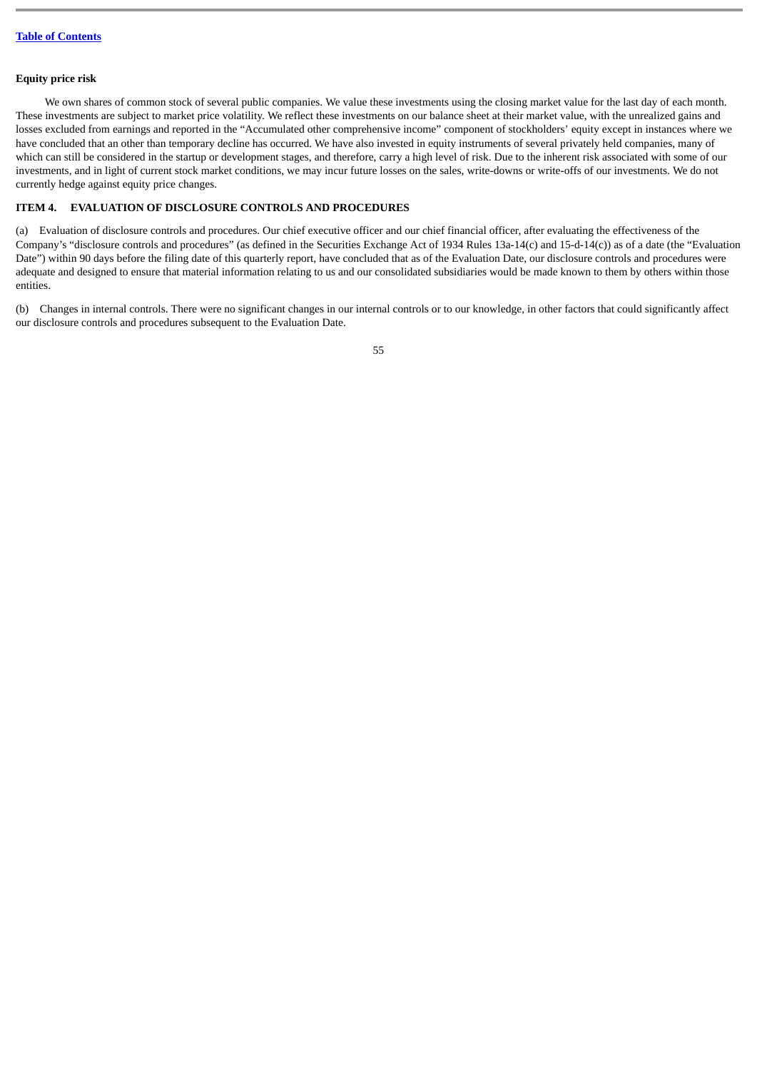# **Equity price risk**

We own shares of common stock of several public companies. We value these investments using the closing market value for the last day of each month. These investments are subject to market price volatility. We reflect these investments on our balance sheet at their market value, with the unrealized gains and losses excluded from earnings and reported in the "Accumulated other comprehensive income" component of stockholders' equity except in instances where we have concluded that an other than temporary decline has occurred. We have also invested in equity instruments of several privately held companies, many of which can still be considered in the startup or development stages, and therefore, carry a high level of risk. Due to the inherent risk associated with some of our investments, and in light of current stock market conditions, we may incur future losses on the sales, write-downs or write-offs of our investments. We do not currently hedge against equity price changes.

# <span id="page-54-0"></span>**ITEM 4. EVALUATION OF DISCLOSURE CONTROLS AND PROCEDURES**

(a) Evaluation of disclosure controls and procedures. Our chief executive officer and our chief financial officer, after evaluating the effectiveness of the Company's "disclosure controls and procedures" (as defined in the Securities Exchange Act of 1934 Rules 13a-14(c) and 15-d-14(c)) as of a date (the "Evaluation Date") within 90 days before the filing date of this quarterly report, have concluded that as of the Evaluation Date, our disclosure controls and procedures were adequate and designed to ensure that material information relating to us and our consolidated subsidiaries would be made known to them by others within those entities.

(b) Changes in internal controls. There were no significant changes in our internal controls or to our knowledge, in other factors that could significantly affect our disclosure controls and procedures subsequent to the Evaluation Date.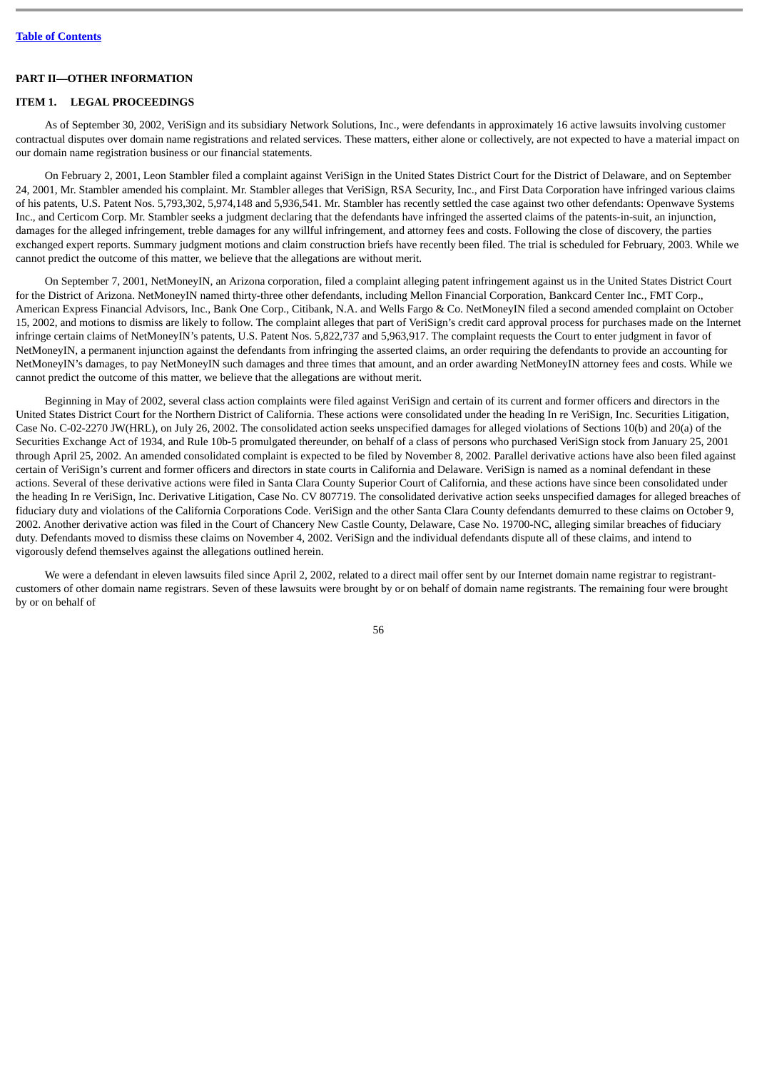# **PART II—OTHER INFORMATION**

## <span id="page-55-0"></span>**ITEM 1. LEGAL PROCEEDINGS**

As of September 30, 2002, VeriSign and its subsidiary Network Solutions, Inc., were defendants in approximately 16 active lawsuits involving customer contractual disputes over domain name registrations and related services. These matters, either alone or collectively, are not expected to have a material impact on our domain name registration business or our financial statements.

On February 2, 2001, Leon Stambler filed a complaint against VeriSign in the United States District Court for the District of Delaware, and on September 24, 2001, Mr. Stambler amended his complaint. Mr. Stambler alleges that VeriSign, RSA Security, Inc., and First Data Corporation have infringed various claims of his patents, U.S. Patent Nos. 5,793,302, 5,974,148 and 5,936,541. Mr. Stambler has recently settled the case against two other defendants: Openwave Systems Inc., and Certicom Corp. Mr. Stambler seeks a judgment declaring that the defendants have infringed the asserted claims of the patents-in-suit, an injunction, damages for the alleged infringement, treble damages for any willful infringement, and attorney fees and costs. Following the close of discovery, the parties exchanged expert reports. Summary judgment motions and claim construction briefs have recently been filed. The trial is scheduled for February, 2003. While we cannot predict the outcome of this matter, we believe that the allegations are without merit.

On September 7, 2001, NetMoneyIN, an Arizona corporation, filed a complaint alleging patent infringement against us in the United States District Court for the District of Arizona. NetMoneyIN named thirty-three other defendants, including Mellon Financial Corporation, Bankcard Center Inc., FMT Corp., American Express Financial Advisors, Inc., Bank One Corp., Citibank, N.A. and Wells Fargo & Co. NetMoneyIN filed a second amended complaint on October 15, 2002, and motions to dismiss are likely to follow. The complaint alleges that part of VeriSign's credit card approval process for purchases made on the Internet infringe certain claims of NetMoneyIN's patents, U.S. Patent Nos. 5,822,737 and 5,963,917. The complaint requests the Court to enter judgment in favor of NetMoneyIN, a permanent injunction against the defendants from infringing the asserted claims, an order requiring the defendants to provide an accounting for NetMoneyIN's damages, to pay NetMoneyIN such damages and three times that amount, and an order awarding NetMoneyIN attorney fees and costs. While we cannot predict the outcome of this matter, we believe that the allegations are without merit.

Beginning in May of 2002, several class action complaints were filed against VeriSign and certain of its current and former officers and directors in the United States District Court for the Northern District of California. These actions were consolidated under the heading In re VeriSign, Inc. Securities Litigation, Case No. C-02-2270 JW(HRL), on July 26, 2002. The consolidated action seeks unspecified damages for alleged violations of Sections 10(b) and 20(a) of the Securities Exchange Act of 1934, and Rule 10b-5 promulgated thereunder, on behalf of a class of persons who purchased VeriSign stock from January 25, 2001 through April 25, 2002. An amended consolidated complaint is expected to be filed by November 8, 2002. Parallel derivative actions have also been filed against certain of VeriSign's current and former officers and directors in state courts in California and Delaware. VeriSign is named as a nominal defendant in these actions. Several of these derivative actions were filed in Santa Clara County Superior Court of California, and these actions have since been consolidated under the heading In re VeriSign, Inc. Derivative Litigation, Case No. CV 807719. The consolidated derivative action seeks unspecified damages for alleged breaches of fiduciary duty and violations of the California Corporations Code. VeriSign and the other Santa Clara County defendants demurred to these claims on October 9, 2002. Another derivative action was filed in the Court of Chancery New Castle County, Delaware, Case No. 19700-NC, alleging similar breaches of fiduciary duty. Defendants moved to dismiss these claims on November 4, 2002. VeriSign and the individual defendants dispute all of these claims, and intend to vigorously defend themselves against the allegations outlined herein.

We were a defendant in eleven lawsuits filed since April 2, 2002, related to a direct mail offer sent by our Internet domain name registrar to registrantcustomers of other domain name registrars. Seven of these lawsuits were brought by or on behalf of domain name registrants. The remaining four were brought by or on behalf of

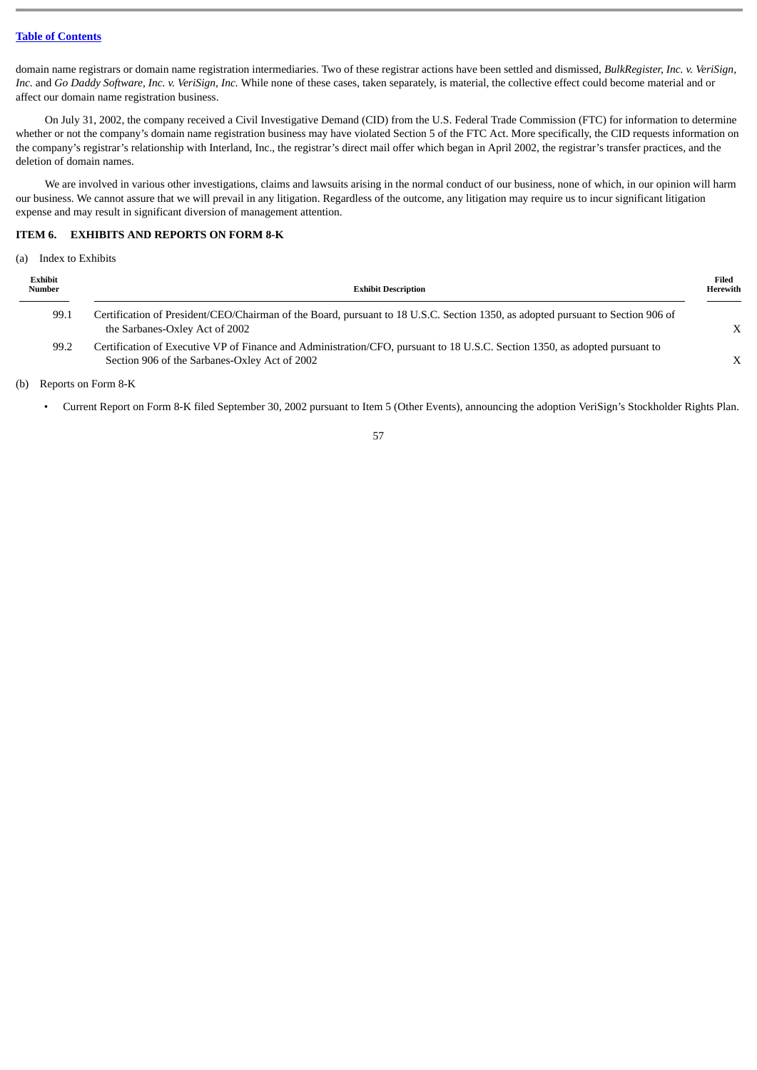domain name registrars or domain name registration intermediaries. Two of these registrar actions have been settled and dismissed, *BulkRegister, Inc. v. VeriSign, Inc.* and *Go Daddy Software, Inc. v. VeriSign, Inc.* While none of these cases, taken separately, is material, the collective effect could become material and or affect our domain name registration business.

On July 31, 2002, the company received a Civil Investigative Demand (CID) from the U.S. Federal Trade Commission (FTC) for information to determine whether or not the company's domain name registration business may have violated Section 5 of the FTC Act. More specifically, the CID requests information on the company's registrar's relationship with Interland, Inc., the registrar's direct mail offer which began in April 2002, the registrar's transfer practices, and the deletion of domain names.

We are involved in various other investigations, claims and lawsuits arising in the normal conduct of our business, none of which, in our opinion will harm our business. We cannot assure that we will prevail in any litigation. Regardless of the outcome, any litigation may require us to incur significant litigation expense and may result in significant diversion of management attention.

# <span id="page-56-0"></span>**ITEM 6. EXHIBITS AND REPORTS ON FORM 8-K**

(a) Index to Exhibits

| Exhibit<br>Number | <b>Exhibit Description</b>                                                                                                                                                   |   |  |  |  |  |  |
|-------------------|------------------------------------------------------------------------------------------------------------------------------------------------------------------------------|---|--|--|--|--|--|
| 99.1              | Certification of President/CEO/Chairman of the Board, pursuant to 18 U.S.C. Section 1350, as adopted pursuant to Section 906 of<br>the Sarbanes-Oxley Act of 2002            | X |  |  |  |  |  |
| 99.2              | Certification of Executive VP of Finance and Administration/CFO, pursuant to 18 U.S.C. Section 1350, as adopted pursuant to<br>Section 906 of the Sarbanes-Oxley Act of 2002 | X |  |  |  |  |  |

(b) Reports on Form 8-K

• Current Report on Form 8-K filed September 30, 2002 pursuant to Item 5 (Other Events), announcing the adoption VeriSign's Stockholder Rights Plan.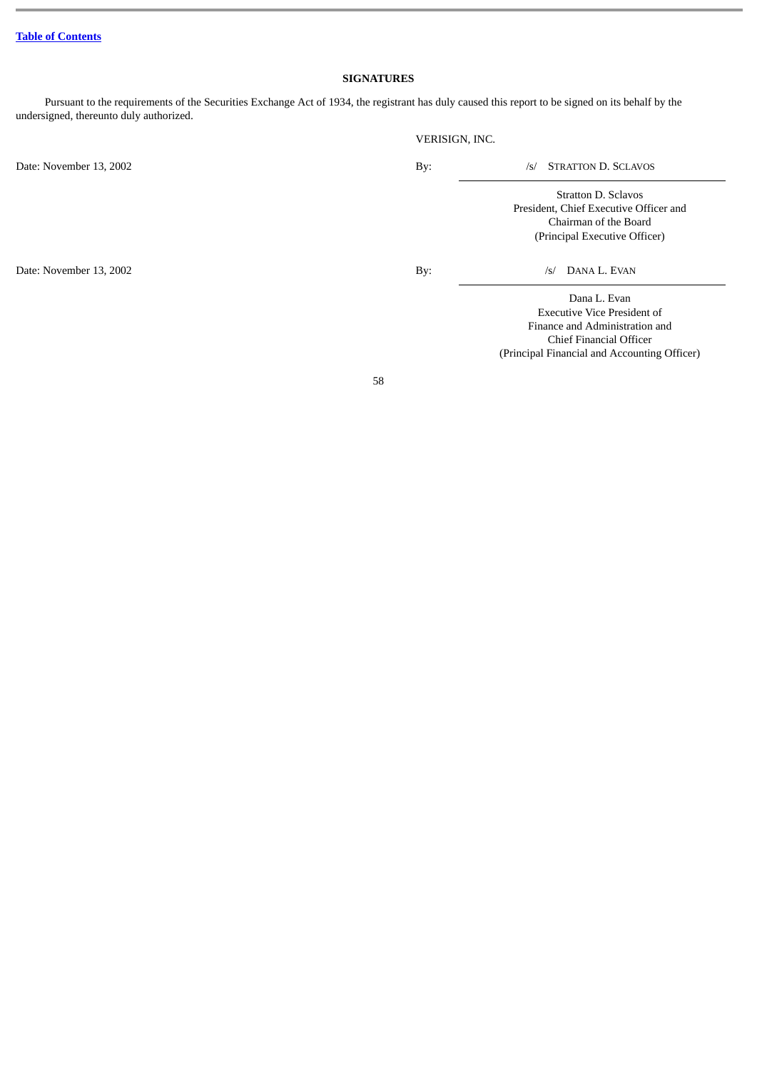# **SIGNATURES**

<span id="page-57-0"></span>Pursuant to the requirements of the Securities Exchange Act of 1934, the registrant has duly caused this report to be signed on its behalf by the undersigned, thereunto duly authorized.

|                         | VERISIGN, INC. |                                                                                                                         |
|-------------------------|----------------|-------------------------------------------------------------------------------------------------------------------------|
| Date: November 13, 2002 | By:            | <b>STRATTON D. SCLAVOS</b><br>/s/                                                                                       |
|                         |                | Stratton D. Sclavos<br>President, Chief Executive Officer and<br>Chairman of the Board<br>(Principal Executive Officer) |
| Date: November 13, 2002 | By:            | DANA L. EVAN<br>$\sqrt{s}$                                                                                              |
|                         |                | Dana L. Evan<br><b>Executive Vice President of</b><br>Finance and Administration and<br>Chief Financial Officer         |

58

(Principal Financial and Accounting Officer)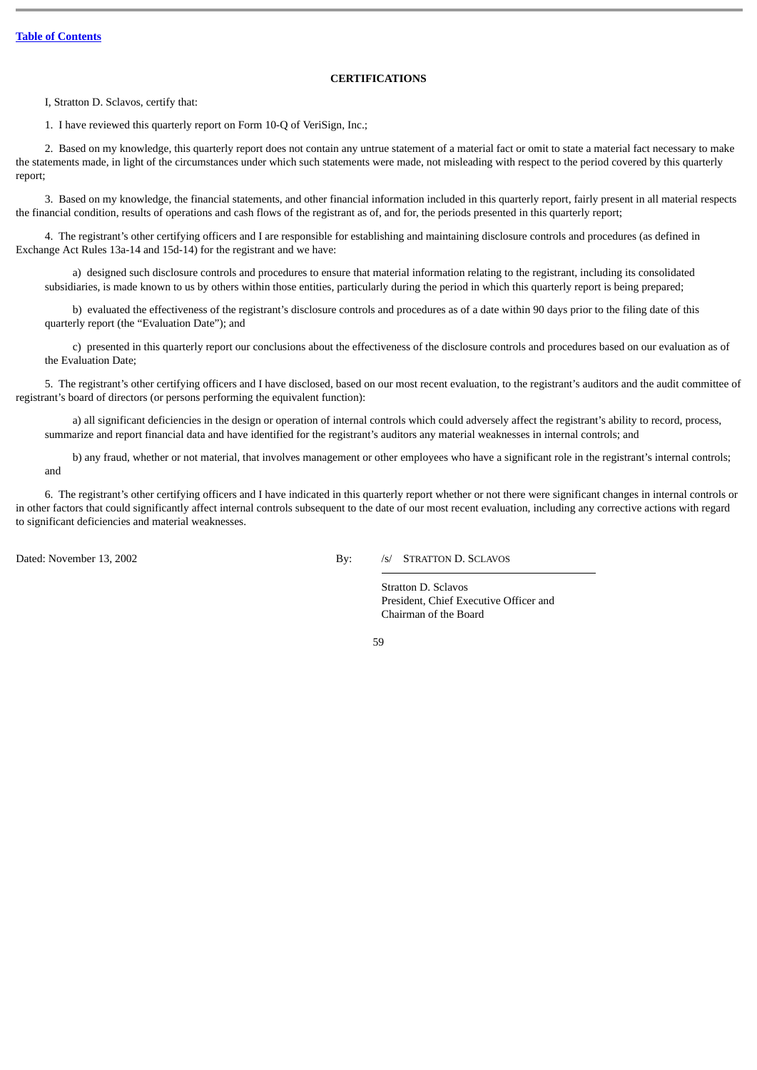# **CERTIFICATIONS**

<span id="page-58-0"></span>I, Stratton D. Sclavos, certify that:

1. I have reviewed this quarterly report on Form 10-Q of VeriSign, Inc.;

2. Based on my knowledge, this quarterly report does not contain any untrue statement of a material fact or omit to state a material fact necessary to make the statements made, in light of the circumstances under which such statements were made, not misleading with respect to the period covered by this quarterly report;

3. Based on my knowledge, the financial statements, and other financial information included in this quarterly report, fairly present in all material respects the financial condition, results of operations and cash flows of the registrant as of, and for, the periods presented in this quarterly report;

4. The registrant's other certifying officers and I are responsible for establishing and maintaining disclosure controls and procedures (as defined in Exchange Act Rules 13a-14 and 15d-14) for the registrant and we have:

a) designed such disclosure controls and procedures to ensure that material information relating to the registrant, including its consolidated subsidiaries, is made known to us by others within those entities, particularly during the period in which this quarterly report is being prepared;

b) evaluated the effectiveness of the registrant's disclosure controls and procedures as of a date within 90 days prior to the filing date of this quarterly report (the "Evaluation Date"); and

c) presented in this quarterly report our conclusions about the effectiveness of the disclosure controls and procedures based on our evaluation as of the Evaluation Date;

5. The registrant's other certifying officers and I have disclosed, based on our most recent evaluation, to the registrant's auditors and the audit committee of registrant's board of directors (or persons performing the equivalent function):

a) all significant deficiencies in the design or operation of internal controls which could adversely affect the registrant's ability to record, process, summarize and report financial data and have identified for the registrant's auditors any material weaknesses in internal controls; and

b) any fraud, whether or not material, that involves management or other employees who have a significant role in the registrant's internal controls; and

6. The registrant's other certifying officers and I have indicated in this quarterly report whether or not there were significant changes in internal controls or in other factors that could significantly affect internal controls subsequent to the date of our most recent evaluation, including any corrective actions with regard to significant deficiencies and material weaknesses.

Dated: November 13, 2002 By: /s/ STRATTON D. SCLAVOS

Stratton D. Sclavos President, Chief Executive Officer and Chairman of the Board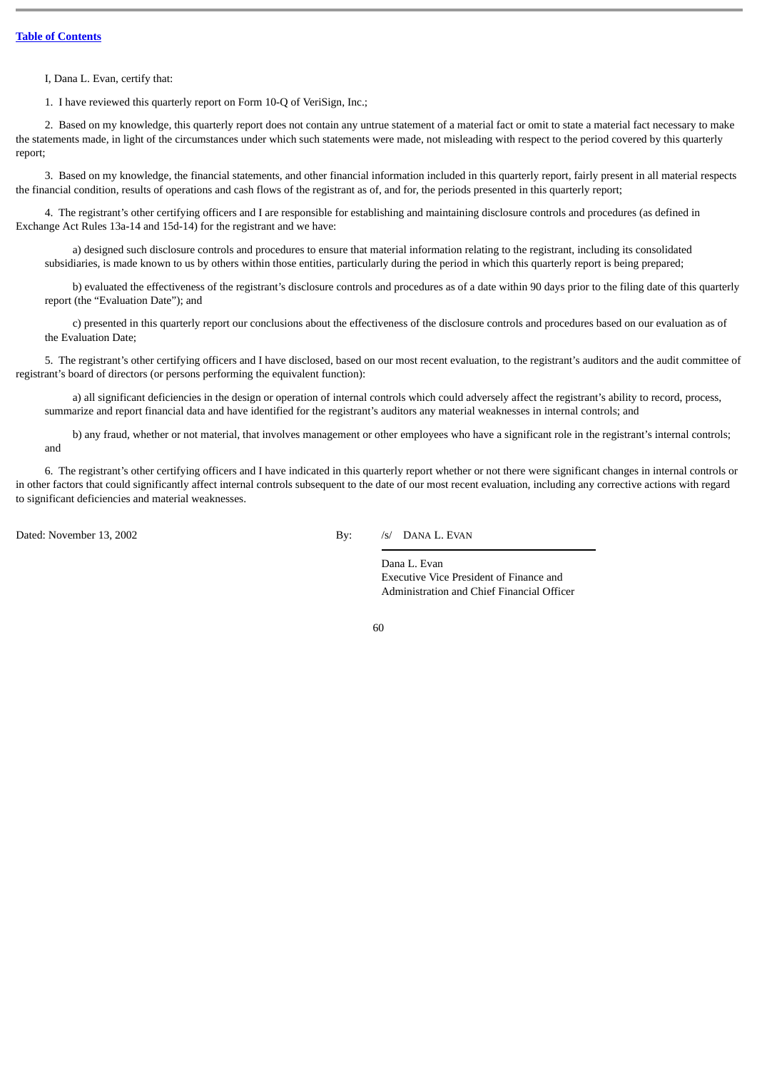I, Dana L. Evan, certify that:

1. I have reviewed this quarterly report on Form 10-Q of VeriSign, Inc.;

2. Based on my knowledge, this quarterly report does not contain any untrue statement of a material fact or omit to state a material fact necessary to make the statements made, in light of the circumstances under which such statements were made, not misleading with respect to the period covered by this quarterly report;

3. Based on my knowledge, the financial statements, and other financial information included in this quarterly report, fairly present in all material respects the financial condition, results of operations and cash flows of the registrant as of, and for, the periods presented in this quarterly report;

4. The registrant's other certifying officers and I are responsible for establishing and maintaining disclosure controls and procedures (as defined in Exchange Act Rules 13a-14 and 15d-14) for the registrant and we have:

a) designed such disclosure controls and procedures to ensure that material information relating to the registrant, including its consolidated subsidiaries, is made known to us by others within those entities, particularly during the period in which this quarterly report is being prepared;

b) evaluated the effectiveness of the registrant's disclosure controls and procedures as of a date within 90 days prior to the filing date of this quarterly report (the "Evaluation Date"); and

c) presented in this quarterly report our conclusions about the effectiveness of the disclosure controls and procedures based on our evaluation as of the Evaluation Date;

5. The registrant's other certifying officers and I have disclosed, based on our most recent evaluation, to the registrant's auditors and the audit committee of registrant's board of directors (or persons performing the equivalent function):

a) all significant deficiencies in the design or operation of internal controls which could adversely affect the registrant's ability to record, process, summarize and report financial data and have identified for the registrant's auditors any material weaknesses in internal controls; and

b) any fraud, whether or not material, that involves management or other employees who have a significant role in the registrant's internal controls; and

6. The registrant's other certifying officers and I have indicated in this quarterly report whether or not there were significant changes in internal controls or in other factors that could significantly affect internal controls subsequent to the date of our most recent evaluation, including any corrective actions with regard to significant deficiencies and material weaknesses.

Dated: November 13, 2002 By: /s/ DANA L. EVAN

Dana L. Evan Executive Vice President of Finance and Administration and Chief Financial Officer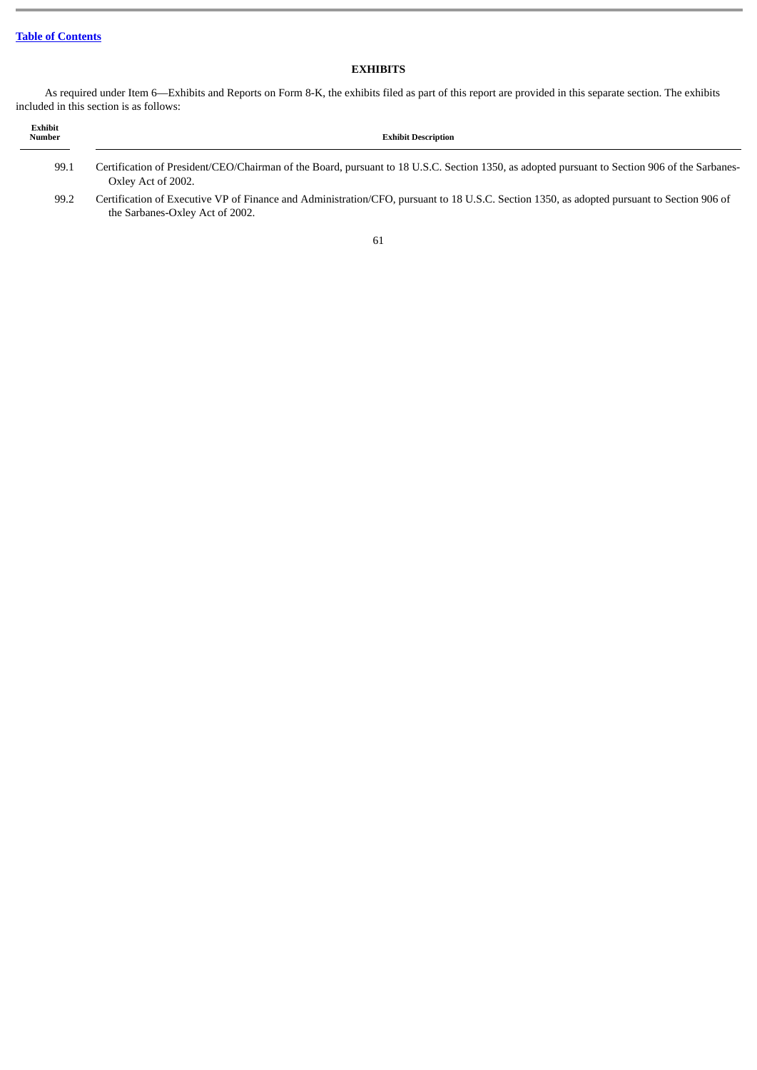# **EXHIBITS**

As required under Item 6—Exhibits and Reports on Form 8-K, the exhibits filed as part of this report are provided in this separate section. The exhibits included in this section is as follows:

| Exhibit<br><b>Number</b> | <b>Exhibit Description</b>                                                                                                                                                    |
|--------------------------|-------------------------------------------------------------------------------------------------------------------------------------------------------------------------------|
| 99.1                     | Certification of President/CEO/Chairman of the Board, pursuant to 18 U.S.C. Section 1350, as adopted pursuant to Section 906 of the Sarbanes-<br>Oxley Act of 2002.           |
| 99.2                     | Certification of Executive VP of Finance and Administration/CFO, pursuant to 18 U.S.C. Section 1350, as adopted pursuant to Section 906 of<br>the Sarbanes-Oxley Act of 2002. |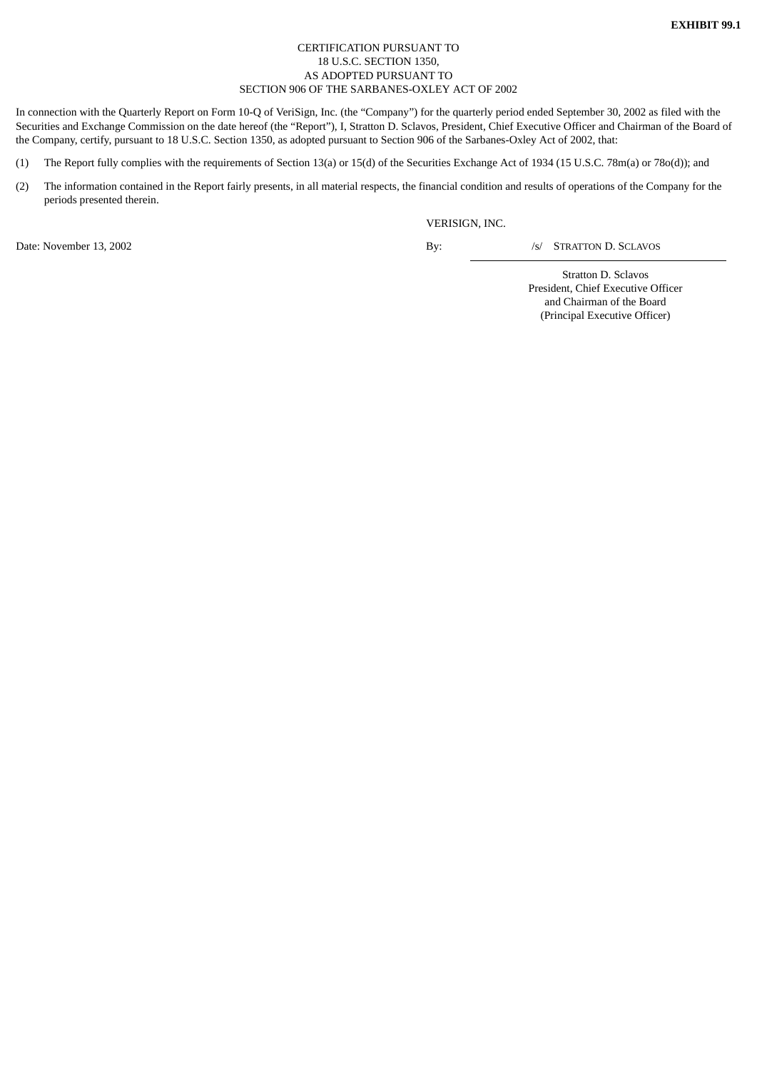# CERTIFICATION PURSUANT TO 18 U.S.C. SECTION 1350, AS ADOPTED PURSUANT TO SECTION 906 OF THE SARBANES-OXLEY ACT OF 2002

In connection with the Quarterly Report on Form 10-Q of VeriSign, Inc. (the "Company") for the quarterly period ended September 30, 2002 as filed with the Securities and Exchange Commission on the date hereof (the "Report"), I, Stratton D. Sclavos, President, Chief Executive Officer and Chairman of the Board of the Company, certify, pursuant to 18 U.S.C. Section 1350, as adopted pursuant to Section 906 of the Sarbanes-Oxley Act of 2002, that:

- (1) The Report fully complies with the requirements of Section 13(a) or 15(d) of the Securities Exchange Act of 1934 (15 U.S.C. 78m(a) or 78o(d)); and
- (2) The information contained in the Report fairly presents, in all material respects, the financial condition and results of operations of the Company for the periods presented therein.

VERISIGN, INC.

Date: November 13, 2002 By:  $\qquad \qquad$  By:

/s/ STRATTON D. SCLAVOS

Stratton D. Sclavos President, Chief Executive Officer and Chairman of the Board (Principal Executive Officer)